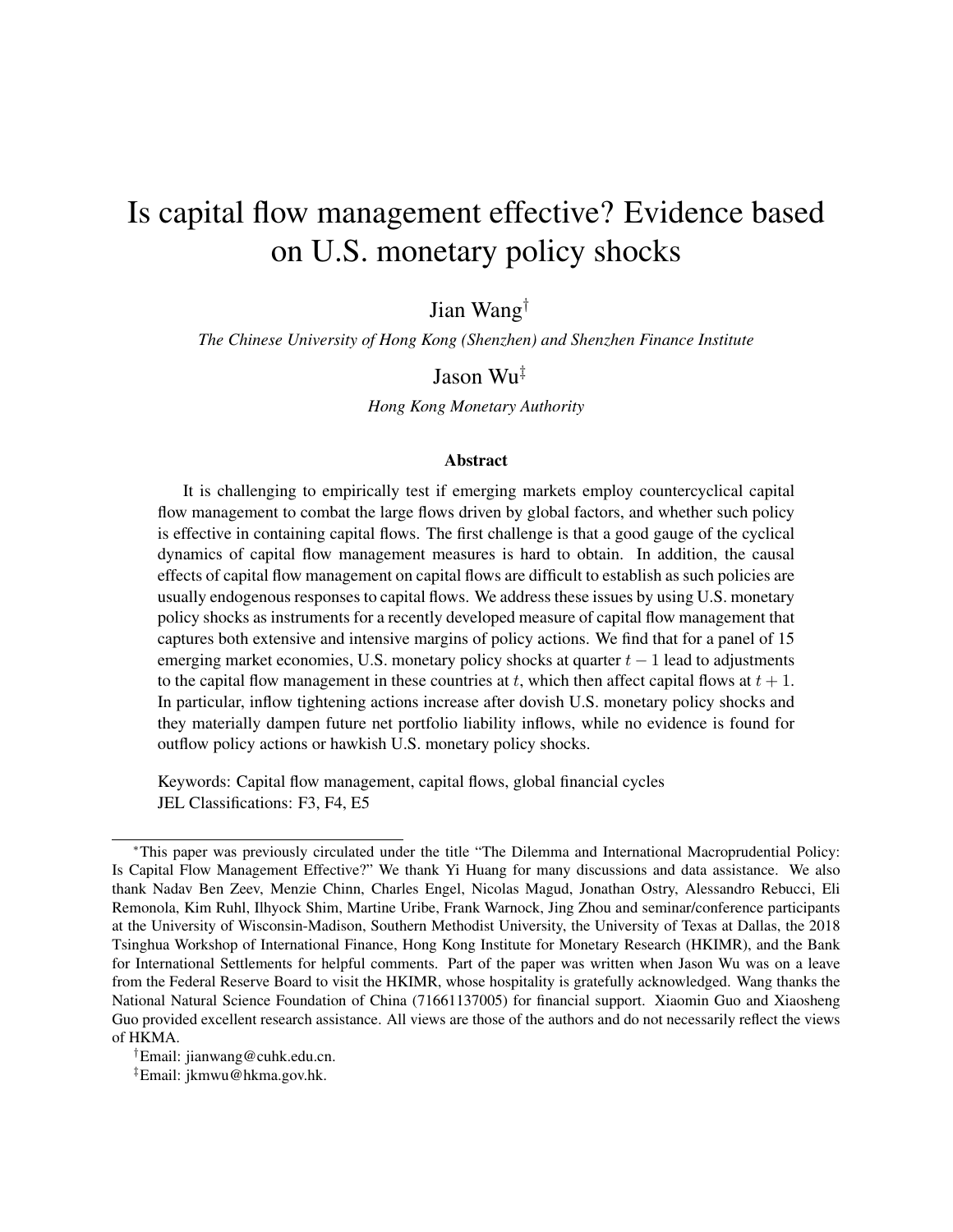# Is capital flow management effective? Evidence based on U.S. monetary policy shocks

Jian Wang†

*The Chinese University of Hong Kong (Shenzhen) and Shenzhen Finance Institute*

## Jason Wu‡

*Hong Kong Monetary Authority*

#### Abstract

It is challenging to empirically test if emerging markets employ countercyclical capital flow management to combat the large flows driven by global factors, and whether such policy is effective in containing capital flows. The first challenge is that a good gauge of the cyclical dynamics of capital flow management measures is hard to obtain. In addition, the causal effects of capital flow management on capital flows are difficult to establish as such policies are usually endogenous responses to capital flows. We address these issues by using U.S. monetary policy shocks as instruments for a recently developed measure of capital flow management that captures both extensive and intensive margins of policy actions. We find that for a panel of 15 emerging market economies, U.S. monetary policy shocks at quarter  $t - 1$  lead to adjustments to the capital flow management in these countries at t, which then affect capital flows at  $t + 1$ . In particular, inflow tightening actions increase after dovish U.S. monetary policy shocks and they materially dampen future net portfolio liability inflows, while no evidence is found for outflow policy actions or hawkish U.S. monetary policy shocks.

Keywords: Capital flow management, capital flows, global financial cycles JEL Classifications: F3, F4, E5

†Email: jianwang@cuhk.edu.cn.

‡Email: jkmwu@hkma.gov.hk.

<sup>∗</sup>This paper was previously circulated under the title "The Dilemma and International Macroprudential Policy: Is Capital Flow Management Effective?" We thank Yi Huang for many discussions and data assistance. We also thank Nadav Ben Zeev, Menzie Chinn, Charles Engel, Nicolas Magud, Jonathan Ostry, Alessandro Rebucci, Eli Remonola, Kim Ruhl, Ilhyock Shim, Martine Uribe, Frank Warnock, Jing Zhou and seminar/conference participants at the University of Wisconsin-Madison, Southern Methodist University, the University of Texas at Dallas, the 2018 Tsinghua Workshop of International Finance, Hong Kong Institute for Monetary Research (HKIMR), and the Bank for International Settlements for helpful comments. Part of the paper was written when Jason Wu was on a leave from the Federal Reserve Board to visit the HKIMR, whose hospitality is gratefully acknowledged. Wang thanks the National Natural Science Foundation of China (71661137005) for financial support. Xiaomin Guo and Xiaosheng Guo provided excellent research assistance. All views are those of the authors and do not necessarily reflect the views of HKMA.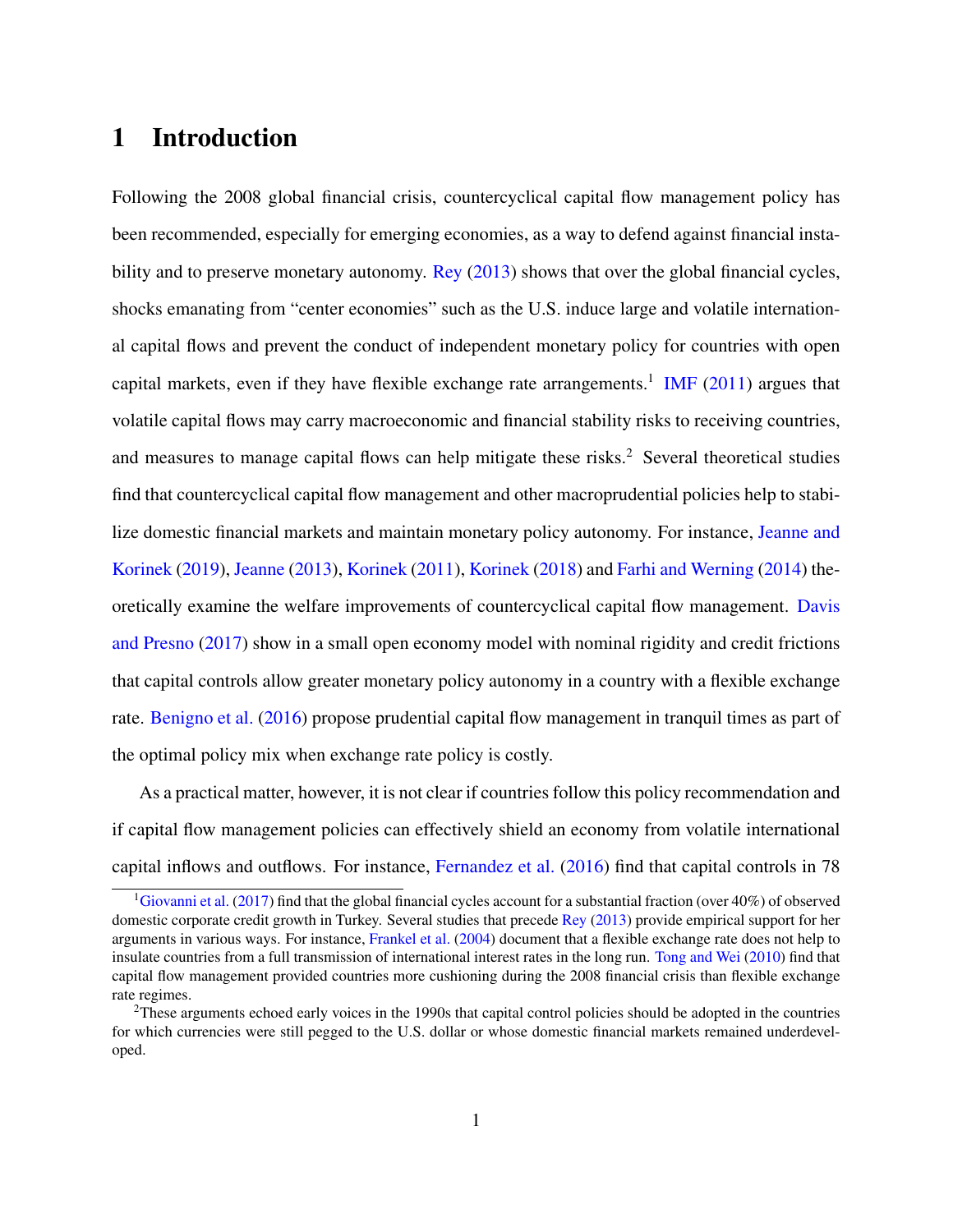## 1 Introduction

Following the 2008 global financial crisis, countercyclical capital flow management policy has been recommended, especially for emerging economies, as a way to defend against financial instability and to preserve monetary autonomy. [Rey](#page-38-0) [\(2013\)](#page-38-0) shows that over the global financial cycles, shocks emanating from "center economies" such as the U.S. induce large and volatile international capital flows and prevent the conduct of independent monetary policy for countries with open capital markets, even if they have flexible exchange rate arrangements.<sup>[1](#page-1-0)</sup> [IMF](#page-37-0)  $(2011)$  argues that volatile capital flows may carry macroeconomic and financial stability risks to receiving countries, and measures to manage capital flows can help mitigate these risks.<sup>[2](#page-1-1)</sup> Several theoretical studies find that countercyclical capital flow management and other macroprudential policies help to stabilize domestic financial markets and maintain monetary policy autonomy. For instance, [Jeanne and](#page-37-1) [Korinek](#page-37-1) [\(2019\)](#page-37-1), [Jeanne](#page-37-2) [\(2013\)](#page-37-2), [Korinek](#page-37-3) [\(2011\)](#page-37-3), [Korinek](#page-37-4) [\(2018\)](#page-37-4) and [Farhi and Werning](#page-35-0) [\(2014\)](#page-35-0) theoretically examine the welfare improvements of countercyclical capital flow management. [Davis](#page-34-0) [and Presno](#page-34-0) [\(2017\)](#page-34-0) show in a small open economy model with nominal rigidity and credit frictions that capital controls allow greater monetary policy autonomy in a country with a flexible exchange rate. [Benigno et al.](#page-34-1) [\(2016\)](#page-34-1) propose prudential capital flow management in tranquil times as part of the optimal policy mix when exchange rate policy is costly.

As a practical matter, however, it is not clear if countries follow this policy recommendation and if capital flow management policies can effectively shield an economy from volatile international capital inflows and outflows. For instance, [Fernandez et al.](#page-35-1) [\(2016\)](#page-35-1) find that capital controls in 78

<span id="page-1-0"></span><sup>&</sup>lt;sup>1</sup>[Giovanni et al.](#page-36-0) [\(2017\)](#page-36-0) find that the global financial cycles account for a substantial fraction (over 40%) of observed domestic corporate credit growth in Turkey. Several studies that precede [Rey](#page-38-0) [\(2013\)](#page-38-0) provide empirical support for her arguments in various ways. For instance, [Frankel et al.](#page-36-1) [\(2004\)](#page-36-1) document that a flexible exchange rate does not help to insulate countries from a full transmission of international interest rates in the long run. [Tong and Wei](#page-38-1) [\(2010\)](#page-38-1) find that capital flow management provided countries more cushioning during the 2008 financial crisis than flexible exchange rate regimes.

<span id="page-1-1"></span><sup>&</sup>lt;sup>2</sup>These arguments echoed early voices in the 1990s that capital control policies should be adopted in the countries for which currencies were still pegged to the U.S. dollar or whose domestic financial markets remained underdeveloped.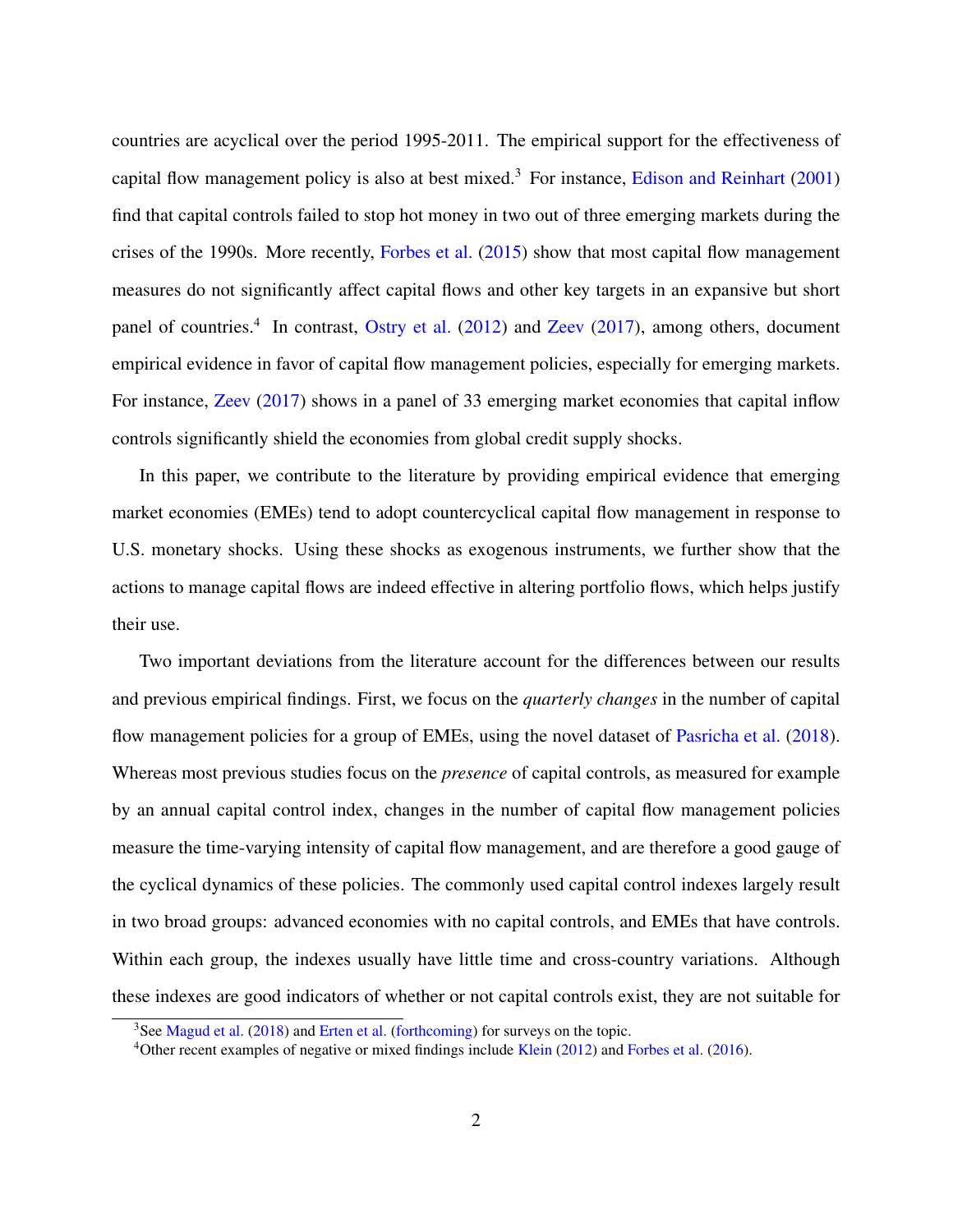countries are acyclical over the period 1995-2011. The empirical support for the effectiveness of capital flow management policy is also at best mixed.<sup>[3](#page-2-0)</sup> For instance, [Edison and Reinhart](#page-35-2)  $(2001)$ find that capital controls failed to stop hot money in two out of three emerging markets during the crises of the 1990s. More recently, [Forbes et al.](#page-35-3) [\(2015\)](#page-35-3) show that most capital flow management measures do not significantly affect capital flows and other key targets in an expansive but short panel of countries.<sup>[4](#page-2-1)</sup> In contrast, [Ostry et al.](#page-38-2) [\(2012\)](#page-38-2) and [Zeev](#page-39-0) [\(2017\)](#page-39-0), among others, document empirical evidence in favor of capital flow management policies, especially for emerging markets. For instance, [Zeev](#page-39-0) [\(2017\)](#page-39-0) shows in a panel of 33 emerging market economies that capital inflow controls significantly shield the economies from global credit supply shocks.

In this paper, we contribute to the literature by providing empirical evidence that emerging market economies (EMEs) tend to adopt countercyclical capital flow management in response to U.S. monetary shocks. Using these shocks as exogenous instruments, we further show that the actions to manage capital flows are indeed effective in altering portfolio flows, which helps justify their use.

Two important deviations from the literature account for the differences between our results and previous empirical findings. First, we focus on the *quarterly changes* in the number of capital flow management policies for a group of EMEs, using the novel dataset of [Pasricha et al.](#page-38-3) [\(2018\)](#page-38-3). Whereas most previous studies focus on the *presence* of capital controls, as measured for example by an annual capital control index, changes in the number of capital flow management policies measure the time-varying intensity of capital flow management, and are therefore a good gauge of the cyclical dynamics of these policies. The commonly used capital control indexes largely result in two broad groups: advanced economies with no capital controls, and EMEs that have controls. Within each group, the indexes usually have little time and cross-country variations. Although these indexes are good indicators of whether or not capital controls exist, they are not suitable for

<span id="page-2-0"></span> $3$ See [Magud et al.](#page-37-5) [\(2018\)](#page-37-5) and [Erten et al.](#page-35-4) [\(forthcoming\)](#page-35-4) for surveys on the topic.

<span id="page-2-1"></span><sup>4</sup>Other recent examples of negative or mixed findings include [Klein](#page-37-6) [\(2012\)](#page-37-6) and [Forbes et al.](#page-36-2) [\(2016\)](#page-36-2).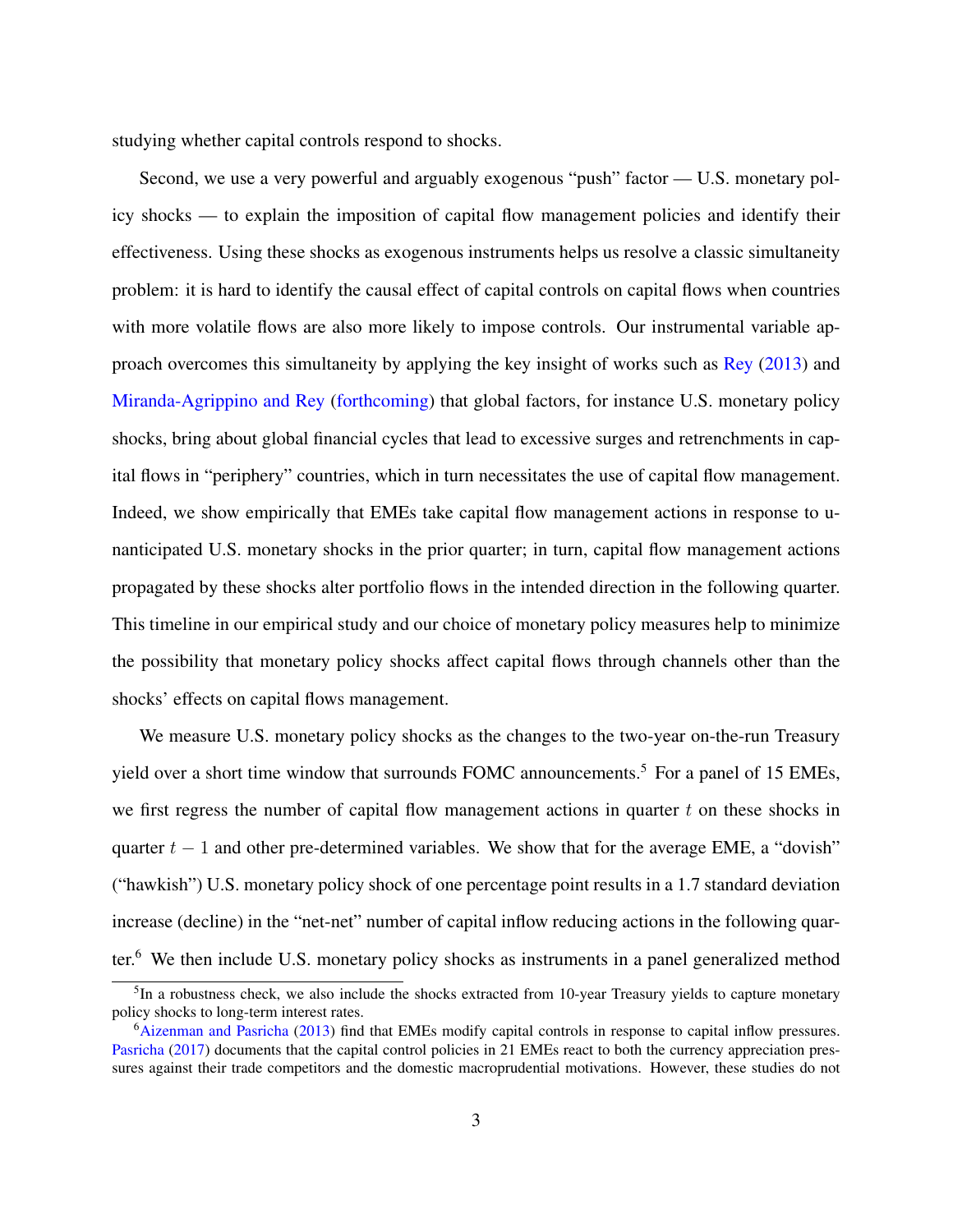studying whether capital controls respond to shocks.

Second, we use a very powerful and arguably exogenous "push" factor — U.S. monetary policy shocks — to explain the imposition of capital flow management policies and identify their effectiveness. Using these shocks as exogenous instruments helps us resolve a classic simultaneity problem: it is hard to identify the causal effect of capital controls on capital flows when countries with more volatile flows are also more likely to impose controls. Our instrumental variable approach overcomes this simultaneity by applying the key insight of works such as [Rey](#page-38-0) [\(2013\)](#page-38-0) and [Miranda-Agrippino and Rey](#page-38-4) [\(forthcoming\)](#page-38-4) that global factors, for instance U.S. monetary policy shocks, bring about global financial cycles that lead to excessive surges and retrenchments in capital flows in "periphery" countries, which in turn necessitates the use of capital flow management. Indeed, we show empirically that EMEs take capital flow management actions in response to unanticipated U.S. monetary shocks in the prior quarter; in turn, capital flow management actions propagated by these shocks alter portfolio flows in the intended direction in the following quarter. This timeline in our empirical study and our choice of monetary policy measures help to minimize the possibility that monetary policy shocks affect capital flows through channels other than the shocks' effects on capital flows management.

We measure U.S. monetary policy shocks as the changes to the two-year on-the-run Treasury yield over a short time window that surrounds FOMC announcements.<sup>[5](#page-3-0)</sup> For a panel of 15 EMEs, we first regress the number of capital flow management actions in quarter  $t$  on these shocks in quarter  $t - 1$  and other pre-determined variables. We show that for the average EME, a "dovish" ("hawkish") U.S. monetary policy shock of one percentage point results in a 1.7 standard deviation increase (decline) in the "net-net" number of capital inflow reducing actions in the following quarter.[6](#page-3-1) We then include U.S. monetary policy shocks as instruments in a panel generalized method

<span id="page-3-0"></span><sup>&</sup>lt;sup>5</sup>In a robustness check, we also include the shocks extracted from 10-year Treasury yields to capture monetary policy shocks to long-term interest rates.

<span id="page-3-1"></span><sup>6</sup>[Aizenman and Pasricha](#page-33-0) [\(2013\)](#page-33-0) find that EMEs modify capital controls in response to capital inflow pressures. [Pasricha](#page-38-5) [\(2017\)](#page-38-5) documents that the capital control policies in 21 EMEs react to both the currency appreciation pressures against their trade competitors and the domestic macroprudential motivations. However, these studies do not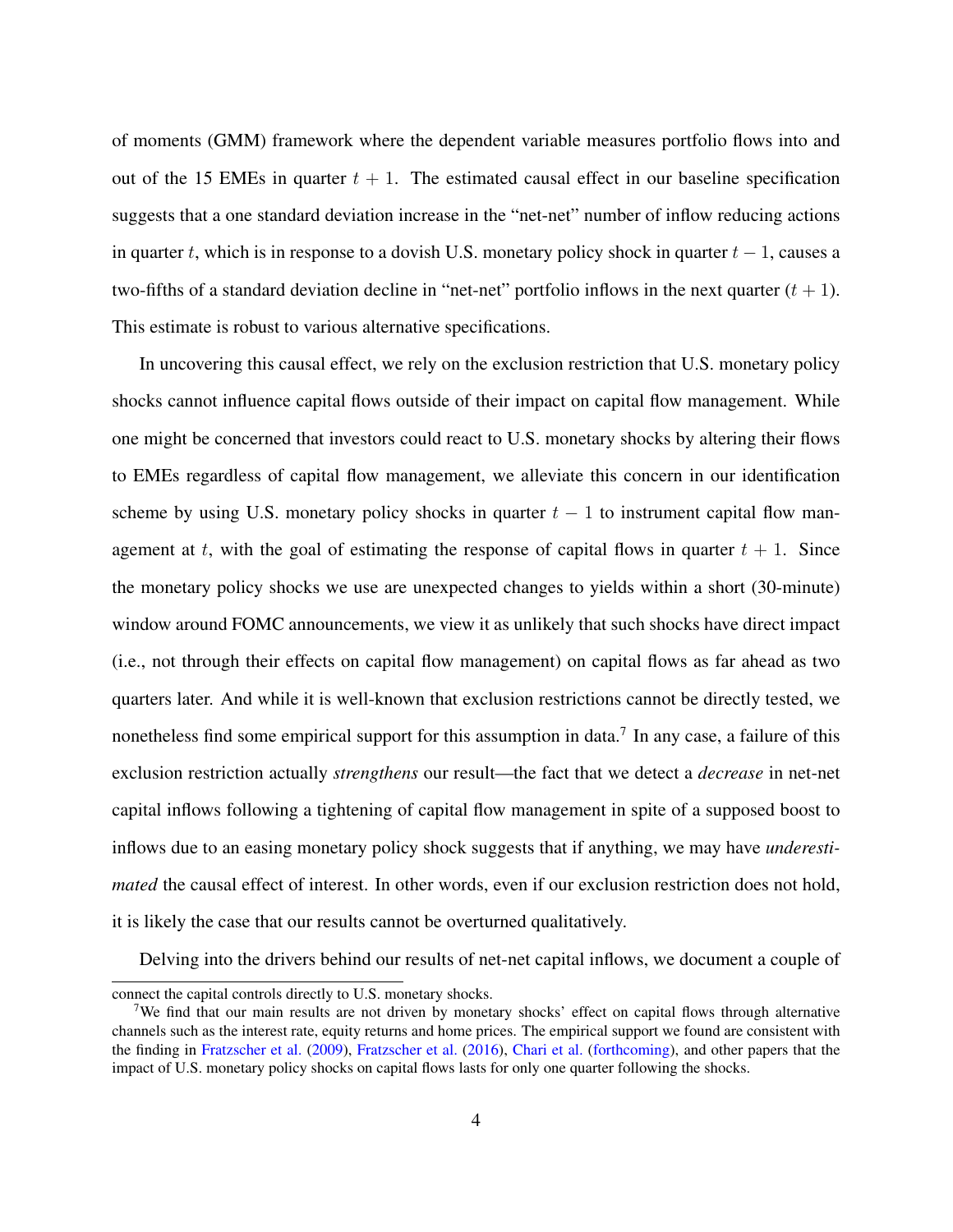of moments (GMM) framework where the dependent variable measures portfolio flows into and out of the 15 EMEs in quarter  $t + 1$ . The estimated causal effect in our baseline specification suggests that a one standard deviation increase in the "net-net" number of inflow reducing actions in quarter t, which is in response to a dovish U.S. monetary policy shock in quarter  $t - 1$ , causes a two-fifths of a standard deviation decline in "net-net" portfolio inflows in the next quarter  $(t + 1)$ . This estimate is robust to various alternative specifications.

In uncovering this causal effect, we rely on the exclusion restriction that U.S. monetary policy shocks cannot influence capital flows outside of their impact on capital flow management. While one might be concerned that investors could react to U.S. monetary shocks by altering their flows to EMEs regardless of capital flow management, we alleviate this concern in our identification scheme by using U.S. monetary policy shocks in quarter  $t - 1$  to instrument capital flow management at t, with the goal of estimating the response of capital flows in quarter  $t + 1$ . Since the monetary policy shocks we use are unexpected changes to yields within a short (30-minute) window around FOMC announcements, we view it as unlikely that such shocks have direct impact (i.e., not through their effects on capital flow management) on capital flows as far ahead as two quarters later. And while it is well-known that exclusion restrictions cannot be directly tested, we nonetheless find some empirical support for this assumption in data.<sup>[7](#page-4-0)</sup> In any case, a failure of this exclusion restriction actually *strengthens* our result—the fact that we detect a *decrease* in net-net capital inflows following a tightening of capital flow management in spite of a supposed boost to inflows due to an easing monetary policy shock suggests that if anything, we may have *underestimated* the causal effect of interest. In other words, even if our exclusion restriction does not hold, it is likely the case that our results cannot be overturned qualitatively.

Delving into the drivers behind our results of net-net capital inflows, we document a couple of

connect the capital controls directly to U.S. monetary shocks.

<span id="page-4-0"></span><sup>&</sup>lt;sup>7</sup>We find that our main results are not driven by monetary shocks' effect on capital flows through alternative channels such as the interest rate, equity returns and home prices. The empirical support we found are consistent with the finding in [Fratzscher et al.](#page-36-3) [\(2009\)](#page-36-3), [Fratzscher et al.](#page-36-4) [\(2016\)](#page-36-4), [Chari et al.](#page-34-2) [\(forthcoming\)](#page-34-2), and other papers that the impact of U.S. monetary policy shocks on capital flows lasts for only one quarter following the shocks.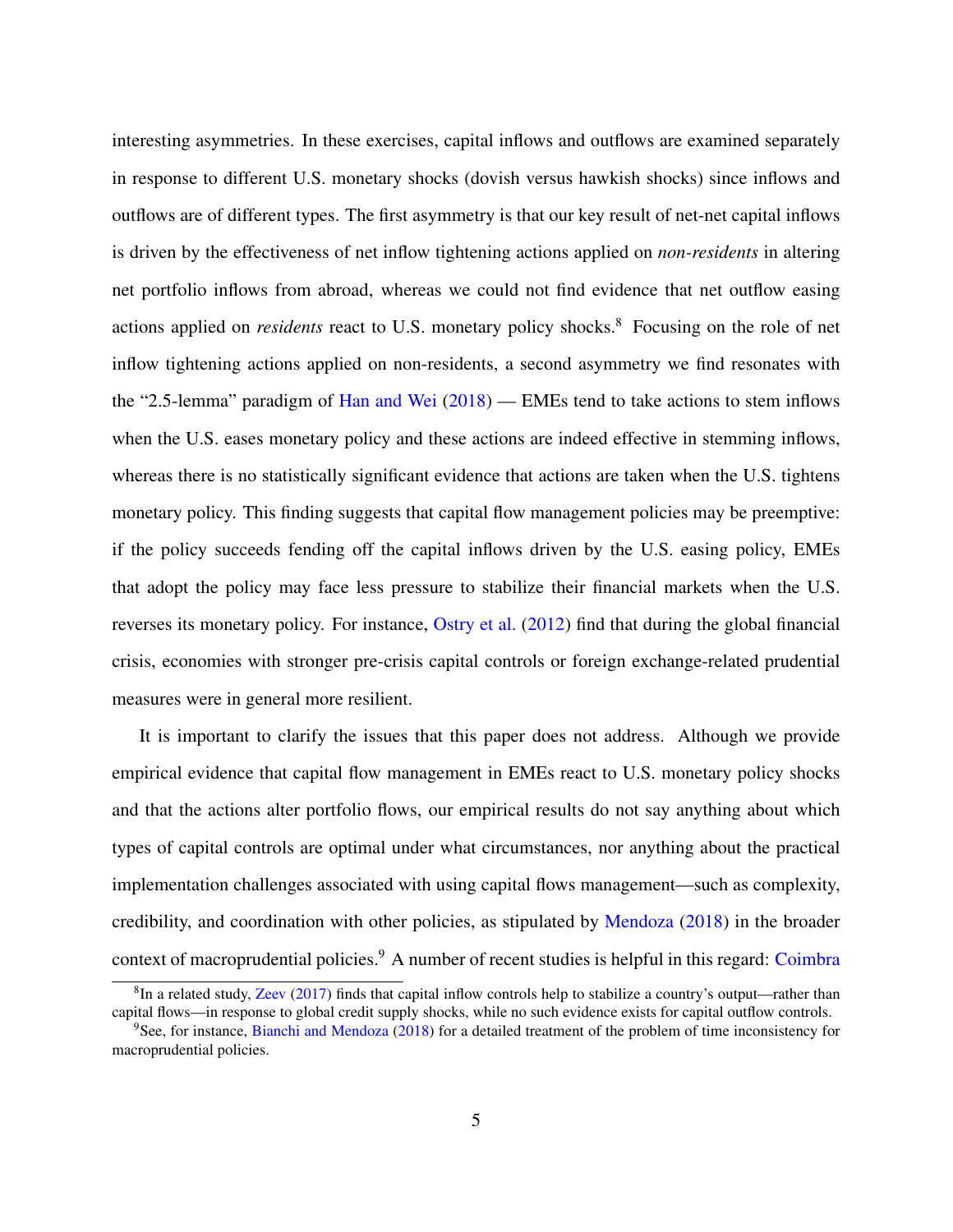interesting asymmetries. In these exercises, capital inflows and outflows are examined separately in response to different U.S. monetary shocks (dovish versus hawkish shocks) since inflows and outflows are of different types. The first asymmetry is that our key result of net-net capital inflows is driven by the effectiveness of net inflow tightening actions applied on *non-residents* in altering net portfolio inflows from abroad, whereas we could not find evidence that net outflow easing actions applied on *residents* react to U.S. monetary policy shocks.<sup>[8](#page-5-0)</sup> Focusing on the role of net inflow tightening actions applied on non-residents, a second asymmetry we find resonates with the "2.5-lemma" paradigm of [Han and Wei](#page-36-5) [\(2018\)](#page-36-5) — EMEs tend to take actions to stem inflows when the U.S. eases monetary policy and these actions are indeed effective in stemming inflows, whereas there is no statistically significant evidence that actions are taken when the U.S. tightens monetary policy. This finding suggests that capital flow management policies may be preemptive: if the policy succeeds fending off the capital inflows driven by the U.S. easing policy, EMEs that adopt the policy may face less pressure to stabilize their financial markets when the U.S. reverses its monetary policy. For instance, [Ostry et al.](#page-38-2) [\(2012\)](#page-38-2) find that during the global financial crisis, economies with stronger pre-crisis capital controls or foreign exchange-related prudential measures were in general more resilient.

It is important to clarify the issues that this paper does not address. Although we provide empirical evidence that capital flow management in EMEs react to U.S. monetary policy shocks and that the actions alter portfolio flows, our empirical results do not say anything about which types of capital controls are optimal under what circumstances, nor anything about the practical implementation challenges associated with using capital flows management—such as complexity, credibility, and coordination with other policies, as stipulated by [Mendoza](#page-38-6) [\(2018\)](#page-38-6) in the broader context of macroprudential policies.<sup>[9](#page-5-1)</sup> A number of recent studies is helpful in this regard: [Coimbra](#page-34-3)

<span id="page-5-0"></span> ${}^{8}$ In a related study, [Zeev](#page-39-0) [\(2017\) finds that capital inflow controls help to stabilize a country's output—rather than](#page-34-3) [capital flows—in response to global credit supply shocks, while no such evidence exists for capital outflow controls.](#page-34-3)

<span id="page-5-1"></span><sup>9</sup>See, for instance, [Bianchi and Mendoza](#page-34-4) [\(2018\) for a detailed treatment of the problem of time inconsistency for](#page-34-3) [macroprudential policies.](#page-34-3)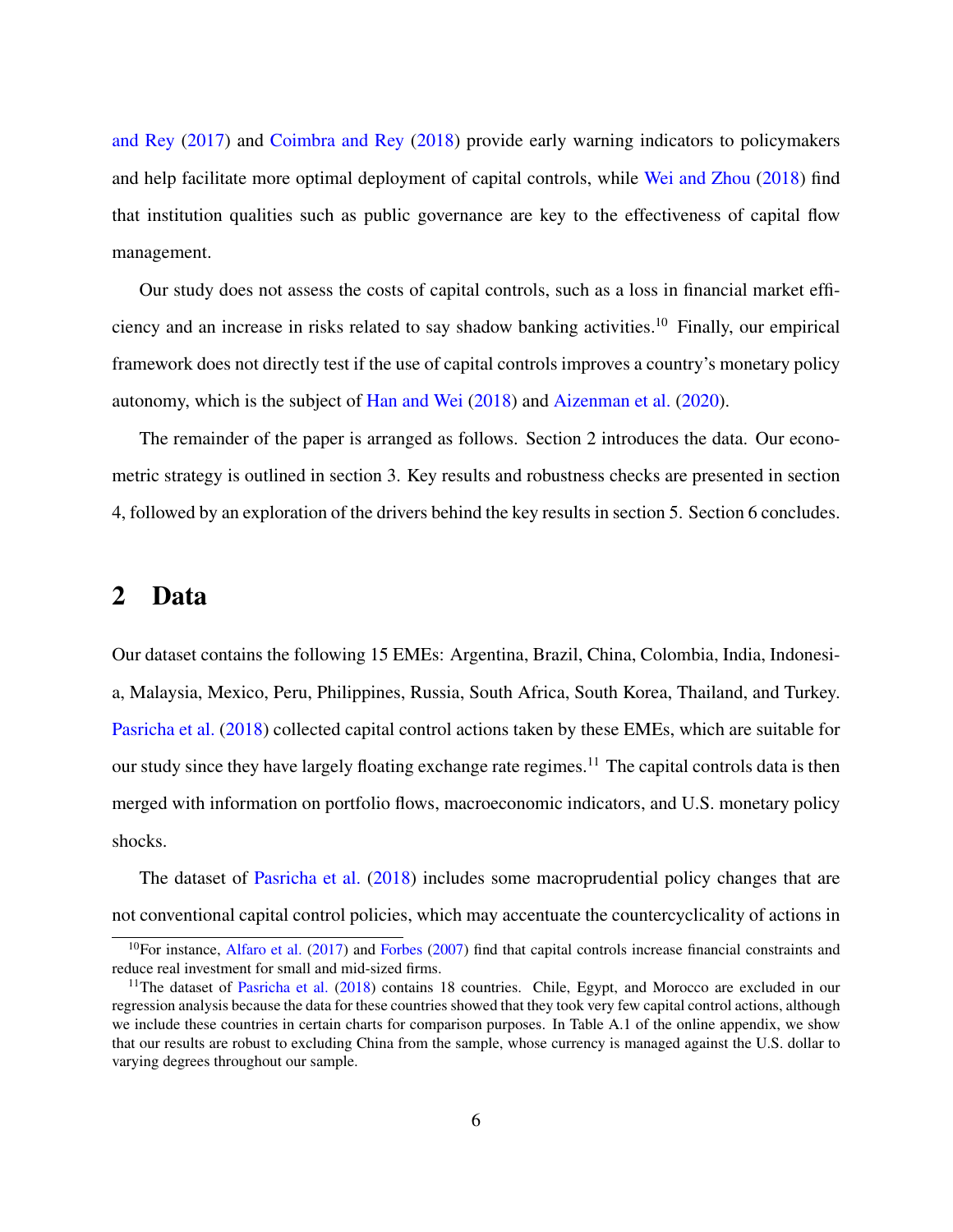[and Rey](#page-34-3) [\(2017\)](#page-34-3) and [Coimbra and Rey](#page-34-5) [\(2018\)](#page-34-5) provide early warning indicators to policymakers and help facilitate more optimal deployment of capital controls, while [Wei and Zhou](#page-39-1) [\(2018\)](#page-39-1) find that institution qualities such as public governance are key to the effectiveness of capital flow management.

Our study does not assess the costs of capital controls, such as a loss in financial market efficiency and an increase in risks related to say shadow banking activities.[10](#page-6-0) Finally, our empirical framework does not directly test if the use of capital controls improves a country's monetary policy autonomy, which is the subject of [Han and Wei](#page-36-5) [\(2018\)](#page-36-5) and [Aizenman et al.](#page-33-1) [\(2020\)](#page-33-1).

The remainder of the paper is arranged as follows. Section [2](#page-6-1) introduces the data. Our econometric strategy is outlined in section [3.](#page-14-0) Key results and robustness checks are presented in section [4,](#page-19-0) followed by an exploration of the drivers behind the key results in section [5.](#page-28-0) Section [6](#page-31-0) concludes.

## <span id="page-6-1"></span>2 Data

Our dataset contains the following 15 EMEs: Argentina, Brazil, China, Colombia, India, Indonesia, Malaysia, Mexico, Peru, Philippines, Russia, South Africa, South Korea, Thailand, and Turkey. [Pasricha et al.](#page-38-3) [\(2018\)](#page-38-3) collected capital control actions taken by these EMEs, which are suitable for our study since they have largely floating exchange rate regimes.<sup>[11](#page-6-2)</sup> The capital controls data is then merged with information on portfolio flows, macroeconomic indicators, and U.S. monetary policy shocks.

The dataset of [Pasricha et al.](#page-38-3) [\(2018\)](#page-38-3) includes some macroprudential policy changes that are not conventional capital control policies, which may accentuate the countercyclicality of actions in

<span id="page-6-0"></span> $10$ For instance, [Alfaro et al.](#page-33-2) [\(2017\)](#page-33-2) and [Forbes](#page-35-5) [\(2007\)](#page-35-5) find that capital controls increase financial constraints and reduce real investment for small and mid-sized firms.

<span id="page-6-2"></span><sup>&</sup>lt;sup>11</sup>The dataset of [Pasricha et al.](#page-38-3) [\(2018\)](#page-38-3) contains 18 countries. Chile, Egypt, and Morocco are excluded in our regression analysis because the data for these countries showed that they took very few capital control actions, although we include these countries in certain charts for comparison purposes. In Table [A.1](#page-55-0) of the online appendix, we show that our results are robust to excluding China from the sample, whose currency is managed against the U.S. dollar to varying degrees throughout our sample.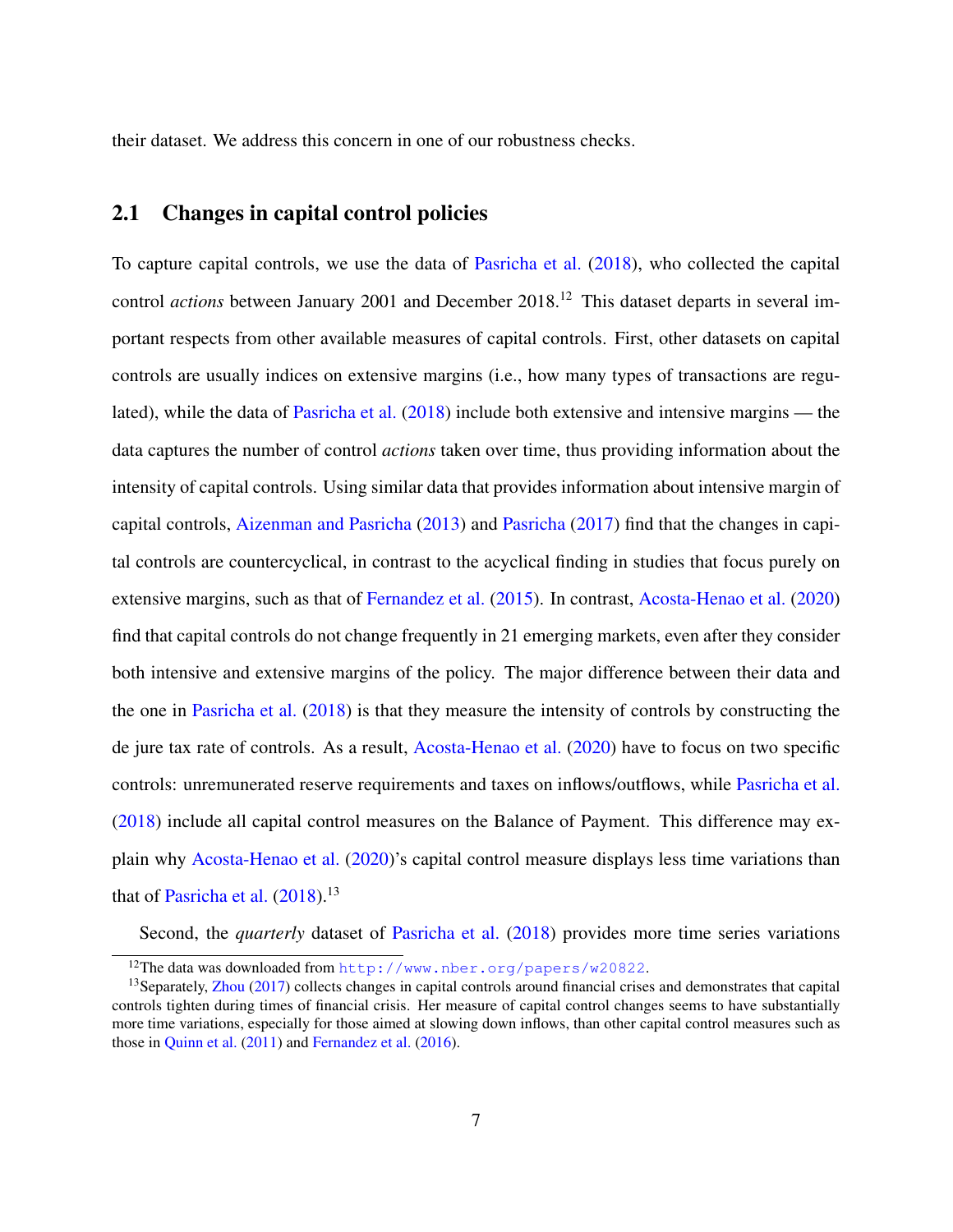their dataset. We address this concern in one of our robustness checks.

## <span id="page-7-2"></span>2.1 Changes in capital control policies

To capture capital controls, we use the data of [Pasricha et al.](#page-38-3) [\(2018\)](#page-38-3), who collected the capital control *actions* between January 2001 and December 2018.<sup>[12](#page-7-0)</sup> This dataset departs in several important respects from other available measures of capital controls. First, other datasets on capital controls are usually indices on extensive margins (i.e., how many types of transactions are regulated), while the data of [Pasricha et al.](#page-38-3) [\(2018\)](#page-38-3) include both extensive and intensive margins — the data captures the number of control *actions* taken over time, thus providing information about the intensity of capital controls. Using similar data that provides information about intensive margin of capital controls, [Aizenman and Pasricha](#page-33-0) [\(2013\)](#page-33-0) and [Pasricha](#page-38-5) [\(2017\)](#page-38-5) find that the changes in capital controls are countercyclical, in contrast to the acyclical finding in studies that focus purely on extensive margins, such as that of [Fernandez et al.](#page-35-6) [\(2015\)](#page-35-6). In contrast, [Acosta-Henao et al.](#page-33-3) [\(2020\)](#page-33-3) find that capital controls do not change frequently in 21 emerging markets, even after they consider both intensive and extensive margins of the policy. The major difference between their data and the one in [Pasricha et al.](#page-38-3) [\(2018\)](#page-38-3) is that they measure the intensity of controls by constructing the de jure tax rate of controls. As a result, [Acosta-Henao et al.](#page-33-3) [\(2020\)](#page-33-3) have to focus on two specific controls: unremunerated reserve requirements and taxes on inflows/outflows, while [Pasricha et al.](#page-38-3) [\(2018\)](#page-38-3) include all capital control measures on the Balance of Payment. This difference may explain why [Acosta-Henao et al.](#page-33-3) [\(2020\)](#page-33-3)'s capital control measure displays less time variations than that of [Pasricha et al.](#page-38-3)  $(2018).<sup>13</sup>$  $(2018).<sup>13</sup>$  $(2018).<sup>13</sup>$  $(2018).<sup>13</sup>$ 

Second, the *quarterly* dataset of [Pasricha et al.](#page-38-3) [\(2018\)](#page-38-3) provides more time series variations

<span id="page-7-1"></span><span id="page-7-0"></span><sup>12</sup>The data was downloaded from <http://www.nber.org/papers/w20822>.

<sup>&</sup>lt;sup>13</sup>Separately, [Zhou](#page-39-2) [\(2017\)](#page-39-2) collects changes in capital controls around financial crises and demonstrates that capital controls tighten during times of financial crisis. Her measure of capital control changes seems to have substantially more time variations, especially for those aimed at slowing down inflows, than other capital control measures such as those in [Quinn et al.](#page-38-7) [\(2011\)](#page-38-7) and [Fernandez et al.](#page-35-1) [\(2016\)](#page-35-1).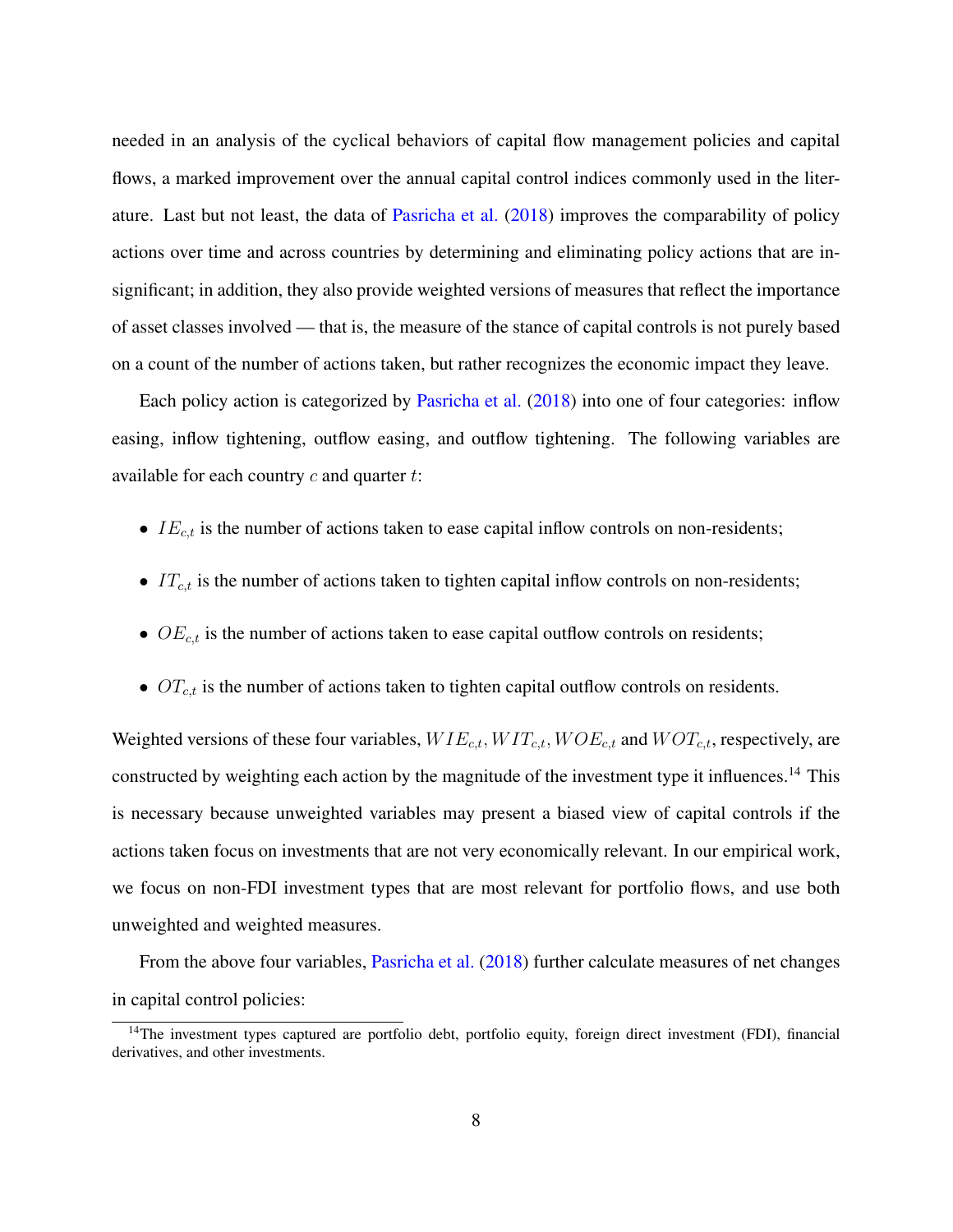needed in an analysis of the cyclical behaviors of capital flow management policies and capital flows, a marked improvement over the annual capital control indices commonly used in the literature. Last but not least, the data of [Pasricha et al.](#page-38-3) [\(2018\)](#page-38-3) improves the comparability of policy actions over time and across countries by determining and eliminating policy actions that are insignificant; in addition, they also provide weighted versions of measures that reflect the importance of asset classes involved — that is, the measure of the stance of capital controls is not purely based on a count of the number of actions taken, but rather recognizes the economic impact they leave.

Each policy action is categorized by [Pasricha et al.](#page-38-3) [\(2018\)](#page-38-3) into one of four categories: inflow easing, inflow tightening, outflow easing, and outflow tightening. The following variables are available for each country  $c$  and quarter  $t$ :

- $IE_{c,t}$  is the number of actions taken to ease capital inflow controls on non-residents;
- $IT_{c,t}$  is the number of actions taken to tighten capital inflow controls on non-residents;
- $OE_{c,t}$  is the number of actions taken to ease capital outflow controls on residents;
- $OT_{c,t}$  is the number of actions taken to tighten capital outflow controls on residents.

Weighted versions of these four variables,  $WIE_{c,t}$ ,  $WIT_{c,t}$ ,  $WOE_{c,t}$  and  $WOT_{c,t}$ , respectively, are constructed by weighting each action by the magnitude of the investment type it influences.<sup>[14](#page-8-0)</sup> This is necessary because unweighted variables may present a biased view of capital controls if the actions taken focus on investments that are not very economically relevant. In our empirical work, we focus on non-FDI investment types that are most relevant for portfolio flows, and use both unweighted and weighted measures.

From the above four variables, [Pasricha et al.](#page-38-3) [\(2018\)](#page-38-3) further calculate measures of net changes in capital control policies:

<span id="page-8-0"></span><sup>&</sup>lt;sup>14</sup>The investment types captured are portfolio debt, portfolio equity, foreign direct investment (FDI), financial derivatives, and other investments.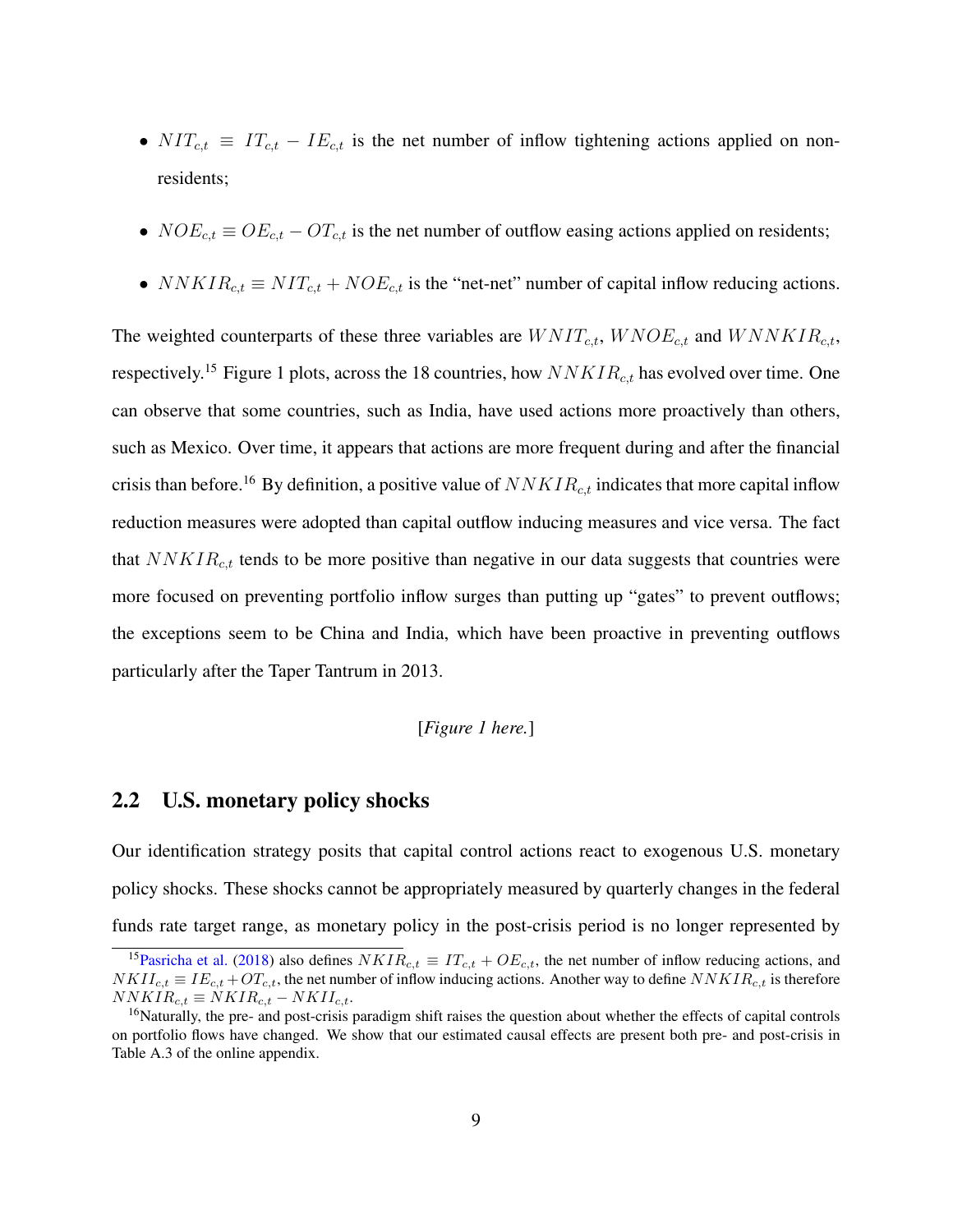- $NIT_{c,t} \equiv IT_{c,t} IE_{c,t}$  is the net number of inflow tightening actions applied on nonresidents;
- $NOE_{c,t} \equiv OE_{c,t} OT_{c,t}$  is the net number of outflow easing actions applied on residents;
- $NNKIR_{c,t} \equiv NIT_{c,t} + NOE_{c,t}$  is the "net-net" number of capital inflow reducing actions.

The weighted counterparts of these three variables are  $WNIT_{c,t}$ ,  $WNOE_{c,t}$  and  $WNNKIR_{c,t}$ , respectively.<sup>[15](#page-9-0)</sup> Figure [1](#page-40-0) plots, across the 18 countries, how  $NNKIR<sub>c,t</sub>$  has evolved over time. One can observe that some countries, such as India, have used actions more proactively than others, such as Mexico. Over time, it appears that actions are more frequent during and after the financial crisis than before.<sup>[16](#page-9-1)</sup> By definition, a positive value of  $NNKIR_{c,t}$  indicates that more capital inflow reduction measures were adopted than capital outflow inducing measures and vice versa. The fact that  $NNKIR<sub>ct</sub>$  tends to be more positive than negative in our data suggests that countries were more focused on preventing portfolio inflow surges than putting up "gates" to prevent outflows; the exceptions seem to be China and India, which have been proactive in preventing outflows particularly after the Taper Tantrum in 2013.

#### [*Figure [1](#page-40-0) here.*]

### <span id="page-9-2"></span>2.2 U.S. monetary policy shocks

Our identification strategy posits that capital control actions react to exogenous U.S. monetary policy shocks. These shocks cannot be appropriately measured by quarterly changes in the federal funds rate target range, as monetary policy in the post-crisis period is no longer represented by

<span id="page-9-0"></span><sup>&</sup>lt;sup>15</sup>[Pasricha et al.](#page-38-3) [\(2018\)](#page-38-3) also defines  $N K I R_{c,t} \equiv I T_{c,t} + O E_{c,t}$ , the net number of inflow reducing actions, and  $NKII_{c,t} \equiv IE_{c,t} + OT_{c,t}$ , the net number of inflow inducing actions. Another way to define  $NNKIR_{c,t}$  is therefore  $NNKIR_{c,t} \equiv NKIR_{c,t} - NKII_{c,t}.$ 

<span id="page-9-1"></span><sup>&</sup>lt;sup>16</sup>Naturally, the pre- and post-crisis paradigm shift raises the question about whether the effects of capital controls on portfolio flows have changed. We show that our estimated causal effects are present both pre- and post-crisis in Table [A.3](#page-57-0) of the online appendix.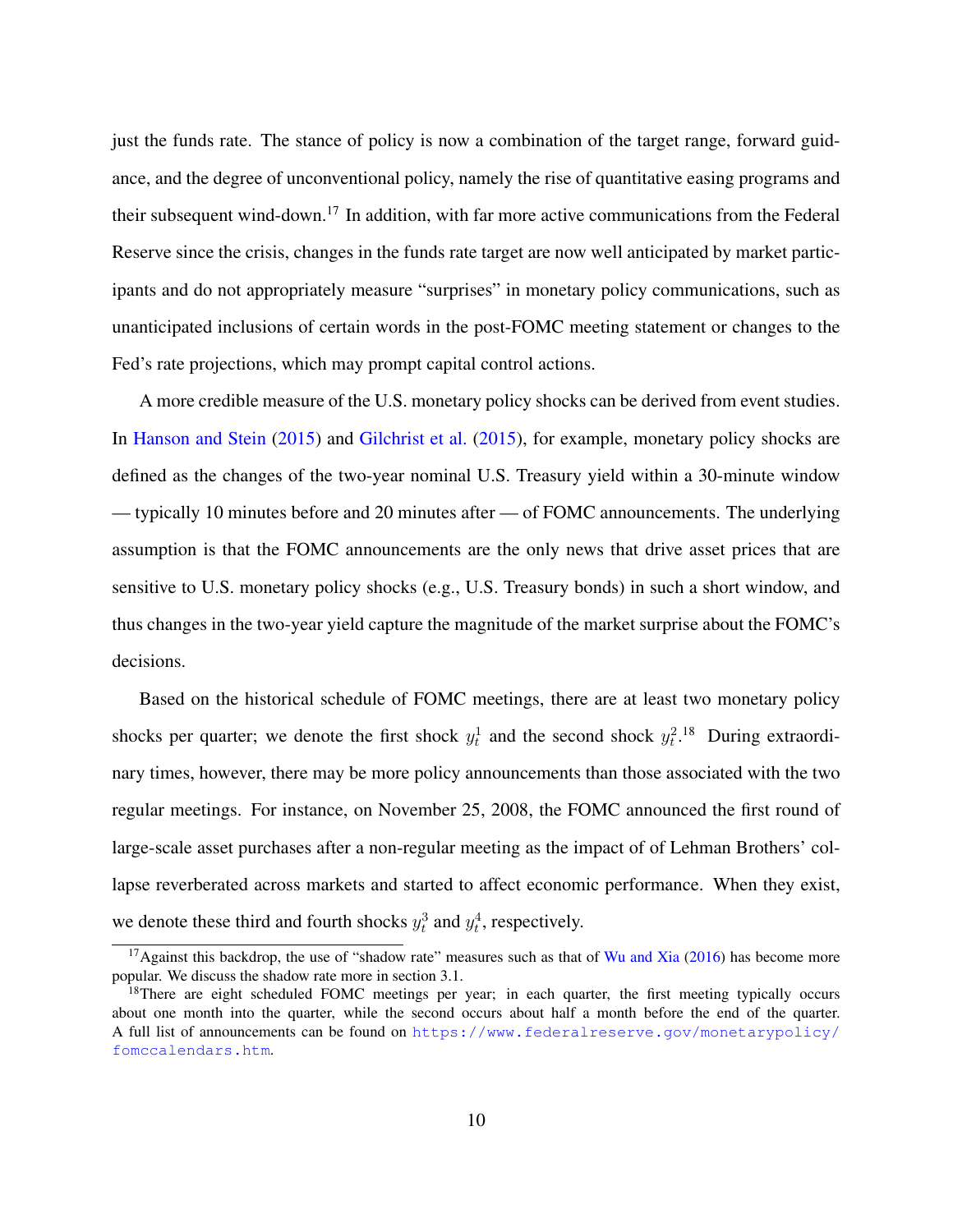just the funds rate. The stance of policy is now a combination of the target range, forward guidance, and the degree of unconventional policy, namely the rise of quantitative easing programs and their subsequent wind-down.[17](#page-10-0) In addition, with far more active communications from the Federal Reserve since the crisis, changes in the funds rate target are now well anticipated by market participants and do not appropriately measure "surprises" in monetary policy communications, such as unanticipated inclusions of certain words in the post-FOMC meeting statement or changes to the Fed's rate projections, which may prompt capital control actions.

A more credible measure of the U.S. monetary policy shocks can be derived from event studies. In [Hanson and Stein](#page-36-6) [\(2015\)](#page-36-7) and [Gilchrist et al.](#page-36-7) (2015), for example, monetary policy shocks are defined as the changes of the two-year nominal U.S. Treasury yield within a 30-minute window — typically 10 minutes before and 20 minutes after — of FOMC announcements. The underlying assumption is that the FOMC announcements are the only news that drive asset prices that are sensitive to U.S. monetary policy shocks (e.g., U.S. Treasury bonds) in such a short window, and thus changes in the two-year yield capture the magnitude of the market surprise about the FOMC's decisions.

Based on the historical schedule of FOMC meetings, there are at least two monetary policy shocks per quarter; we denote the first shock  $y_t^1$  and the second shock  $y_t^2$ .<sup>[18](#page-10-1)</sup> During extraordinary times, however, there may be more policy announcements than those associated with the two regular meetings. For instance, on November 25, 2008, the FOMC announced the first round of large-scale asset purchases after a non-regular meeting as the impact of of Lehman Brothers' collapse reverberated across markets and started to affect economic performance. When they exist, we denote these third and fourth shocks  $y_t^3$  and  $y_t^4$ , respectively.

<span id="page-10-0"></span><sup>&</sup>lt;sup>17</sup>Against this backdrop, the use of "shadow rate" measures such as that of [Wu and Xia](#page-39-3) [\(2016\)](#page-39-3) has become more popular. We discuss the shadow rate more in section [3.1.](#page-14-1)

<span id="page-10-1"></span><sup>&</sup>lt;sup>18</sup>There are eight scheduled FOMC meetings per year; in each quarter, the first meeting typically occurs about one month into the quarter, while the second occurs about half a month before the end of the quarter. A full list of announcements can be found on [https://www.federalreserve.gov/monetarypolicy/](https://www.federalreserve.gov/monetarypolicy/fomccalendars.htm) [fomccalendars.htm](https://www.federalreserve.gov/monetarypolicy/fomccalendars.htm).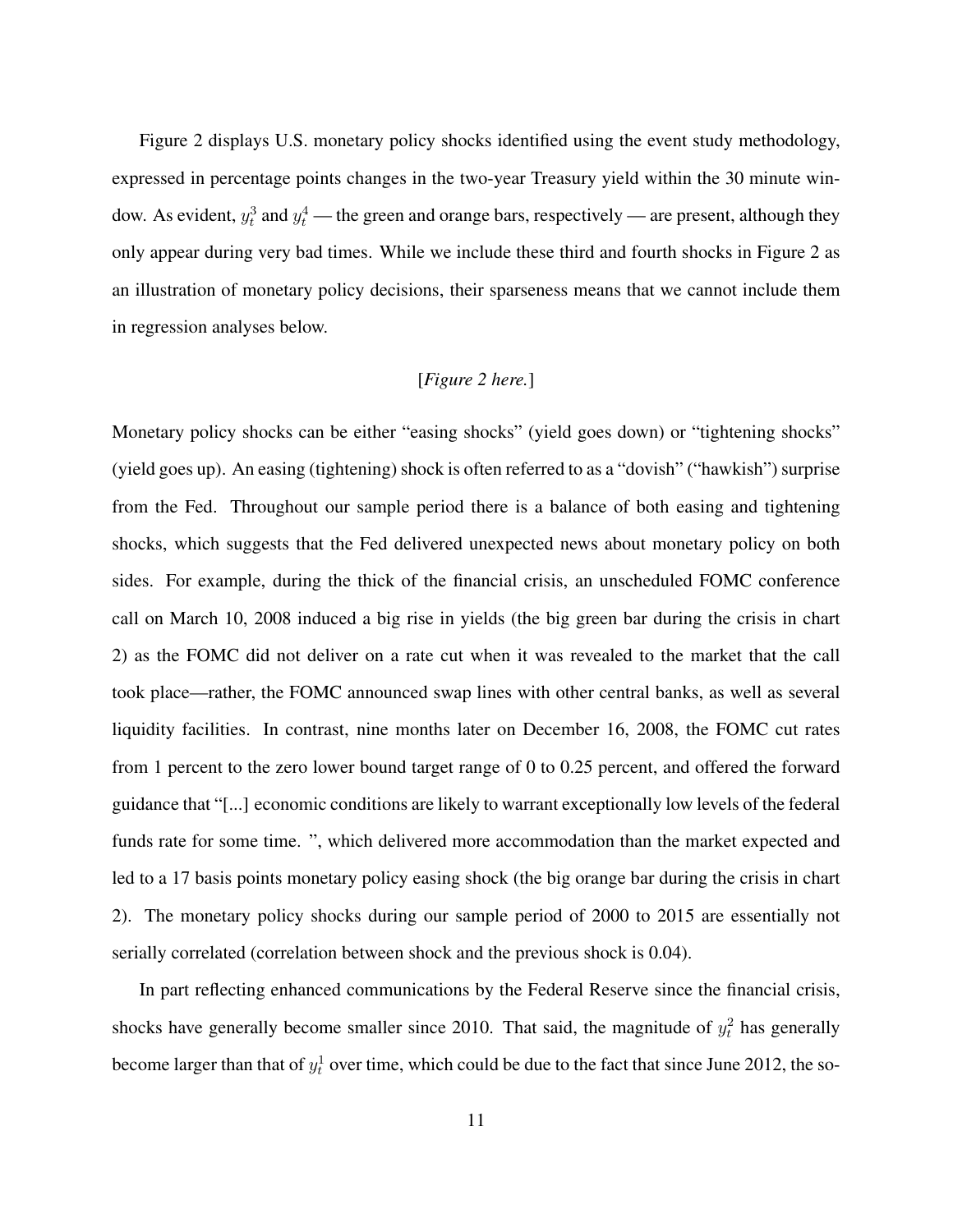Figure [2](#page-41-0) displays U.S. monetary policy shocks identified using the event study methodology, expressed in percentage points changes in the two-year Treasury yield within the 30 minute window. As evident,  $y_t^3$  and  $y_t^4$  — the green and orange bars, respectively — are present, although they only appear during very bad times. While we include these third and fourth shocks in Figure [2](#page-41-0) as an illustration of monetary policy decisions, their sparseness means that we cannot include them in regression analyses below.

## [*Figure [2](#page-41-0) here.*]

Monetary policy shocks can be either "easing shocks" (yield goes down) or "tightening shocks" (yield goes up). An easing (tightening) shock is often referred to as a "dovish" ("hawkish") surprise from the Fed. Throughout our sample period there is a balance of both easing and tightening shocks, which suggests that the Fed delivered unexpected news about monetary policy on both sides. For example, during the thick of the financial crisis, an unscheduled FOMC conference call on March 10, 2008 induced a big rise in yields (the big green bar during the crisis in chart [2\)](#page-41-0) as the FOMC did not deliver on a rate cut when it was revealed to the market that the call took place—rather, the FOMC announced swap lines with other central banks, as well as several liquidity facilities. In contrast, nine months later on December 16, 2008, the FOMC cut rates from 1 percent to the zero lower bound target range of 0 to 0.25 percent, and offered the forward guidance that "[...] economic conditions are likely to warrant exceptionally low levels of the federal funds rate for some time. ", which delivered more accommodation than the market expected and led to a 17 basis points monetary policy easing shock (the big orange bar during the crisis in chart [2\)](#page-41-0). The monetary policy shocks during our sample period of 2000 to 2015 are essentially not serially correlated (correlation between shock and the previous shock is 0.04).

In part reflecting enhanced communications by the Federal Reserve since the financial crisis, shocks have generally become smaller since 2010. That said, the magnitude of  $y_t^2$  has generally become larger than that of  $y_t^1$  over time, which could be due to the fact that since June 2012, the so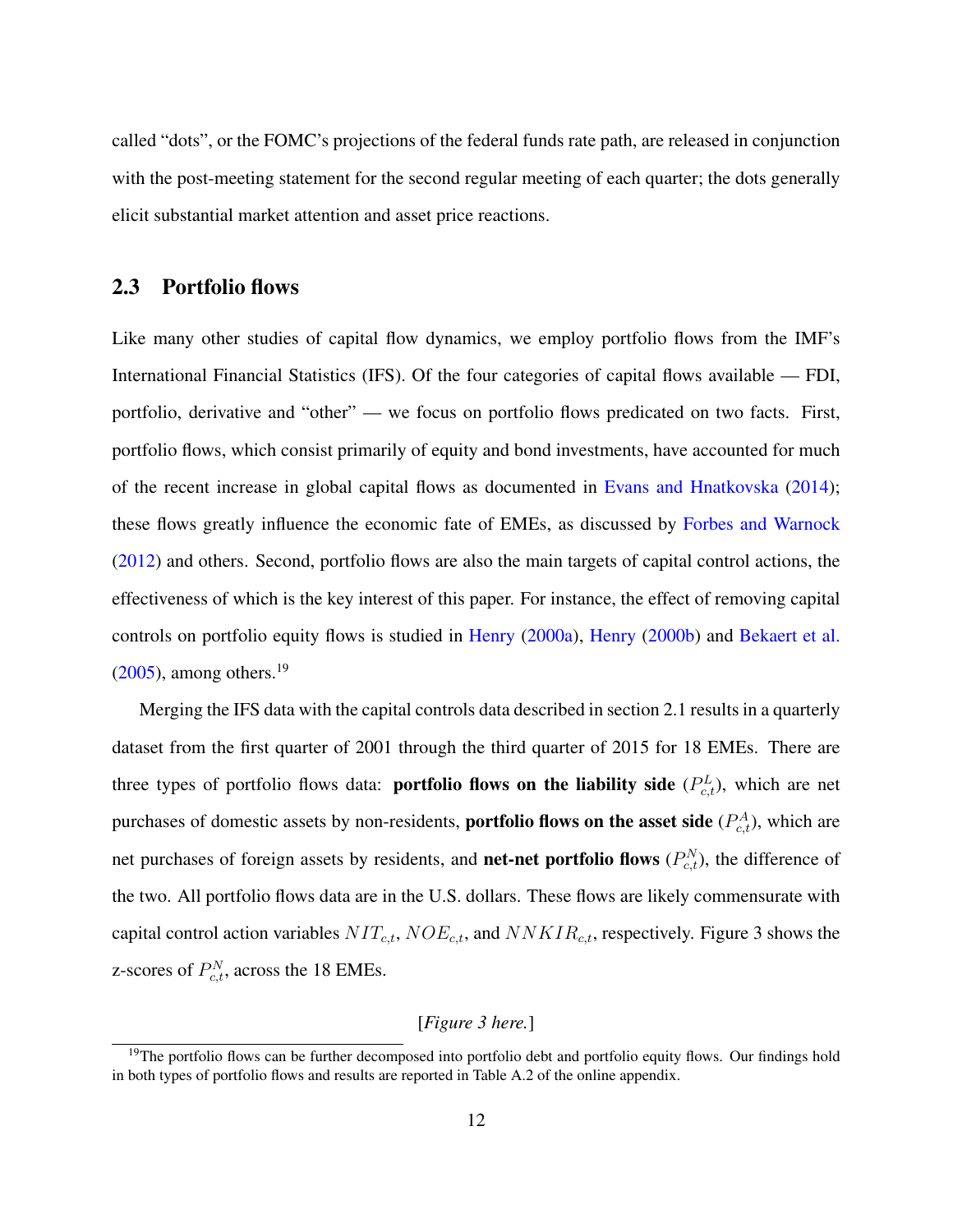called "dots", or the FOMC's projections of the federal funds rate path, are released in conjunction with the post-meeting statement for the second regular meeting of each quarter; the dots generally elicit substantial market attention and asset price reactions.

### <span id="page-12-1"></span>2.3 Portfolio flows

Like many other studies of capital flow dynamics, we employ portfolio flows from the IMF's International Financial Statistics (IFS). Of the four categories of capital flows available — FDI, portfolio, derivative and "other" — we focus on portfolio flows predicated on two facts. First, portfolio flows, which consist primarily of equity and bond investments, have accounted for much of the recent increase in global capital flows as documented in [Evans and Hnatkovska](#page-35-7) [\(2014\)](#page-35-7); these flows greatly influence the economic fate of EMEs, as discussed by [Forbes and Warnock](#page-35-8) [\(2012\)](#page-35-8) and others. Second, portfolio flows are also the main targets of capital control actions, the effectiveness of which is the key interest of this paper. For instance, the effect of removing capital controls on portfolio equity flows is studied in [Henry](#page-37-7) [\(2000a\)](#page-37-7), [Henry](#page-37-8) [\(2000b\)](#page-37-8) and [Bekaert et al.](#page-33-4)  $(2005)$ , among others.<sup>[19](#page-12-0)</sup>

Merging the IFS data with the capital controls data described in section [2.1](#page-7-2) results in a quarterly dataset from the first quarter of 2001 through the third quarter of 2015 for 18 EMEs. There are three types of portfolio flows data: **portfolio flows on the liability side**  $(P_{c,t}^L)$ , which are net purchases of domestic assets by non-residents, **portfolio flows on the asset side**  $(P_{c,t}^A)$ , which are net purchases of foreign assets by residents, and **net-net portfolio flows**  $(P_{c,t}^N)$ , the difference of the two. All portfolio flows data are in the U.S. dollars. These flows are likely commensurate with capital control action variables  $NIT_{c,t}$ ,  $NOE_{c,t}$ , and  $NNKIR_{c,t}$ , respectively. Figure [3](#page-42-0) shows the z-scores of  $P_{c,t}^N$ , across the 18 EMEs.

#### [*Figure [3](#page-42-0) here.*]

<span id="page-12-0"></span><sup>&</sup>lt;sup>19</sup>The portfolio flows can be further decomposed into portfolio debt and portfolio equity flows. Our findings hold in both types of portfolio flows and results are reported in Table [A.2](#page-56-0) of the online appendix.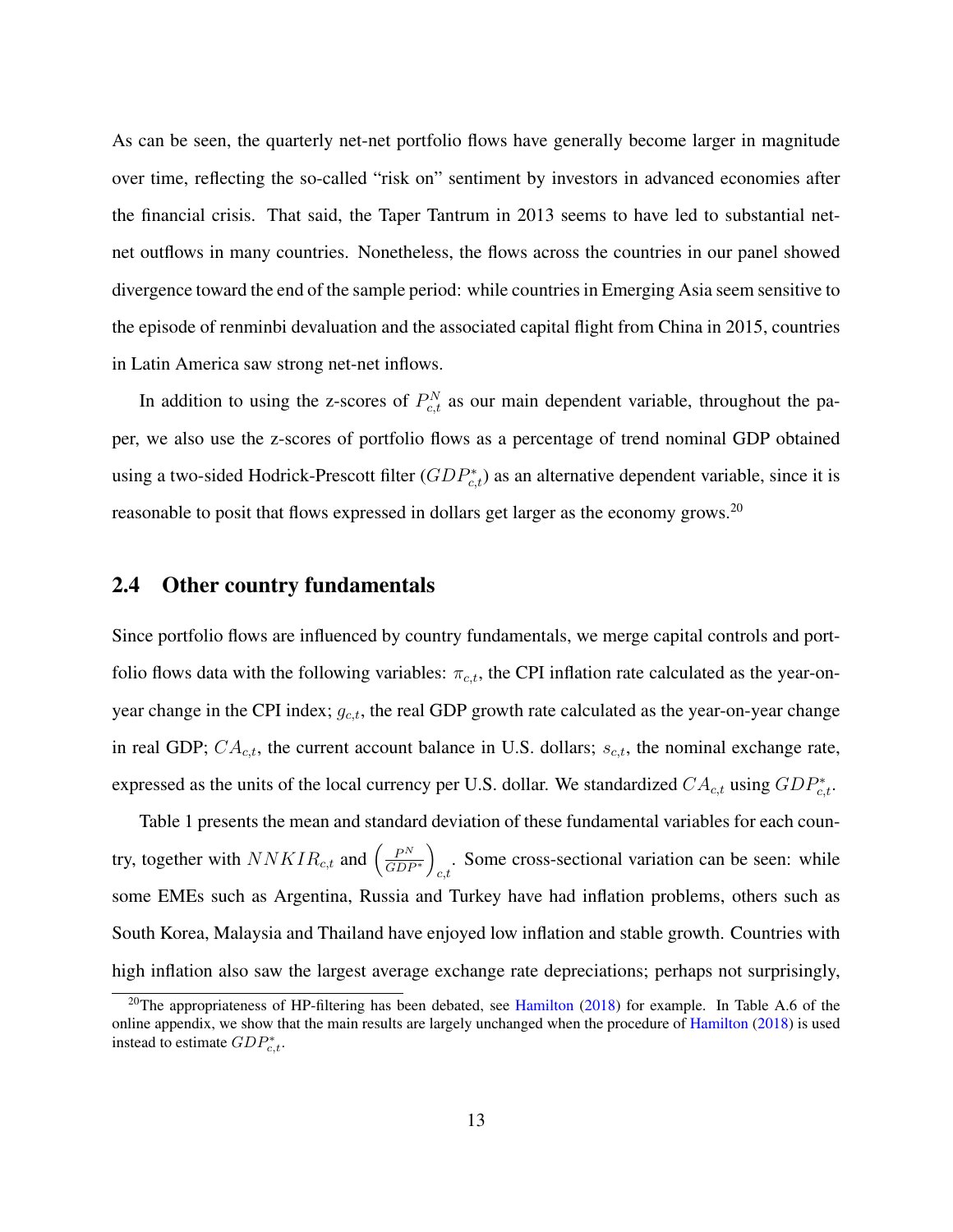As can be seen, the quarterly net-net portfolio flows have generally become larger in magnitude over time, reflecting the so-called "risk on" sentiment by investors in advanced economies after the financial crisis. That said, the Taper Tantrum in 2013 seems to have led to substantial netnet outflows in many countries. Nonetheless, the flows across the countries in our panel showed divergence toward the end of the sample period: while countries in Emerging Asia seem sensitive to the episode of renminbi devaluation and the associated capital flight from China in 2015, countries in Latin America saw strong net-net inflows.

In addition to using the z-scores of  $P_{c,t}^N$  as our main dependent variable, throughout the paper, we also use the z-scores of portfolio flows as a percentage of trend nominal GDP obtained using a two-sided Hodrick-Prescott filter  $(GDP_{c,t}^*)$  as an alternative dependent variable, since it is reasonable to posit that flows expressed in dollars get larger as the economy grows.<sup>[20](#page-13-0)</sup>

### <span id="page-13-1"></span>2.4 Other country fundamentals

Since portfolio flows are influenced by country fundamentals, we merge capital controls and portfolio flows data with the following variables:  $\pi_{c,t}$ , the CPI inflation rate calculated as the year-onyear change in the CPI index;  $g_{c,t}$ , the real GDP growth rate calculated as the year-on-year change in real GDP;  $CA_{c,t}$ , the current account balance in U.S. dollars;  $s_{c,t}$ , the nominal exchange rate, expressed as the units of the local currency per U.S. dollar. We standardized  $CA_{c,t}$  using  $GDP_{c,t}^*$ .

Table [1](#page-44-0) presents the mean and standard deviation of these fundamental variables for each country, together with  $NNKIR_{c,t}$  and  $\left(\frac{P^N}{GDR}\right)$  $\frac{P^N}{GDP^*}$ . Some cross-sectional variation can be seen: while some EMEs such as Argentina, Russia and Turkey have had inflation problems, others such as South Korea, Malaysia and Thailand have enjoyed low inflation and stable growth. Countries with high inflation also saw the largest average exchange rate depreciations; perhaps not surprisingly,

<span id="page-13-0"></span><sup>&</sup>lt;sup>20</sup>The appropriateness of HP-filtering has been debated, see [Hamilton](#page-36-8) [\(2018\)](#page-36-8) for example. In Table [A.6](#page-60-0) of the online appendix, we show that the main results are largely unchanged when the procedure of [Hamilton](#page-36-8) [\(2018\)](#page-36-8) is used instead to estimate  $GDP_{c,t}^*$ .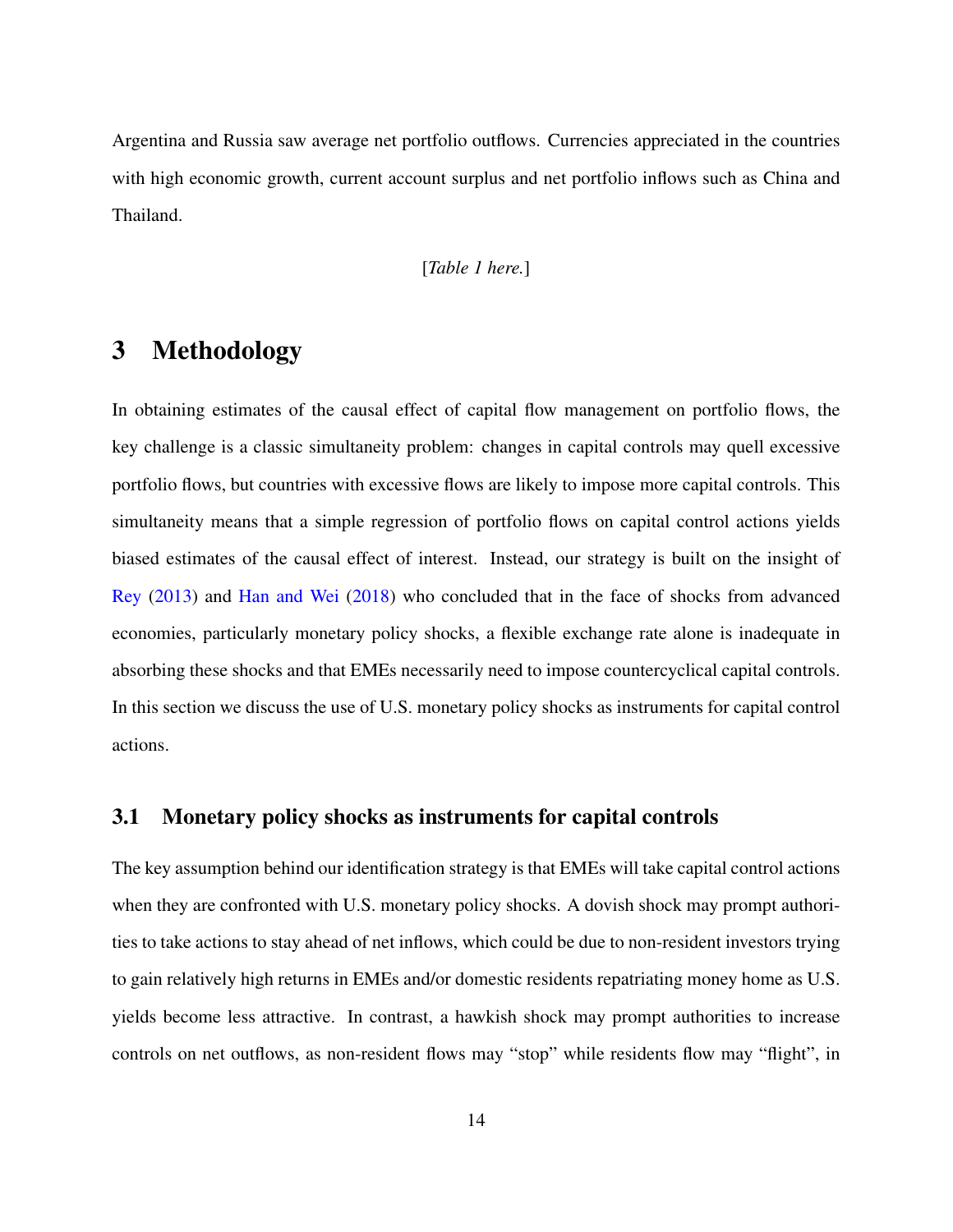Argentina and Russia saw average net portfolio outflows. Currencies appreciated in the countries with high economic growth, current account surplus and net portfolio inflows such as China and Thailand.

#### [*Table [1](#page-44-0) here.*]

## <span id="page-14-0"></span>3 Methodology

In obtaining estimates of the causal effect of capital flow management on portfolio flows, the key challenge is a classic simultaneity problem: changes in capital controls may quell excessive portfolio flows, but countries with excessive flows are likely to impose more capital controls. This simultaneity means that a simple regression of portfolio flows on capital control actions yields biased estimates of the causal effect of interest. Instead, our strategy is built on the insight of [Rey](#page-38-0) [\(2013\)](#page-38-0) and [Han and Wei](#page-36-5) [\(2018\)](#page-36-5) who concluded that in the face of shocks from advanced economies, particularly monetary policy shocks, a flexible exchange rate alone is inadequate in absorbing these shocks and that EMEs necessarily need to impose countercyclical capital controls. In this section we discuss the use of U.S. monetary policy shocks as instruments for capital control actions.

### <span id="page-14-1"></span>3.1 Monetary policy shocks as instruments for capital controls

The key assumption behind our identification strategy is that EMEs will take capital control actions when they are confronted with U.S. monetary policy shocks. A dovish shock may prompt authorities to take actions to stay ahead of net inflows, which could be due to non-resident investors trying to gain relatively high returns in EMEs and/or domestic residents repatriating money home as U.S. yields become less attractive. In contrast, a hawkish shock may prompt authorities to increase controls on net outflows, as non-resident flows may "stop" while residents flow may "flight", in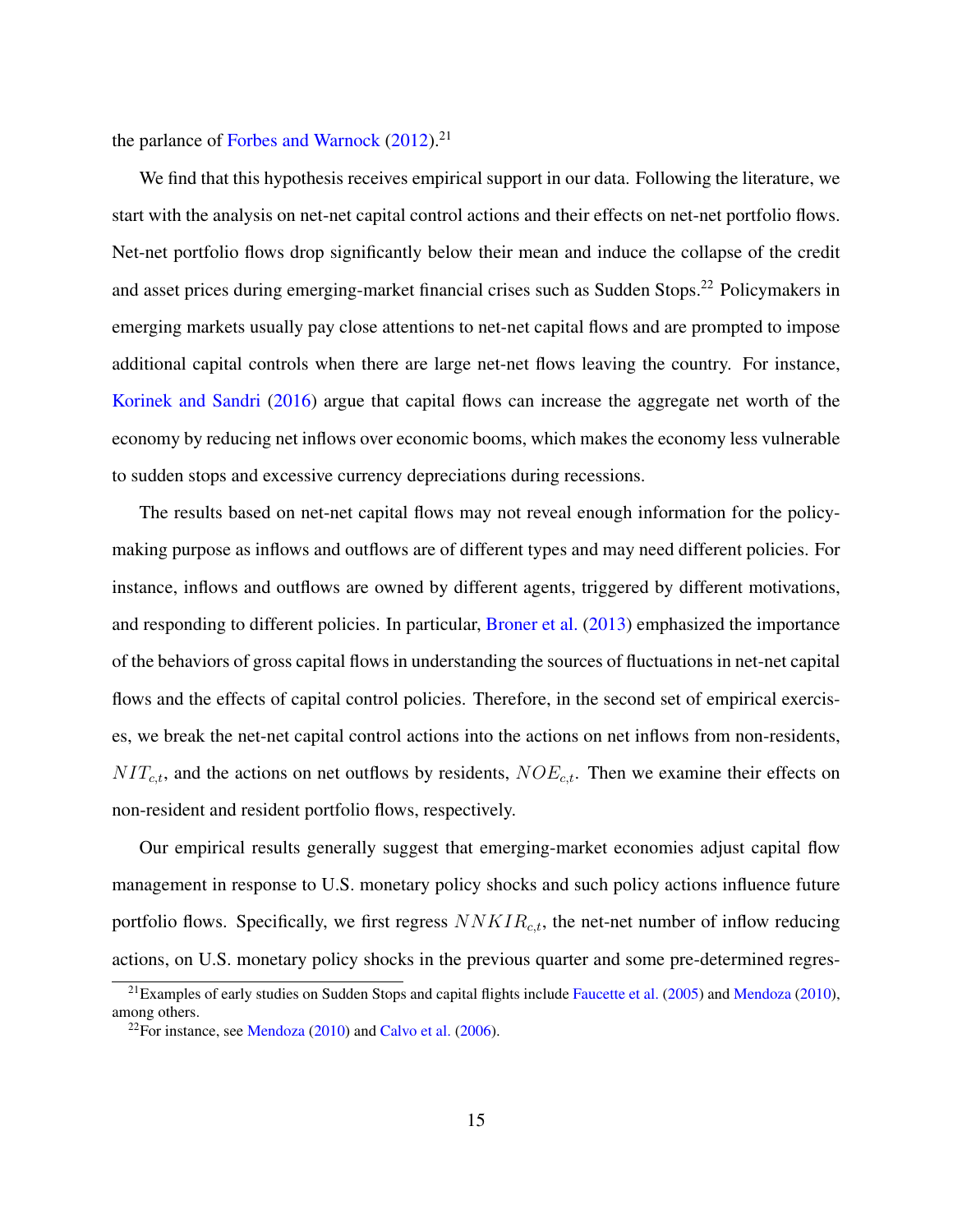the parlance of [Forbes and Warnock](#page-35-8)  $(2012).^{21}$  $(2012).^{21}$  $(2012).^{21}$  $(2012).^{21}$ 

We find that this hypothesis receives empirical support in our data. Following the literature, we start with the analysis on net-net capital control actions and their effects on net-net portfolio flows. Net-net portfolio flows drop significantly below their mean and induce the collapse of the credit and asset prices during emerging-market financial crises such as Sudden Stops.<sup>[22](#page-15-1)</sup> Policymakers in emerging markets usually pay close attentions to net-net capital flows and are prompted to impose additional capital controls when there are large net-net flows leaving the country. For instance, [Korinek and Sandri](#page-37-9) [\(2016\)](#page-37-9) argue that capital flows can increase the aggregate net worth of the economy by reducing net inflows over economic booms, which makes the economy less vulnerable to sudden stops and excessive currency depreciations during recessions.

The results based on net-net capital flows may not reveal enough information for the policymaking purpose as inflows and outflows are of different types and may need different policies. For instance, inflows and outflows are owned by different agents, triggered by different motivations, and responding to different policies. In particular, [Broner et al.](#page-34-6) [\(2013\)](#page-34-6) emphasized the importance of the behaviors of gross capital flows in understanding the sources of fluctuations in net-net capital flows and the effects of capital control policies. Therefore, in the second set of empirical exercises, we break the net-net capital control actions into the actions on net inflows from non-residents,  $NIT_{c,t}$ , and the actions on net outflows by residents,  $NOE_{c,t}$ . Then we examine their effects on non-resident and resident portfolio flows, respectively.

Our empirical results generally suggest that emerging-market economies adjust capital flow management in response to U.S. monetary policy shocks and such policy actions influence future portfolio flows. Specifically, we first regress  $NNKIR_{c,t}$ , the net-net number of inflow reducing actions, on U.S. monetary policy shocks in the previous quarter and some pre-determined regres-

<span id="page-15-0"></span> $21$ Examples of early studies on Sudden Stops and capital flights include [Faucette et al.](#page-35-9) [\(2005\)](#page-35-9) and [Mendoza](#page-38-8) [\(2010\)](#page-38-8), among others.

<span id="page-15-1"></span> $22$ For instance, see [Mendoza](#page-38-8) [\(2010\)](#page-38-8) and [Calvo et al.](#page-34-7) [\(2006\)](#page-34-7).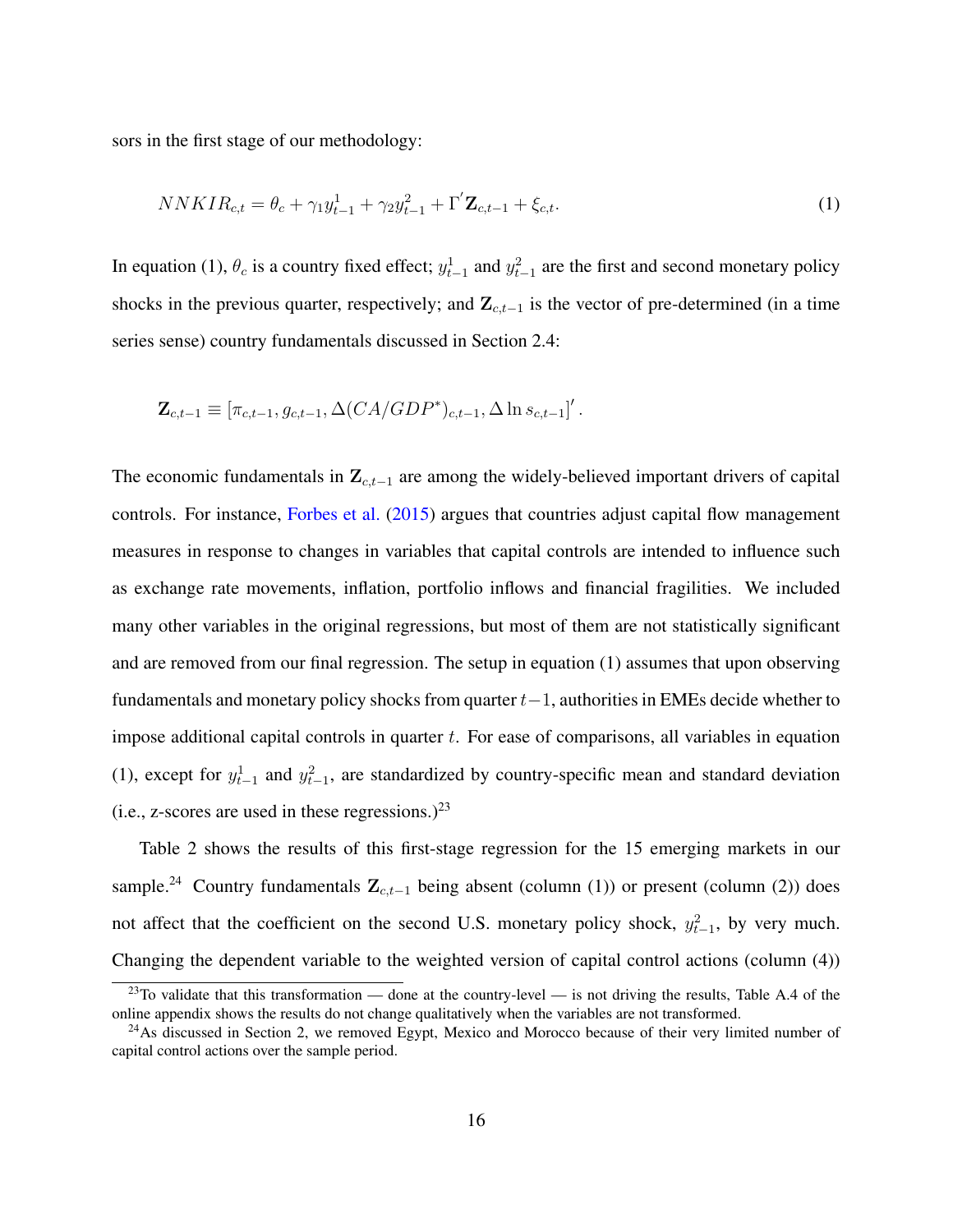sors in the first stage of our methodology:

<span id="page-16-0"></span>
$$
NNKIR_{c,t} = \theta_c + \gamma_1 y_{t-1}^1 + \gamma_2 y_{t-1}^2 + \Gamma' \mathbf{Z}_{c,t-1} + \xi_{c,t}.
$$
\n<sup>(1)</sup>

In equation [\(1\)](#page-16-0),  $\theta_c$  is a country fixed effect;  $y_{t-1}^1$  and  $y_{t-1}^2$  are the first and second monetary policy shocks in the previous quarter, respectively; and  $\mathbf{Z}_{c,t-1}$  is the vector of pre-determined (in a time series sense) country fundamentals discussed in Section [2.4:](#page-13-1)

$$
\mathbf{Z}_{c,t-1} \equiv \left[ \pi_{c,t-1}, g_{c,t-1}, \Delta(CA/GDP^*)_{c,t-1}, \Delta \ln s_{c,t-1} \right]'.
$$

The economic fundamentals in  $\mathbf{Z}_{c,t-1}$  are among the widely-believed important drivers of capital controls. For instance, [Forbes et al.](#page-35-3) [\(2015\)](#page-35-3) argues that countries adjust capital flow management measures in response to changes in variables that capital controls are intended to influence such as exchange rate movements, inflation, portfolio inflows and financial fragilities. We included many other variables in the original regressions, but most of them are not statistically significant and are removed from our final regression. The setup in equation [\(1\)](#page-16-0) assumes that upon observing fundamentals and monetary policy shocks from quarter  $t-1$ , authorities in EMEs decide whether to impose additional capital controls in quarter  $t$ . For ease of comparisons, all variables in equation [\(1\)](#page-16-0), except for  $y_{t-1}^1$  and  $y_{t-1}^2$ , are standardized by country-specific mean and standard deviation (i.e., z-scores are used in these regressions.)<sup>[23](#page-16-1)</sup>

Table [2](#page-45-0) shows the results of this first-stage regression for the 15 emerging markets in our sample.<sup>[24](#page-16-2)</sup> Country fundamentals  $\mathbf{Z}_{c,t-1}$  being absent (column (1)) or present (column (2)) does not affect that the coefficient on the second U.S. monetary policy shock,  $y_{t-1}^2$ , by very much. Changing the dependent variable to the weighted version of capital control actions (column (4))

<span id="page-16-1"></span> $^{23}$ To validate that this transformation — done at the country-level — is not driving the results, Table [A.4](#page-58-0) of the online appendix shows the results do not change qualitatively when the variables are not transformed.

<span id="page-16-2"></span><sup>&</sup>lt;sup>24</sup>As discussed in Section [2,](#page-6-1) we removed Egypt, Mexico and Morocco because of their very limited number of capital control actions over the sample period.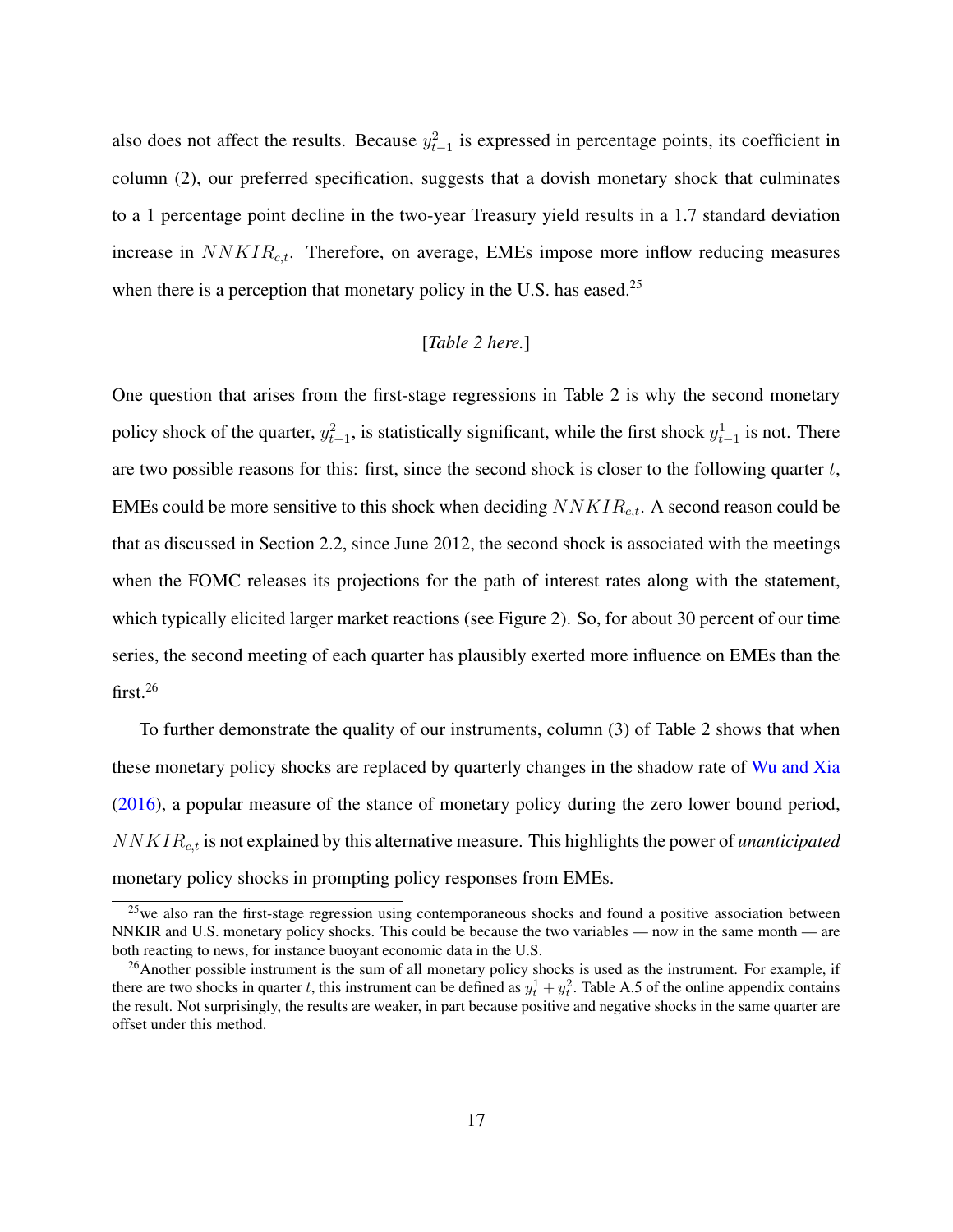also does not affect the results. Because  $y_{t-1}^2$  is expressed in percentage points, its coefficient in column (2), our preferred specification, suggests that a dovish monetary shock that culminates to a 1 percentage point decline in the two-year Treasury yield results in a 1.7 standard deviation increase in  $NNKIR_{c,t}$ . Therefore, on average, EMEs impose more inflow reducing measures when there is a perception that monetary policy in the U.S. has eased.<sup>[25](#page-17-0)</sup>

### [*Table [2](#page-45-0) here.*]

One question that arises from the first-stage regressions in Table [2](#page-45-0) is why the second monetary policy shock of the quarter,  $y_{t-1}^2$ , is statistically significant, while the first shock  $y_{t-1}^1$  is not. There are two possible reasons for this: first, since the second shock is closer to the following quarter t, EMEs could be more sensitive to this shock when deciding  $NNKIR_{c,t}$ . A second reason could be that as discussed in Section [2.2,](#page-9-2) since June 2012, the second shock is associated with the meetings when the FOMC releases its projections for the path of interest rates along with the statement, which typically elicited larger market reactions (see Figure [2\)](#page-41-0). So, for about 30 percent of our time series, the second meeting of each quarter has plausibly exerted more influence on EMEs than the first.[26](#page-17-1)

To further demonstrate the quality of our instruments, column (3) of Table [2](#page-45-0) shows that when these monetary policy shocks are replaced by quarterly changes in the shadow rate of [Wu and Xia](#page-39-3) [\(2016\)](#page-39-3), a popular measure of the stance of monetary policy during the zero lower bound period, NNKIRc,t is not explained by this alternative measure. This highlights the power of *unanticipated* monetary policy shocks in prompting policy responses from EMEs.

<span id="page-17-0"></span><sup>&</sup>lt;sup>25</sup>we also ran the first-stage regression using contemporaneous shocks and found a positive association between NNKIR and U.S. monetary policy shocks. This could be because the two variables — now in the same month — are both reacting to news, for instance buoyant economic data in the U.S.

<span id="page-17-1"></span><sup>&</sup>lt;sup>26</sup>Another possible instrument is the sum of all monetary policy shocks is used as the instrument. For example, if there are two shocks in quarter t, this instrument can be defined as  $y_t^1 + y_t^2$ . Table [A.5](#page-59-0) of the online appendix contains the result. Not surprisingly, the results are weaker, in part because positive and negative shocks in the same quarter are offset under this method.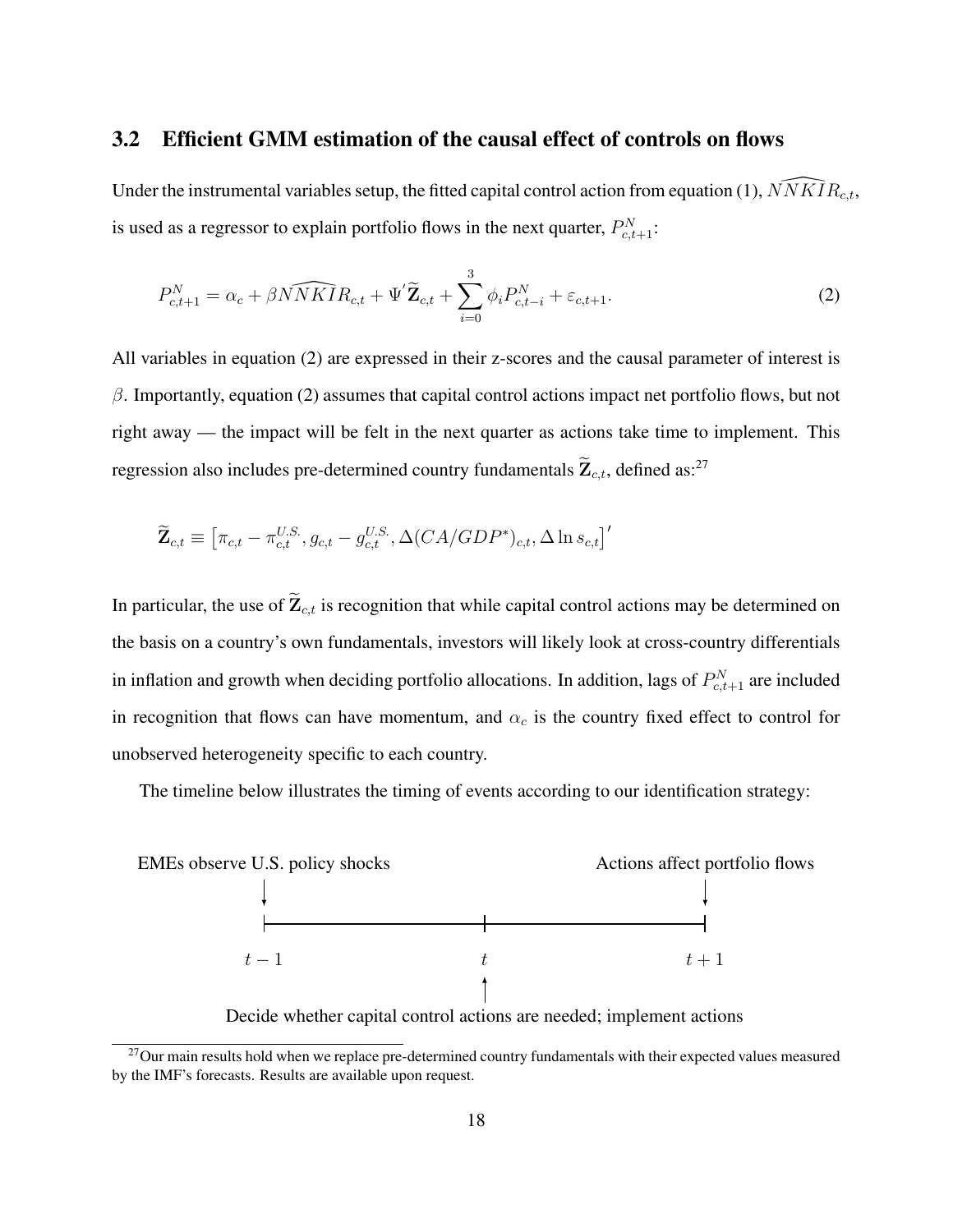### <span id="page-18-2"></span>3.2 Efficient GMM estimation of the causal effect of controls on flows

Under the instrumental variables setup, the fitted capital control action from equation [\(1\)](#page-16-0),  $\widehat{NNKIR}_{c,t}$ , is used as a regressor to explain portfolio flows in the next quarter,  $P_{c,t+1}^N$ :

<span id="page-18-0"></span>
$$
P_{c,t+1}^{N} = \alpha_c + \beta \widehat{NNKIR}_{c,t} + \Psi' \widetilde{\mathbf{Z}}_{c,t} + \sum_{i=0}^{3} \phi_i P_{c,t-i}^{N} + \varepsilon_{c,t+1}.
$$
 (2)

All variables in equation [\(2\)](#page-18-0) are expressed in their z-scores and the causal parameter of interest is  $\beta$ . Importantly, equation [\(2\)](#page-18-0) assumes that capital control actions impact net portfolio flows, but not right away — the impact will be felt in the next quarter as actions take time to implement. This regression also includes pre-determined country fundamentals  $\mathbf{Z}_{c,t}$ , defined as:<sup>[27](#page-18-1)</sup>

$$
\widetilde{\mathbf{Z}}_{c,t} \equiv \left[\pi_{c,t} - \pi_{c,t}^{U.S.}, g_{c,t} - g_{c,t}^{U.S.}, \Delta(CA/GDP^*)_{c,t}, \Delta \ln s_{c,t}\right]'
$$

In particular, the use of  $\widetilde{\mathbf{Z}}_{c,t}$  is recognition that while capital control actions may be determined on the basis on a country's own fundamentals, investors will likely look at cross-country differentials in inflation and growth when deciding portfolio allocations. In addition, lags of  $P_{c,t+1}^N$  are included in recognition that flows can have momentum, and  $\alpha_c$  is the country fixed effect to control for unobserved heterogeneity specific to each country.

The timeline below illustrates the timing of events according to our identification strategy:



Decide whether capital control actions are needed; implement actions

<span id="page-18-1"></span> $27$ Our main results hold when we replace pre-determined country fundamentals with their expected values measured by the IMF's forecasts. Results are available upon request.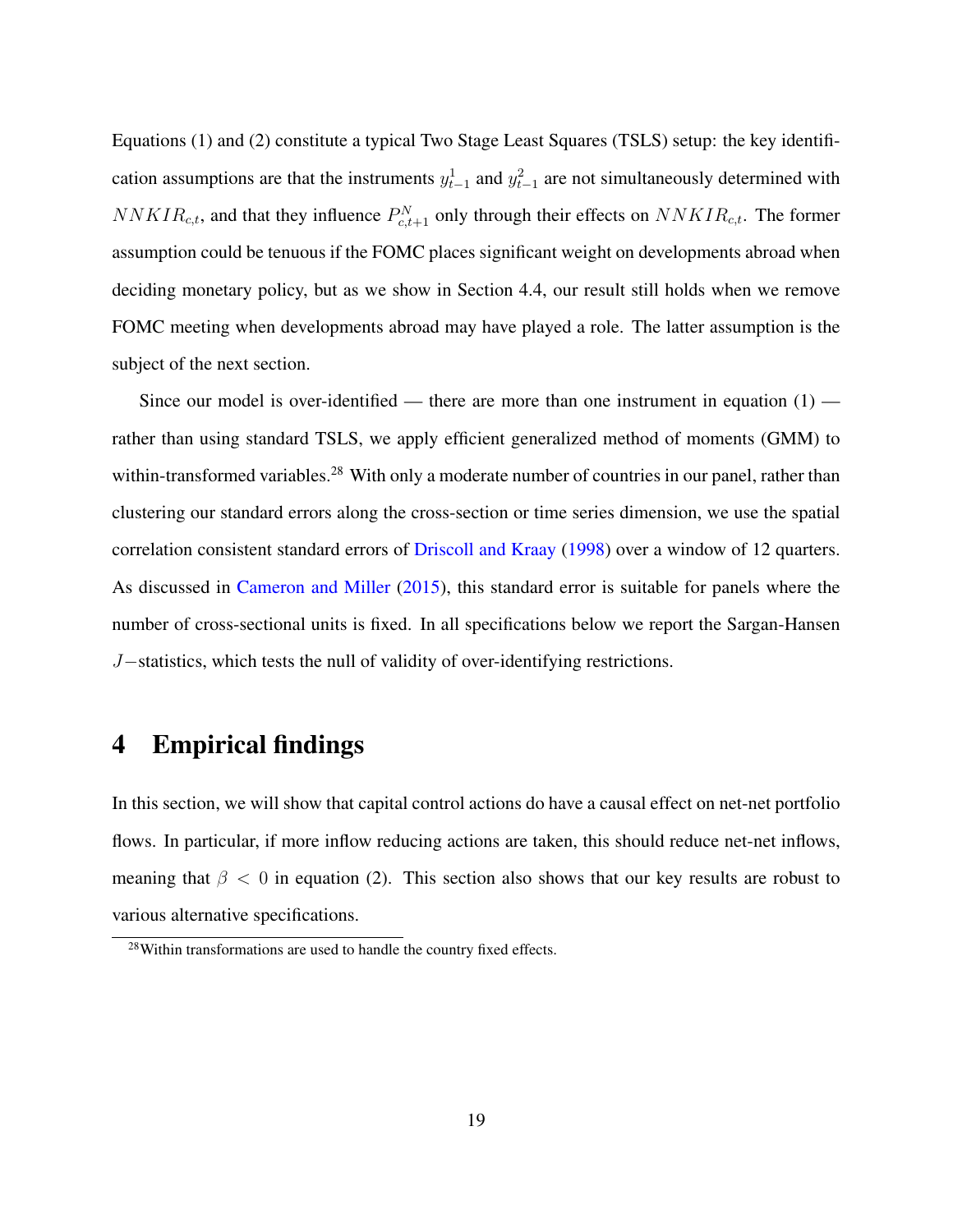Equations [\(1\)](#page-16-0) and [\(2\)](#page-18-0) constitute a typical Two Stage Least Squares (TSLS) setup: the key identification assumptions are that the instruments  $y_{t-1}^1$  and  $y_{t-1}^2$  are not simultaneously determined with  $NNKIR_{c,t}$ , and that they influence  $P_{c,t+1}^{N}$  only through their effects on  $NNKIR_{c,t}$ . The former assumption could be tenuous if the FOMC places significant weight on developments abroad when deciding monetary policy, but as we show in Section [4.4,](#page-24-0) our result still holds when we remove FOMC meeting when developments abroad may have played a role. The latter assumption is the subject of the next section.

Since our model is over-identified — there are more than one instrument in equation  $(1)$  rather than using standard TSLS, we apply efficient generalized method of moments (GMM) to within-transformed variables.<sup>[28](#page-19-1)</sup> With only a moderate number of countries in our panel, rather than clustering our standard errors along the cross-section or time series dimension, we use the spatial correlation consistent standard errors of [Driscoll and Kraay](#page-35-10) [\(1998\)](#page-35-10) over a window of 12 quarters. As discussed in [Cameron and Miller](#page-34-8) [\(2015\)](#page-34-8), this standard error is suitable for panels where the number of cross-sectional units is fixed. In all specifications below we report the Sargan-Hansen J−statistics, which tests the null of validity of over-identifying restrictions.

## <span id="page-19-0"></span>4 Empirical findings

In this section, we will show that capital control actions do have a causal effect on net-net portfolio flows. In particular, if more inflow reducing actions are taken, this should reduce net-net inflows, meaning that  $\beta < 0$  in equation [\(2\)](#page-18-0). This section also shows that our key results are robust to various alternative specifications.

<span id="page-19-1"></span><sup>28</sup>Within transformations are used to handle the country fixed effects.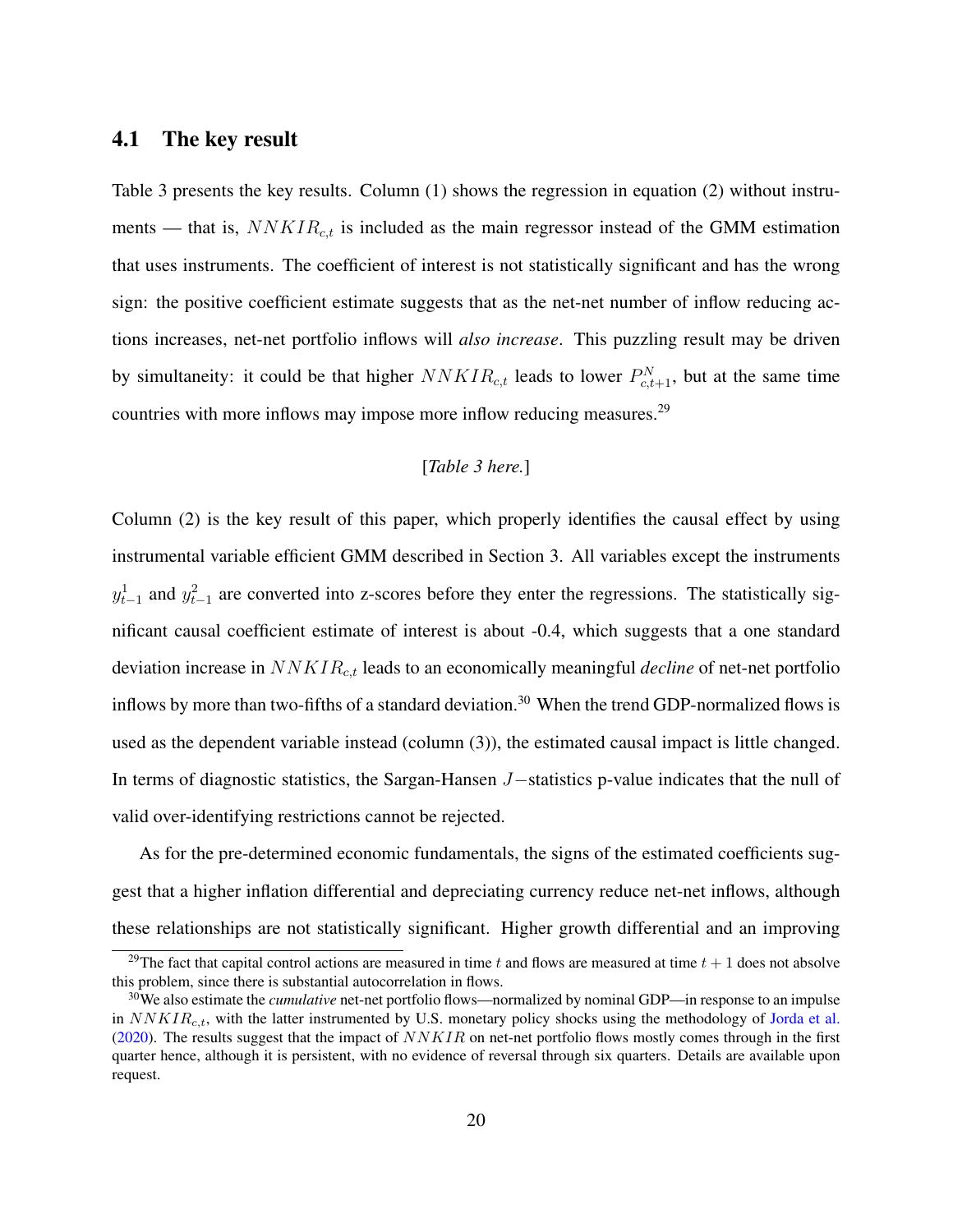### <span id="page-20-2"></span>4.1 The key result

Table [3](#page-46-0) presents the key results. Column (1) shows the regression in equation [\(2\)](#page-18-0) without instruments — that is,  $NNKIR<sub>c,t</sub>$  is included as the main regressor instead of the GMM estimation that uses instruments. The coefficient of interest is not statistically significant and has the wrong sign: the positive coefficient estimate suggests that as the net-net number of inflow reducing actions increases, net-net portfolio inflows will *also increase*. This puzzling result may be driven by simultaneity: it could be that higher  $NNKIR_{c,t}$  leads to lower  $P_{c,t+1}^{N}$ , but at the same time countries with more inflows may impose more inflow reducing measures.<sup>[29](#page-20-0)</sup>

### [*Table [3](#page-46-0) here.*]

Column (2) is the key result of this paper, which properly identifies the causal effect by using instrumental variable efficient GMM described in Section [3.](#page-14-0) All variables except the instruments  $y_{t-1}^1$  and  $y_{t-1}^2$  are converted into z-scores before they enter the regressions. The statistically significant causal coefficient estimate of interest is about -0.4, which suggests that a one standard deviation increase in NNKIRc,t leads to an economically meaningful *decline* of net-net portfolio inflows by more than two-fifths of a standard deviation.<sup>[30](#page-20-1)</sup> When the trend GDP-normalized flows is used as the dependent variable instead (column (3)), the estimated causal impact is little changed. In terms of diagnostic statistics, the Sargan-Hansen J−statistics p-value indicates that the null of valid over-identifying restrictions cannot be rejected.

As for the pre-determined economic fundamentals, the signs of the estimated coefficients suggest that a higher inflation differential and depreciating currency reduce net-net inflows, although these relationships are not statistically significant. Higher growth differential and an improving

<span id="page-20-0"></span><sup>&</sup>lt;sup>29</sup>The fact that capital control actions are measured in time t and flows are measured at time  $t + 1$  does not absolve this problem, since there is substantial autocorrelation in flows.

<span id="page-20-1"></span><sup>30</sup>We also estimate the *cumulative* net-net portfolio flows—normalized by nominal GDP—in response to an impulse in  $NNKIR_{c,t}$ , with the latter instrumented by U.S. monetary policy shocks using the methodology of [Jorda et al.](#page-37-10) [\(2020\)](#page-37-10). The results suggest that the impact of  $NNKIR$  on net-net portfolio flows mostly comes through in the first quarter hence, although it is persistent, with no evidence of reversal through six quarters. Details are available upon request.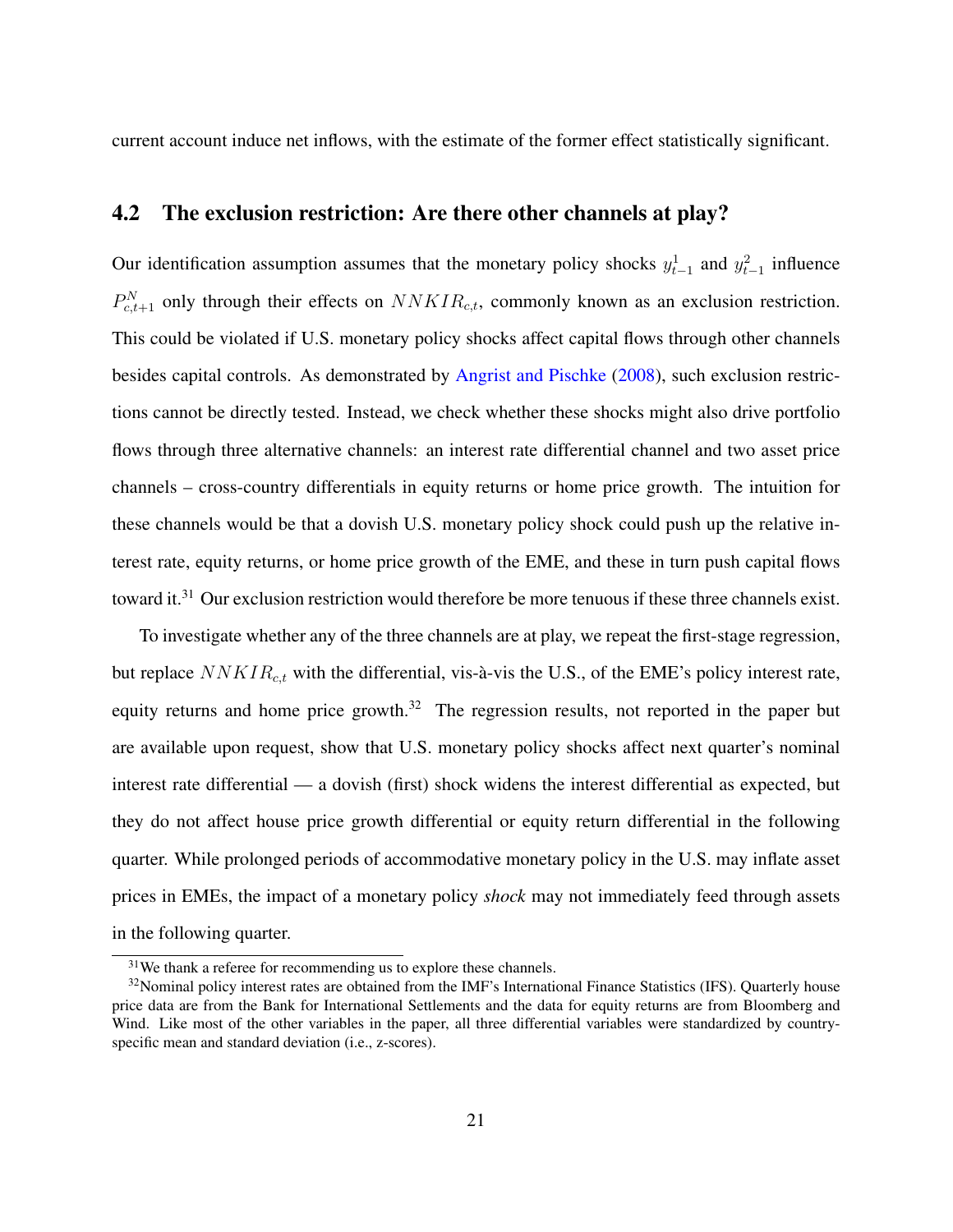current account induce net inflows, with the estimate of the former effect statistically significant.

## 4.2 The exclusion restriction: Are there other channels at play?

Our identification assumption assumes that the monetary policy shocks  $y_{t-1}^1$  and  $y_{t-1}^2$  influence  $P_{c,t+1}^{N}$  only through their effects on  $NNKIR_{c,t}$ , commonly known as an exclusion restriction. This could be violated if U.S. monetary policy shocks affect capital flows through other channels besides capital controls. As demonstrated by [Angrist and Pischke](#page-33-5) [\(2008\)](#page-33-5), such exclusion restrictions cannot be directly tested. Instead, we check whether these shocks might also drive portfolio flows through three alternative channels: an interest rate differential channel and two asset price channels – cross-country differentials in equity returns or home price growth. The intuition for these channels would be that a dovish U.S. monetary policy shock could push up the relative interest rate, equity returns, or home price growth of the EME, and these in turn push capital flows toward it.<sup>[31](#page-21-0)</sup> Our exclusion restriction would therefore be more tenuous if these three channels exist.

To investigate whether any of the three channels are at play, we repeat the first-stage regression, but replace  $NNKIR_{c,t}$  with the differential, vis-à-vis the U.S., of the EME's policy interest rate, equity returns and home price growth. $32$  The regression results, not reported in the paper but are available upon request, show that U.S. monetary policy shocks affect next quarter's nominal interest rate differential — a dovish (first) shock widens the interest differential as expected, but they do not affect house price growth differential or equity return differential in the following quarter. While prolonged periods of accommodative monetary policy in the U.S. may inflate asset prices in EMEs, the impact of a monetary policy *shock* may not immediately feed through assets in the following quarter.

<span id="page-21-1"></span><span id="page-21-0"></span><sup>&</sup>lt;sup>31</sup>We thank a referee for recommending us to explore these channels.

<sup>&</sup>lt;sup>32</sup>Nominal policy interest rates are obtained from the IMF's International Finance Statistics (IFS). Quarterly house price data are from the Bank for International Settlements and the data for equity returns are from Bloomberg and Wind. Like most of the other variables in the paper, all three differential variables were standardized by countryspecific mean and standard deviation (i.e., z-scores).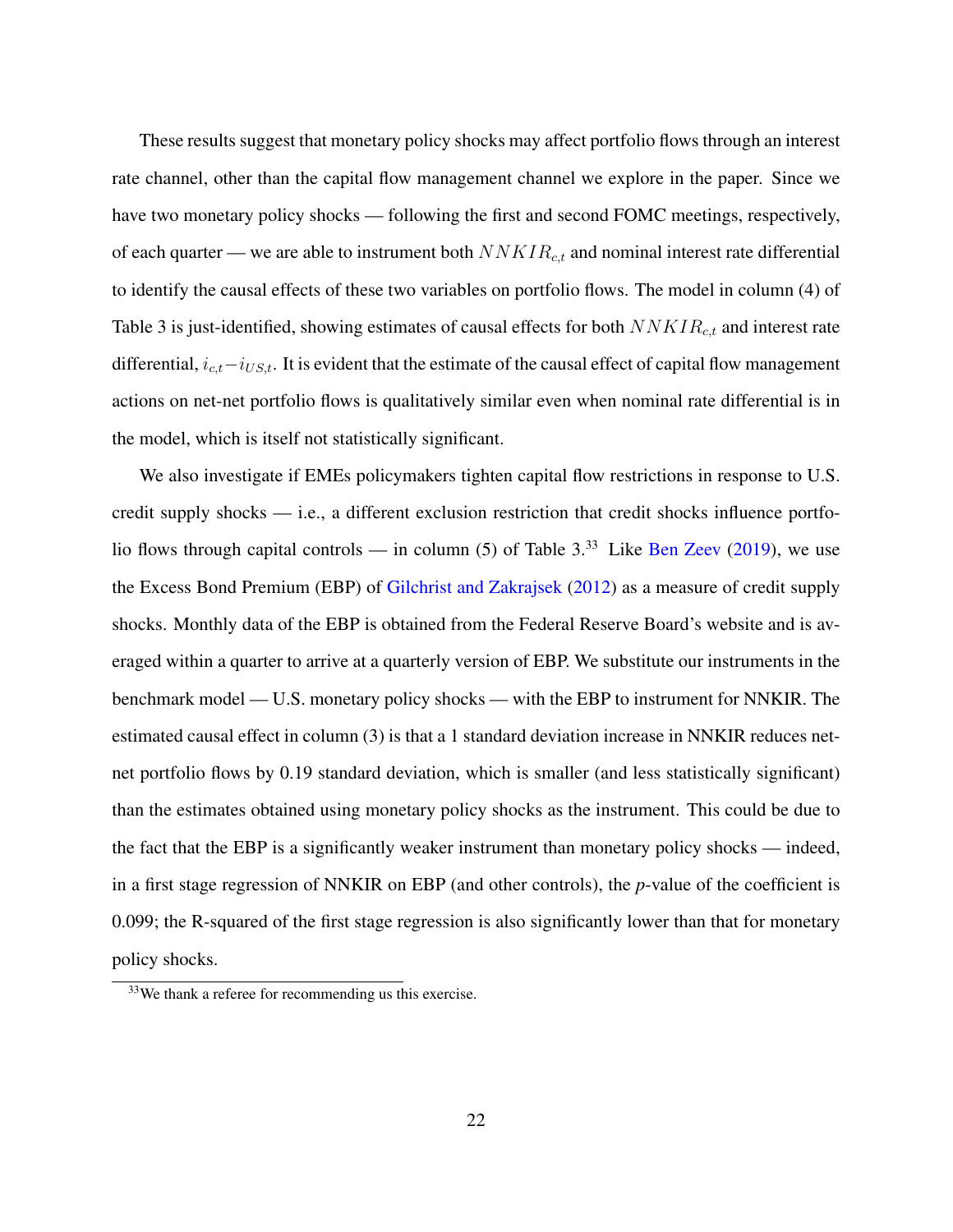These results suggest that monetary policy shocks may affect portfolio flows through an interest rate channel, other than the capital flow management channel we explore in the paper. Since we have two monetary policy shocks — following the first and second FOMC meetings, respectively, of each quarter — we are able to instrument both  $NNKIR_{c,t}$  and nominal interest rate differential to identify the causal effects of these two variables on portfolio flows. The model in column (4) of Table [3](#page-46-0) is just-identified, showing estimates of causal effects for both  $NNKIR_{c,t}$  and interest rate differential,  $i_{c,t}-i_{US,t}$ . It is evident that the estimate of the causal effect of capital flow management actions on net-net portfolio flows is qualitatively similar even when nominal rate differential is in the model, which is itself not statistically significant.

We also investigate if EMEs policymakers tighten capital flow restrictions in response to U.S. credit supply shocks — i.e., a different exclusion restriction that credit shocks influence portfolio flows through capital controls — in column  $(5)$  of Table [3.](#page-46-0)<sup>[33](#page-22-0)</sup> Like [Ben Zeev](#page-39-4)  $(2019)$ , we use the Excess Bond Premium (EBP) of [Gilchrist and Zakrajsek](#page-36-9) [\(2012\)](#page-36-9) as a measure of credit supply shocks. Monthly data of the EBP is obtained from the Federal Reserve Board's website and is averaged within a quarter to arrive at a quarterly version of EBP. We substitute our instruments in the benchmark model — U.S. monetary policy shocks — with the EBP to instrument for NNKIR. The estimated causal effect in column (3) is that a 1 standard deviation increase in NNKIR reduces netnet portfolio flows by 0.19 standard deviation, which is smaller (and less statistically significant) than the estimates obtained using monetary policy shocks as the instrument. This could be due to the fact that the EBP is a significantly weaker instrument than monetary policy shocks — indeed, in a first stage regression of NNKIR on EBP (and other controls), the *p*-value of the coefficient is 0.099; the R-squared of the first stage regression is also significantly lower than that for monetary policy shocks.

<span id="page-22-0"></span><sup>33</sup>We thank a referee for recommending us this exercise.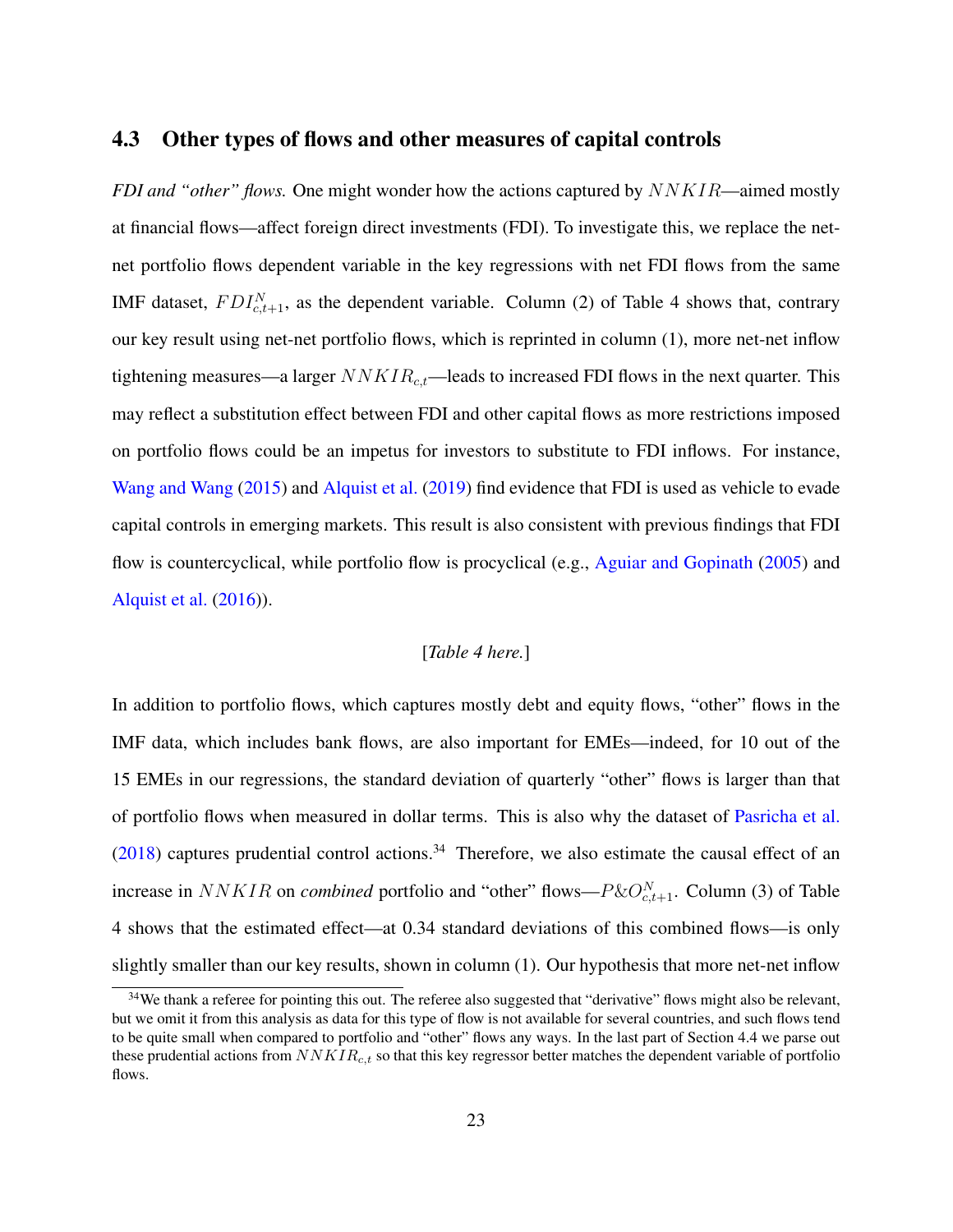## <span id="page-23-1"></span>4.3 Other types of flows and other measures of capital controls

*FDI and "other" flows.* One might wonder how the actions captured by  $NNKIR$ —aimed mostly at financial flows—affect foreign direct investments (FDI). To investigate this, we replace the netnet portfolio flows dependent variable in the key regressions with net FDI flows from the same IMF dataset,  $FDI_{c,t+1}^N$ , as the dependent variable. Column (2) of Table [4](#page-47-0) shows that, contrary our key result using net-net portfolio flows, which is reprinted in column (1), more net-net inflow tightening measures—a larger  $NNKIR_{ct}$ —leads to increased FDI flows in the next quarter. This may reflect a substitution effect between FDI and other capital flows as more restrictions imposed on portfolio flows could be an impetus for investors to substitute to FDI inflows. For instance, [Wang and Wang](#page-38-9) [\(2015\)](#page-38-9) and [Alquist et al.](#page-33-6) [\(2019\)](#page-33-6) find evidence that FDI is used as vehicle to evade capital controls in emerging markets. This result is also consistent with previous findings that FDI flow is countercyclical, while portfolio flow is procyclical (e.g., [Aguiar and Gopinath](#page-33-7) [\(2005\)](#page-33-7) and [Alquist et al.](#page-33-8) [\(2016\)](#page-33-8)).

### [*Table [4](#page-47-0) here.*]

In addition to portfolio flows, which captures mostly debt and equity flows, "other" flows in the IMF data, which includes bank flows, are also important for EMEs—indeed, for 10 out of the 15 EMEs in our regressions, the standard deviation of quarterly "other" flows is larger than that of portfolio flows when measured in dollar terms. This is also why the dataset of [Pasricha et al.](#page-38-3)  $(2018)$  captures prudential control actions.<sup>[34](#page-23-0)</sup> Therefore, we also estimate the causal effect of an increase in  $NNKIR$  on *combined* portfolio and "other" flows— $P\&O_{c,t+1}^N$ . Column (3) of Table [4](#page-47-0) shows that the estimated effect—at 0.34 standard deviations of this combined flows—is only slightly smaller than our key results, shown in column (1). Our hypothesis that more net-net inflow

<span id="page-23-0"></span><sup>&</sup>lt;sup>34</sup>We thank a referee for pointing this out. The referee also suggested that "derivative" flows might also be relevant, but we omit it from this analysis as data for this type of flow is not available for several countries, and such flows tend to be quite small when compared to portfolio and "other" flows any ways. In the last part of Section [4.4](#page-24-0) we parse out these prudential actions from  $NNKIR_{c,t}$  so that this key regressor better matches the dependent variable of portfolio flows.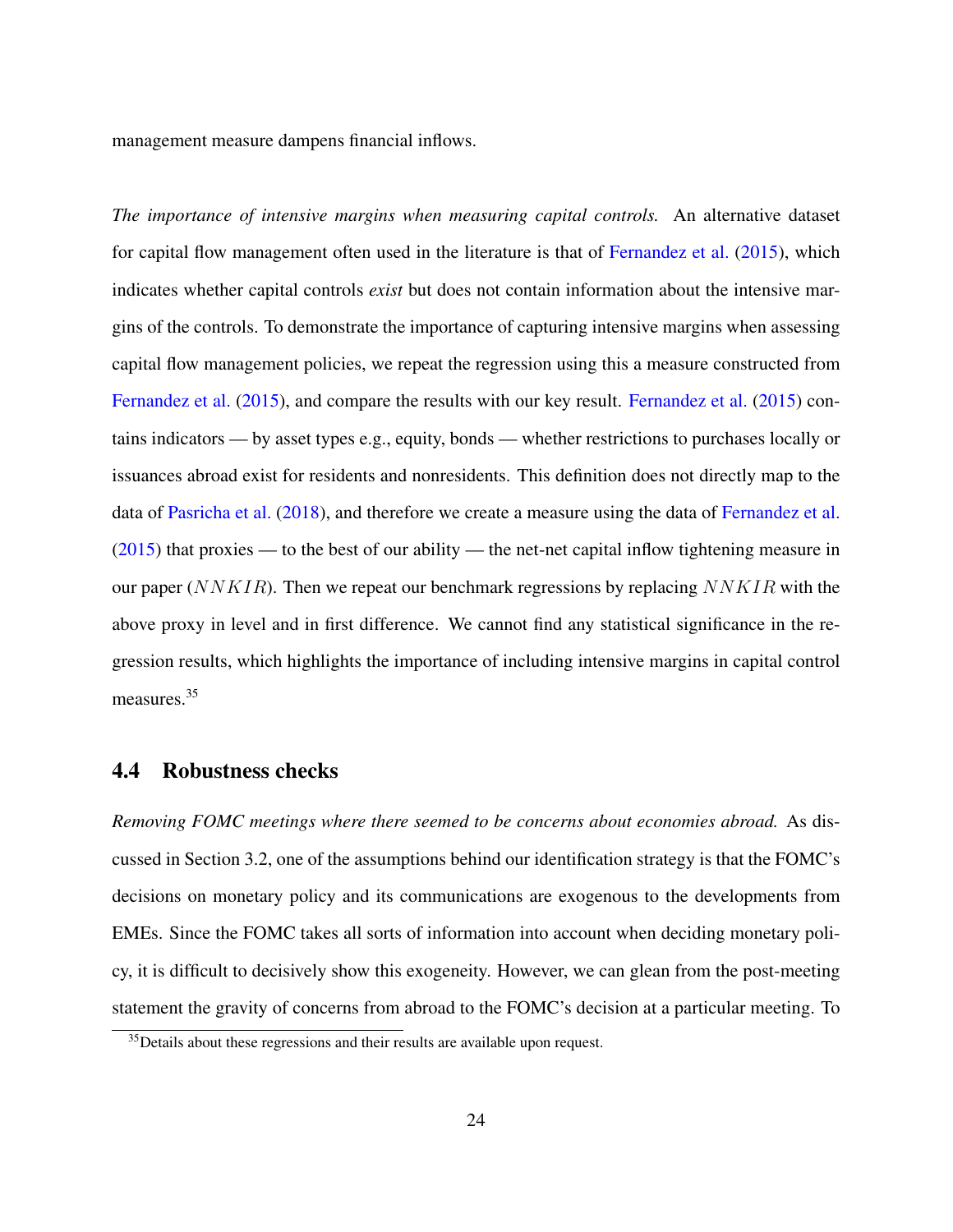management measure dampens financial inflows.

*The importance of intensive margins when measuring capital controls.* An alternative dataset for capital flow management often used in the literature is that of [Fernandez et al.](#page-35-6) [\(2015\)](#page-35-6), which indicates whether capital controls *exist* but does not contain information about the intensive margins of the controls. To demonstrate the importance of capturing intensive margins when assessing capital flow management policies, we repeat the regression using this a measure constructed from [Fernandez et al.](#page-35-6) [\(2015\)](#page-35-6), and compare the results with our key result. [Fernandez et al.](#page-35-6) [\(2015\)](#page-35-6) contains indicators — by asset types e.g., equity, bonds — whether restrictions to purchases locally or issuances abroad exist for residents and nonresidents. This definition does not directly map to the data of [Pasricha et al.](#page-38-3) [\(2018\)](#page-38-3), and therefore we create a measure using the data of [Fernandez et al.](#page-35-6)  $(2015)$  that proxies — to the best of our ability — the net-net capital inflow tightening measure in our paper ( $NNKIR$ ). Then we repeat our benchmark regressions by replacing  $NNKIR$  with the above proxy in level and in first difference. We cannot find any statistical significance in the regression results, which highlights the importance of including intensive margins in capital control measures.[35](#page-24-1)

## <span id="page-24-0"></span>4.4 Robustness checks

*Removing FOMC meetings where there seemed to be concerns about economies abroad.* As discussed in Section [3.2,](#page-18-2) one of the assumptions behind our identification strategy is that the FOMC's decisions on monetary policy and its communications are exogenous to the developments from EMEs. Since the FOMC takes all sorts of information into account when deciding monetary policy, it is difficult to decisively show this exogeneity. However, we can glean from the post-meeting statement the gravity of concerns from abroad to the FOMC's decision at a particular meeting. To

<span id="page-24-1"></span><sup>&</sup>lt;sup>35</sup>Details about these regressions and their results are available upon request.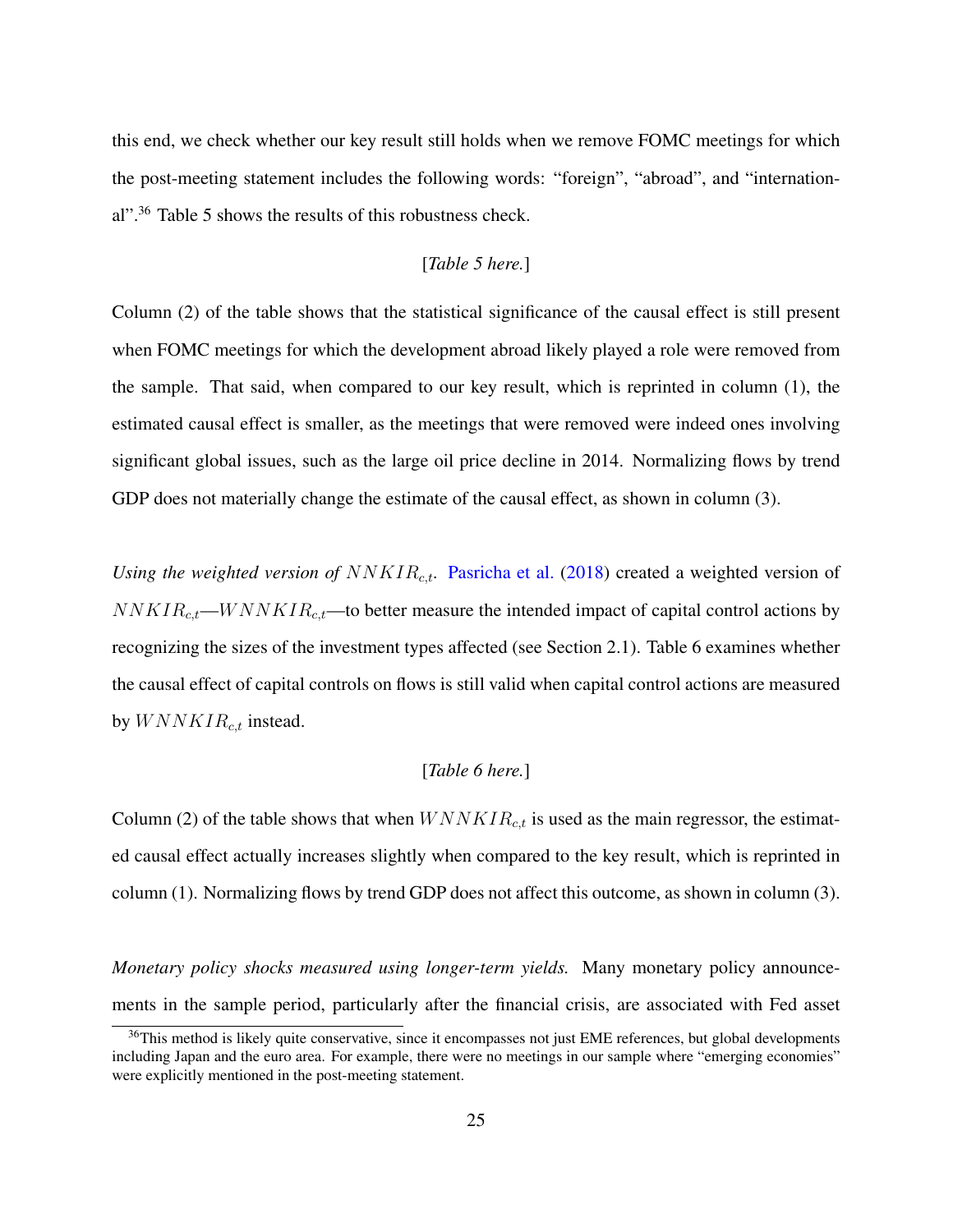this end, we check whether our key result still holds when we remove FOMC meetings for which the post-meeting statement includes the following words: "foreign", "abroad", and "international".[36](#page-25-0) Table [5](#page-48-0) shows the results of this robustness check.

#### [*Table [5](#page-48-0) here.*]

Column (2) of the table shows that the statistical significance of the causal effect is still present when FOMC meetings for which the development abroad likely played a role were removed from the sample. That said, when compared to our key result, which is reprinted in column (1), the estimated causal effect is smaller, as the meetings that were removed were indeed ones involving significant global issues, such as the large oil price decline in 2014. Normalizing flows by trend GDP does not materially change the estimate of the causal effect, as shown in column (3).

*Using the weighted version of*  $NNKIR_{c,t}$ . [Pasricha et al.](#page-38-3) [\(2018\)](#page-38-3) created a weighted version of  $NNKIR_{c,t}$ —W  $NNKIR_{c,t}$ —to better measure the intended impact of capital control actions by recognizing the sizes of the investment types affected (see Section [2.1\)](#page-7-2). Table [6](#page-49-0) examines whether the causal effect of capital controls on flows is still valid when capital control actions are measured by  $WNNKIR_{c,t}$  instead.

#### [*Table [6](#page-49-0) here.*]

Column (2) of the table shows that when  $WNNKIR_{c,t}$  is used as the main regressor, the estimated causal effect actually increases slightly when compared to the key result, which is reprinted in column (1). Normalizing flows by trend GDP does not affect this outcome, as shown in column (3).

*Monetary policy shocks measured using longer-term yields.* Many monetary policy announcements in the sample period, particularly after the financial crisis, are associated with Fed asset

<span id="page-25-0"></span><sup>&</sup>lt;sup>36</sup>This method is likely quite conservative, since it encompasses not just EME references, but global developments including Japan and the euro area. For example, there were no meetings in our sample where "emerging economies" were explicitly mentioned in the post-meeting statement.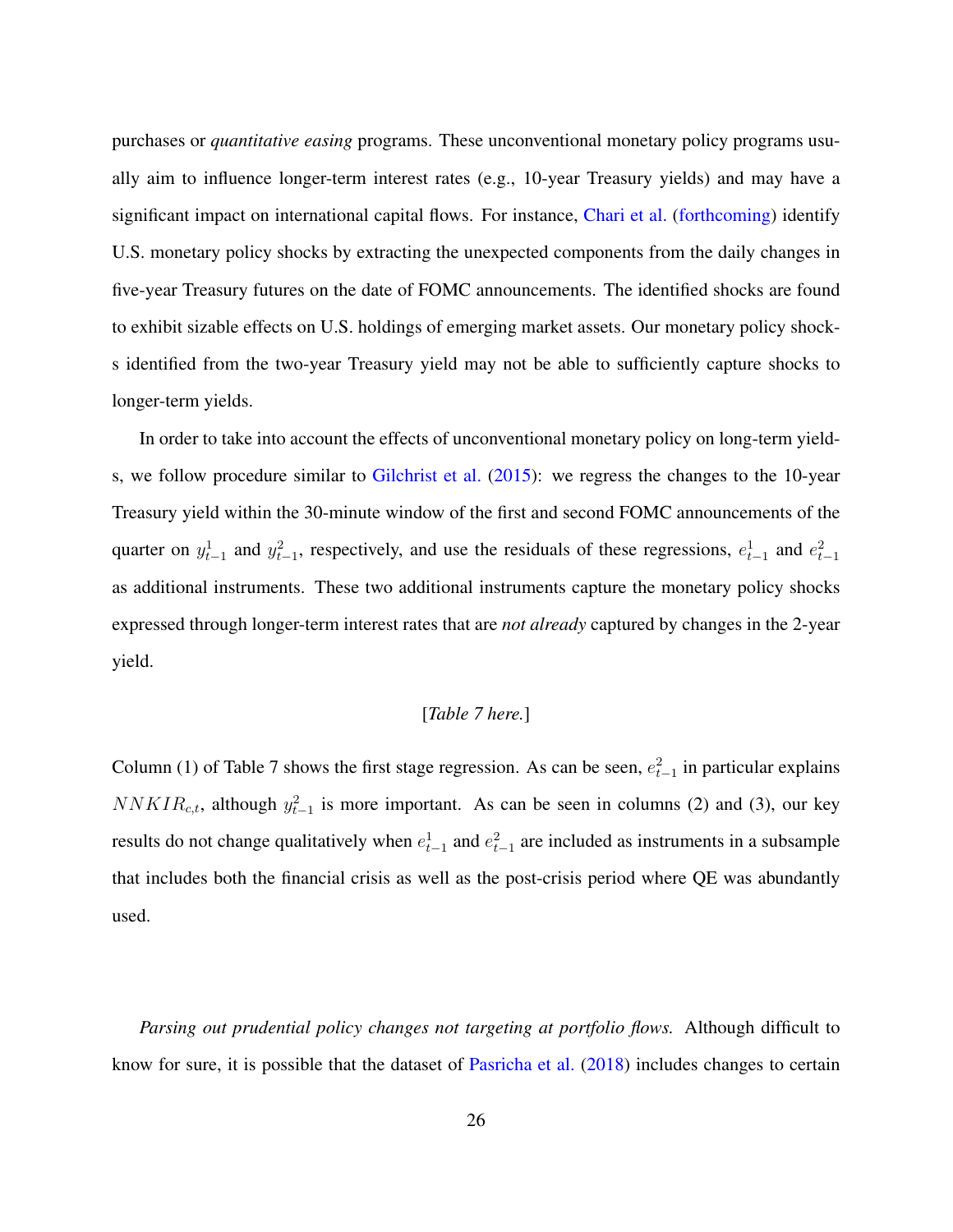purchases or *quantitative easing* programs. These unconventional monetary policy programs usually aim to influence longer-term interest rates (e.g., 10-year Treasury yields) and may have a significant impact on international capital flows. For instance, [Chari et al.](#page-34-2) [\(forthcoming\)](#page-34-2) identify U.S. monetary policy shocks by extracting the unexpected components from the daily changes in five-year Treasury futures on the date of FOMC announcements. The identified shocks are found to exhibit sizable effects on U.S. holdings of emerging market assets. Our monetary policy shocks identified from the two-year Treasury yield may not be able to sufficiently capture shocks to longer-term yields.

In order to take into account the effects of unconventional monetary policy on long-term yields, we follow procedure similar to [Gilchrist et al.](#page-36-7) [\(2015\)](#page-36-7): we regress the changes to the 10-year Treasury yield within the 30-minute window of the first and second FOMC announcements of the quarter on  $y_{t-1}^1$  and  $y_{t-1}^2$ , respectively, and use the residuals of these regressions,  $e_{t-1}^1$  and  $e_{t-1}^2$ as additional instruments. These two additional instruments capture the monetary policy shocks expressed through longer-term interest rates that are *not already* captured by changes in the 2-year yield.

#### [*Table [7](#page-50-0) here.*]

Column (1) of Table [7](#page-50-0) shows the first stage regression. As can be seen,  $e_{t-1}^2$  in particular explains  $NNKIR_{c,t}$ , although  $y_{t-1}^2$  is more important. As can be seen in columns (2) and (3), our key results do not change qualitatively when  $e_{t-1}^1$  and  $e_{t-1}^2$  are included as instruments in a subsample that includes both the financial crisis as well as the post-crisis period where QE was abundantly used.

*Parsing out prudential policy changes not targeting at portfolio flows.* Although difficult to know for sure, it is possible that the dataset of [Pasricha et al.](#page-38-3) [\(2018\)](#page-38-3) includes changes to certain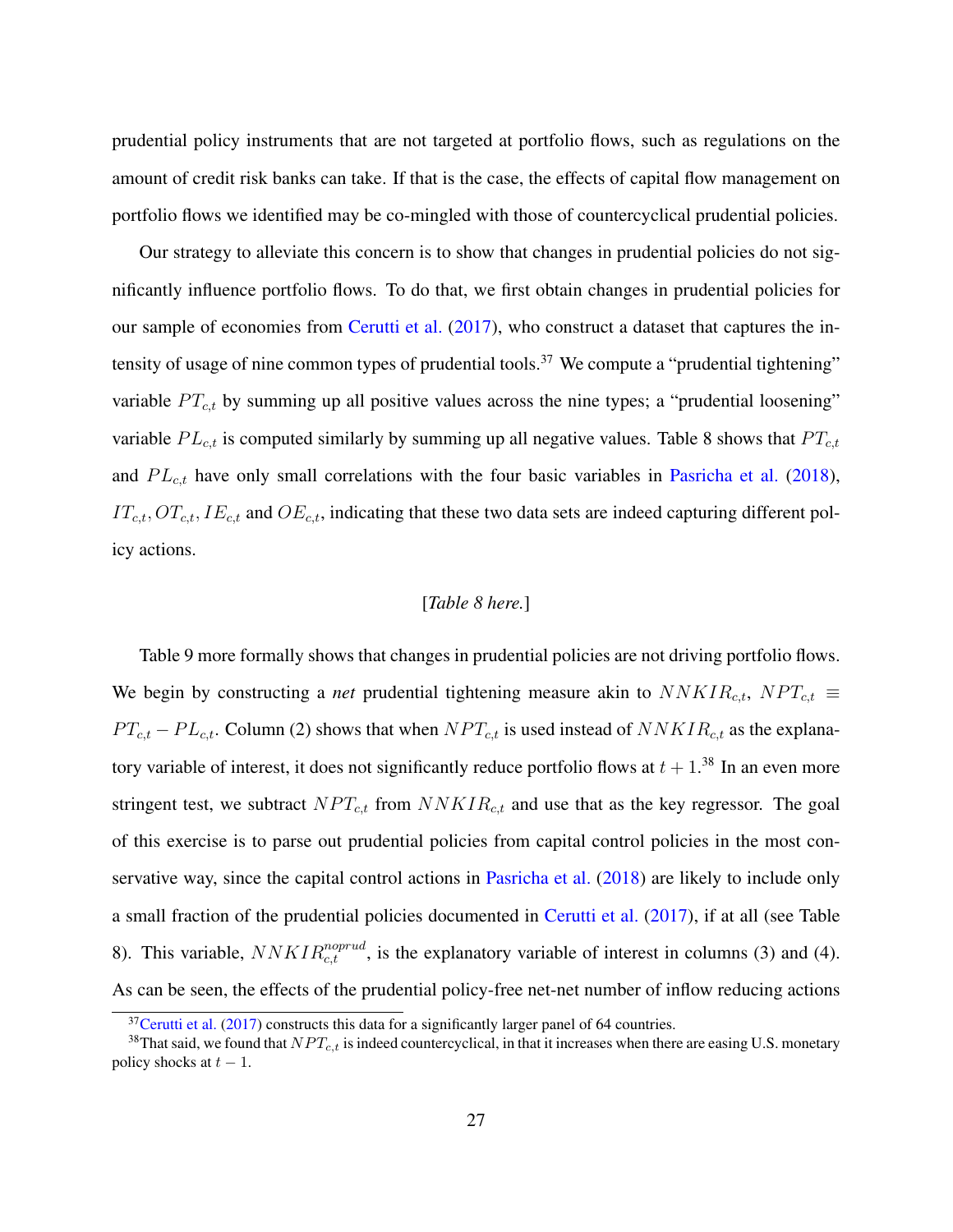prudential policy instruments that are not targeted at portfolio flows, such as regulations on the amount of credit risk banks can take. If that is the case, the effects of capital flow management on portfolio flows we identified may be co-mingled with those of countercyclical prudential policies.

Our strategy to alleviate this concern is to show that changes in prudential policies do not significantly influence portfolio flows. To do that, we first obtain changes in prudential policies for our sample of economies from [Cerutti et al.](#page-34-9) [\(2017\)](#page-34-9), who construct a dataset that captures the in-tensity of usage of nine common types of prudential tools.<sup>[37](#page-27-0)</sup> We compute a "prudential tightening" variable  $PT_{c,t}$  by summing up all positive values across the nine types; a "prudential loosening" variable  $PL_{c,t}$  is computed similarly by summing up all negative values. Table [8](#page-51-0) shows that  $PT_{c,t}$ and  $PL_{c,t}$  have only small correlations with the four basic variables in [Pasricha et al.](#page-38-3) [\(2018\)](#page-38-3),  $IT_{c,t}$ ,  $OT_{c,t}$ ,  $IE_{c,t}$  and  $OE_{c,t}$ , indicating that these two data sets are indeed capturing different policy actions.

### [*Table [8](#page-51-0) here.*]

Table [9](#page-52-0) more formally shows that changes in prudential policies are not driving portfolio flows. We begin by constructing a *net* prudential tightening measure akin to  $NNKIR_{c,t}$ ,  $NPT_{c,t}$  $PT_{c,t} - PL_{c,t}$ . Column (2) shows that when  $NPT_{c,t}$  is used instead of  $NNKIR_{c,t}$  as the explanatory variable of interest, it does not significantly reduce portfolio flows at  $t + 1$ .<sup>[38](#page-27-1)</sup> In an even more stringent test, we subtract  $NPT_{c,t}$  from  $NNKIR_{c,t}$  and use that as the key regressor. The goal of this exercise is to parse out prudential policies from capital control policies in the most conservative way, since the capital control actions in [Pasricha et al.](#page-38-3) [\(2018\)](#page-38-3) are likely to include only a small fraction of the prudential policies documented in [Cerutti et al.](#page-34-9) [\(2017\)](#page-34-9), if at all (see Table [8\)](#page-51-0). This variable,  $NNKIR_{c,t}^{noprud}$ , is the explanatory variable of interest in columns (3) and (4). As can be seen, the effects of the prudential policy-free net-net number of inflow reducing actions

<span id="page-27-1"></span><span id="page-27-0"></span> $37$ [Cerutti et al.](#page-34-9) [\(2017\)](#page-34-9) constructs this data for a significantly larger panel of 64 countries.

<sup>&</sup>lt;sup>38</sup>That said, we found that  $NPT_{c,t}$  is indeed countercyclical, in that it increases when there are easing U.S. monetary policy shocks at  $t - 1$ .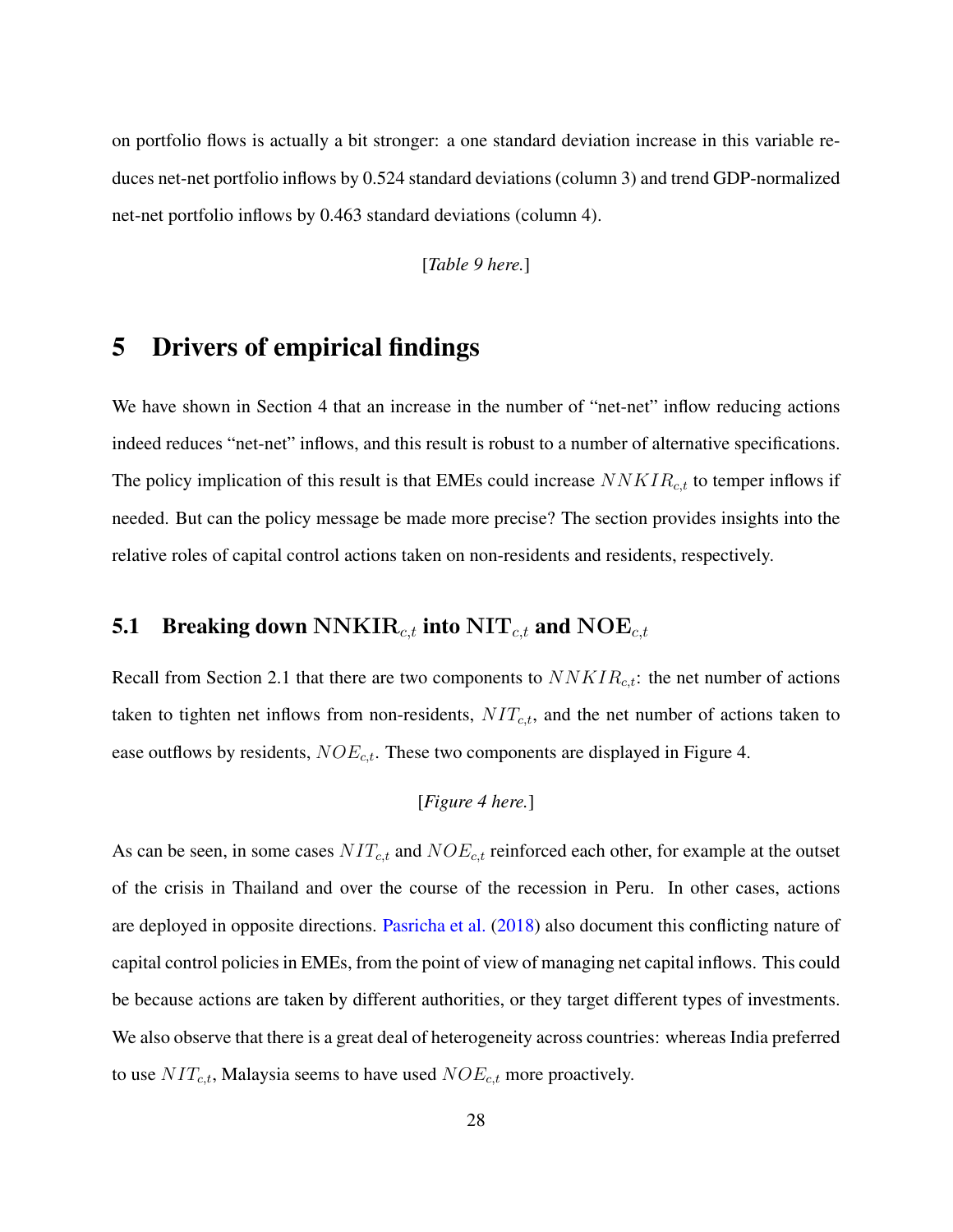on portfolio flows is actually a bit stronger: a one standard deviation increase in this variable reduces net-net portfolio inflows by 0.524 standard deviations (column 3) and trend GDP-normalized net-net portfolio inflows by 0.463 standard deviations (column 4).

[*Table [9](#page-52-0) here.*]

## <span id="page-28-0"></span>5 Drivers of empirical findings

We have shown in Section [4](#page-19-0) that an increase in the number of "net-net" inflow reducing actions indeed reduces "net-net" inflows, and this result is robust to a number of alternative specifications. The policy implication of this result is that EMEs could increase  $NNKIR_{c,t}$  to temper inflows if needed. But can the policy message be made more precise? The section provides insights into the relative roles of capital control actions taken on non-residents and residents, respectively.

## **5.1 Breaking down NNKIR**<sub>c,t</sub> into  $\text{NIT}_{c,t}$  and  $\text{NOE}_{c,t}$

Recall from Section [2.1](#page-7-2) that there are two components to  $NNKIR_{c,t}$ : the net number of actions taken to tighten net inflows from non-residents,  $NIT_{c,t}$ , and the net number of actions taken to ease outflows by residents,  $NOE_{c,t}$ . These two components are displayed in Figure [4.](#page-43-0)

## [*Figure [4](#page-43-0) here.*]

As can be seen, in some cases  $NIT_{c,t}$  and  $NOE_{c,t}$  reinforced each other, for example at the outset of the crisis in Thailand and over the course of the recession in Peru. In other cases, actions are deployed in opposite directions. [Pasricha et al.](#page-38-3) [\(2018\)](#page-38-3) also document this conflicting nature of capital control policies in EMEs, from the point of view of managing net capital inflows. This could be because actions are taken by different authorities, or they target different types of investments. We also observe that there is a great deal of heterogeneity across countries: whereas India preferred to use  $NIT_{c,t}$ , Malaysia seems to have used  $NOE_{c,t}$  more proactively.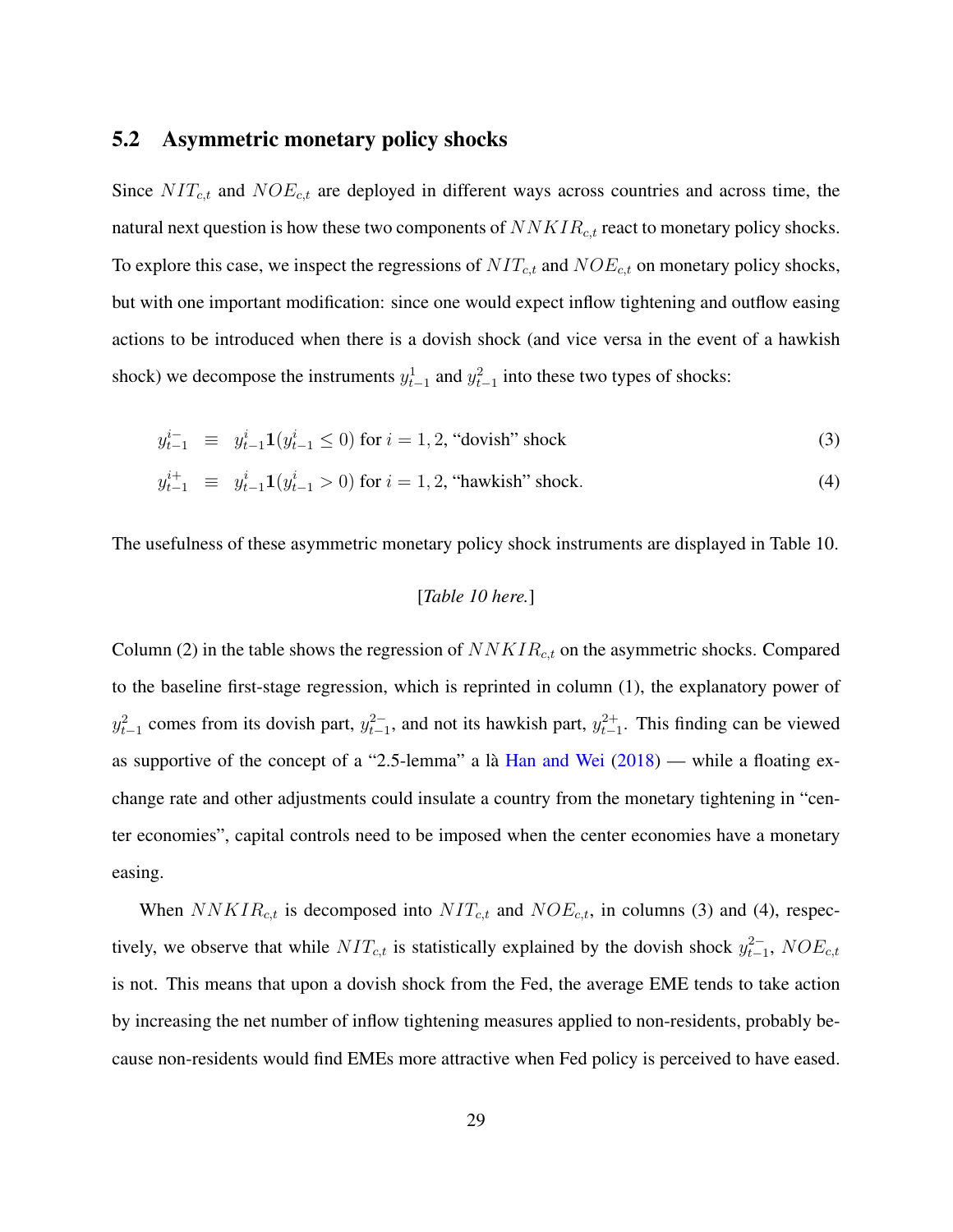### 5.2 Asymmetric monetary policy shocks

Since  $NIT_{c,t}$  and  $NOE_{c,t}$  are deployed in different ways across countries and across time, the natural next question is how these two components of  $NNKIR_{c,t}$  react to monetary policy shocks. To explore this case, we inspect the regressions of  $NIT_{c,t}$  and  $NOE_{c,t}$  on monetary policy shocks, but with one important modification: since one would expect inflow tightening and outflow easing actions to be introduced when there is a dovish shock (and vice versa in the event of a hawkish shock) we decompose the instruments  $y_{t-1}^1$  and  $y_{t-1}^2$  into these two types of shocks:

<span id="page-29-0"></span>
$$
y_{t-1}^{i-} \equiv y_{t-1}^i \mathbf{1}(y_{t-1}^i \le 0) \text{ for } i = 1, 2, \text{ "dovish" shock}
$$
 (3)

$$
y_{t-1}^{i+} \equiv y_{t-1}^i \mathbf{1}(y_{t-1}^i > 0) \text{ for } i = 1, 2, \text{ "hawkish" shock.} \tag{4}
$$

The usefulness of these asymmetric monetary policy shock instruments are displayed in Table [10.](#page-53-0)

#### [*Table [10](#page-53-0) here.*]

Column (2) in the table shows the regression of  $NNKIR<sub>c,t</sub>$  on the asymmetric shocks. Compared to the baseline first-stage regression, which is reprinted in column (1), the explanatory power of  $y_{t-1}^2$  comes from its dovish part,  $y_{t-1}^2$ , and not its hawkish part,  $y_{t-1}^2$ . This finding can be viewed as supportive of the concept of a "2.5-lemma" a là [Han and Wei](#page-36-5)  $(2018)$  — while a floating exchange rate and other adjustments could insulate a country from the monetary tightening in "center economies", capital controls need to be imposed when the center economies have a monetary easing.

When  $NNKIR_{c,t}$  is decomposed into  $NIT_{c,t}$  and  $NOE_{c,t}$ , in columns (3) and (4), respectively, we observe that while  $NIT_{c,t}$  is statistically explained by the dovish shock  $y_{t-1}^{2-}$ ,  $NOE_{c,t}$ is not. This means that upon a dovish shock from the Fed, the average EME tends to take action by increasing the net number of inflow tightening measures applied to non-residents, probably because non-residents would find EMEs more attractive when Fed policy is perceived to have eased.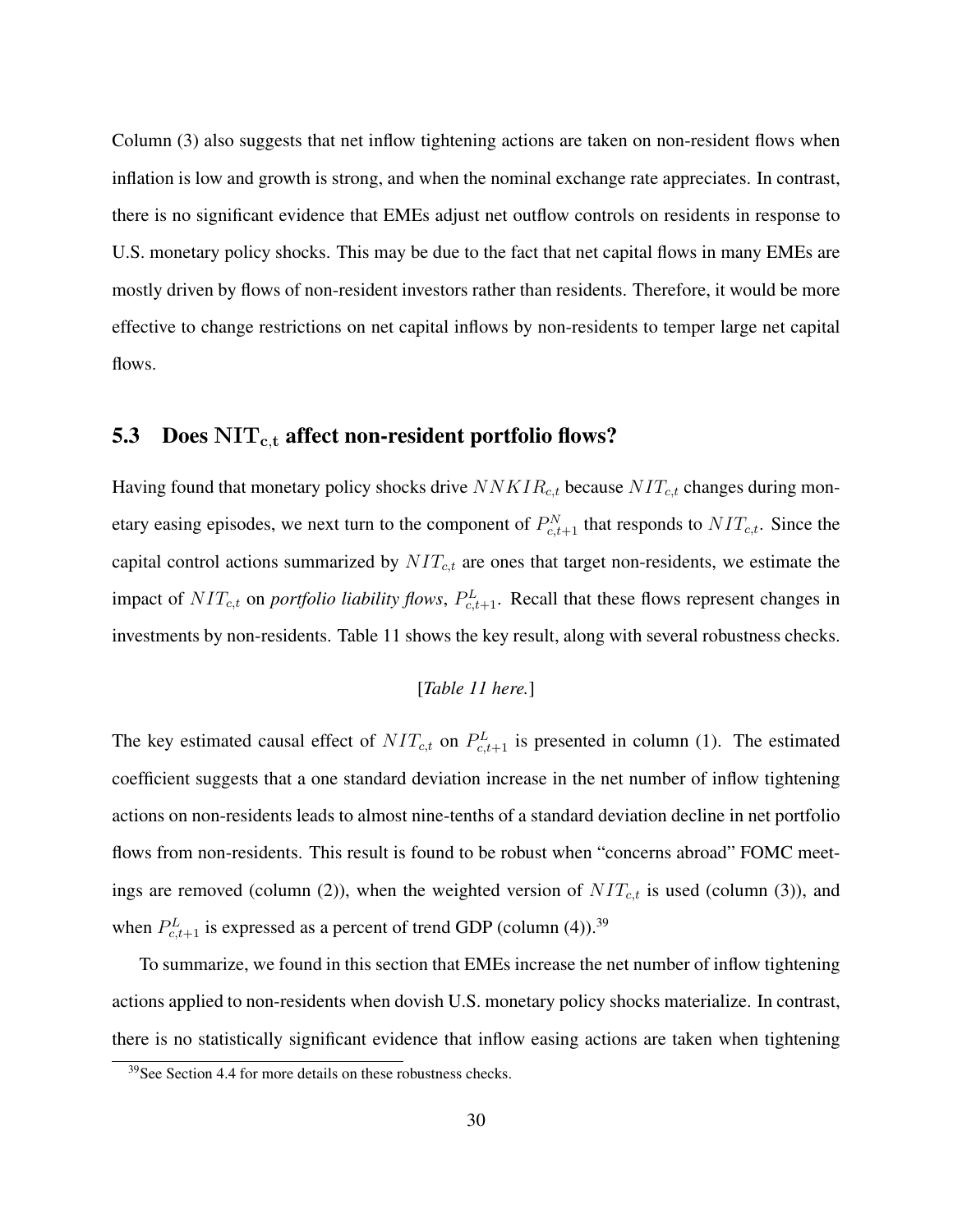Column (3) also suggests that net inflow tightening actions are taken on non-resident flows when inflation is low and growth is strong, and when the nominal exchange rate appreciates. In contrast, there is no significant evidence that EMEs adjust net outflow controls on residents in response to U.S. monetary policy shocks. This may be due to the fact that net capital flows in many EMEs are mostly driven by flows of non-resident investors rather than residents. Therefore, it would be more effective to change restrictions on net capital inflows by non-residents to temper large net capital flows.

## 5.3 Does  $\text{NIT}_{\text{c,t}}$  affect non-resident portfolio flows?

Having found that monetary policy shocks drive  $NNKIR_{c,t}$  because  $NIT_{c,t}$  changes during monetary easing episodes, we next turn to the component of  $P_{c,t+1}^N$  that responds to  $NIT_{c,t}$ . Since the capital control actions summarized by  $NIT_{c,t}$  are ones that target non-residents, we estimate the impact of  $NIT_{c,t}$  on *portfolio liability flows*,  $P_{c,t+1}^L$ . Recall that these flows represent changes in investments by non-residents. Table [11](#page-54-0) shows the key result, along with several robustness checks.

[*Table [11](#page-54-0) here.*]

The key estimated causal effect of  $NIT_{c,t}$  on  $P_{c,t+1}^L$  is presented in column (1). The estimated coefficient suggests that a one standard deviation increase in the net number of inflow tightening actions on non-residents leads to almost nine-tenths of a standard deviation decline in net portfolio flows from non-residents. This result is found to be robust when "concerns abroad" FOMC meetings are removed (column (2)), when the weighted version of  $NIT_{c,t}$  is used (column (3)), and when  $P_{c,t+1}^L$  is expressed as a percent of trend GDP (column (4)).<sup>[39](#page-30-0)</sup>

To summarize, we found in this section that EMEs increase the net number of inflow tightening actions applied to non-residents when dovish U.S. monetary policy shocks materialize. In contrast, there is no statistically significant evidence that inflow easing actions are taken when tightening

<span id="page-30-0"></span><sup>&</sup>lt;sup>39</sup>See Section [4.4](#page-24-0) for more details on these robustness checks.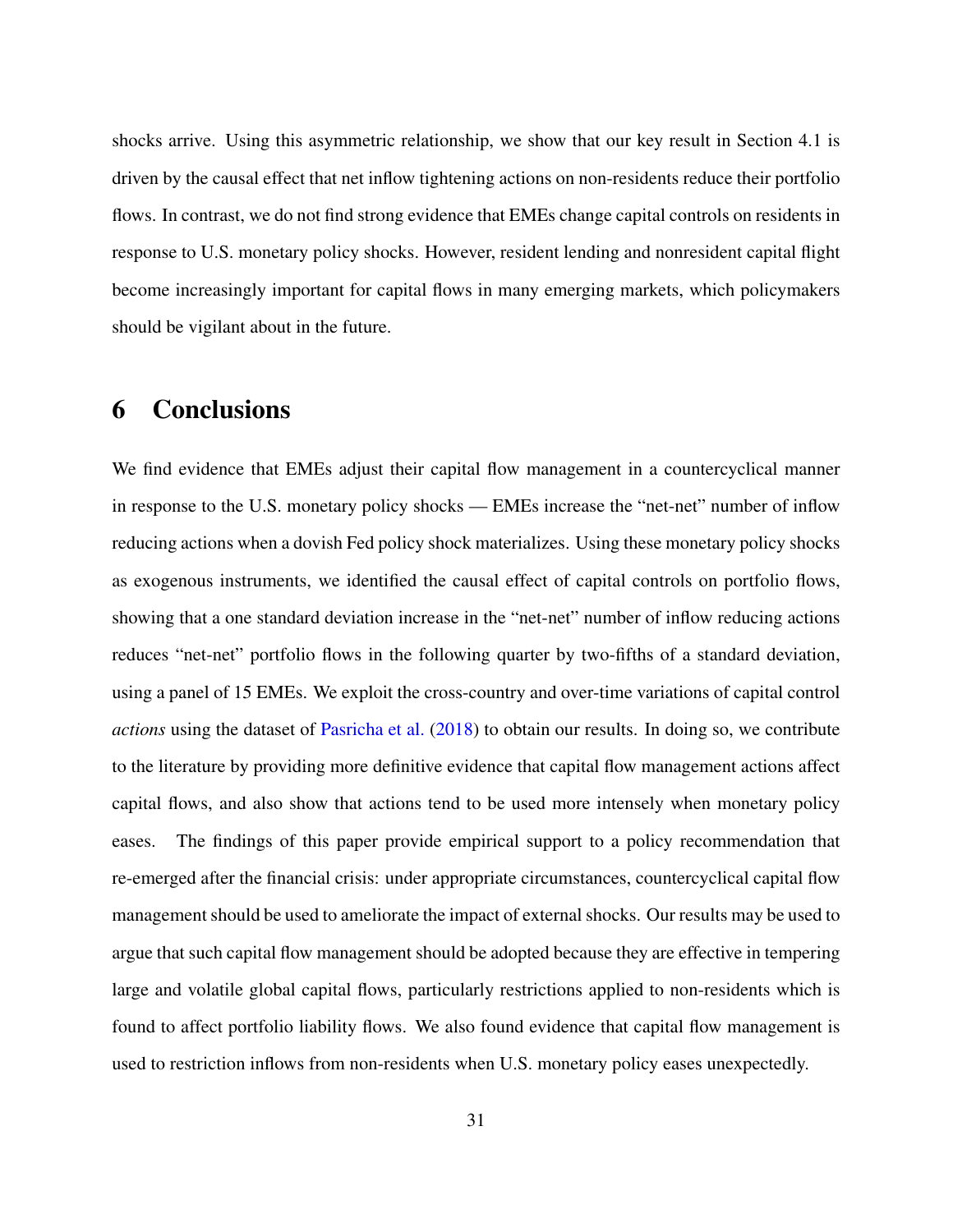shocks arrive. Using this asymmetric relationship, we show that our key result in Section [4.1](#page-20-2) is driven by the causal effect that net inflow tightening actions on non-residents reduce their portfolio flows. In contrast, we do not find strong evidence that EMEs change capital controls on residents in response to U.S. monetary policy shocks. However, resident lending and nonresident capital flight become increasingly important for capital flows in many emerging markets, which policymakers should be vigilant about in the future.

## <span id="page-31-0"></span>6 Conclusions

We find evidence that EMEs adjust their capital flow management in a countercyclical manner in response to the U.S. monetary policy shocks — EMEs increase the "net-net" number of inflow reducing actions when a dovish Fed policy shock materializes. Using these monetary policy shocks as exogenous instruments, we identified the causal effect of capital controls on portfolio flows, showing that a one standard deviation increase in the "net-net" number of inflow reducing actions reduces "net-net" portfolio flows in the following quarter by two-fifths of a standard deviation, using a panel of 15 EMEs. We exploit the cross-country and over-time variations of capital control *actions* using the dataset of [Pasricha et al.](#page-38-3) [\(2018\)](#page-38-3) to obtain our results. In doing so, we contribute to the literature by providing more definitive evidence that capital flow management actions affect capital flows, and also show that actions tend to be used more intensely when monetary policy eases. The findings of this paper provide empirical support to a policy recommendation that re-emerged after the financial crisis: under appropriate circumstances, countercyclical capital flow management should be used to ameliorate the impact of external shocks. Our results may be used to argue that such capital flow management should be adopted because they are effective in tempering large and volatile global capital flows, particularly restrictions applied to non-residents which is found to affect portfolio liability flows. We also found evidence that capital flow management is used to restriction inflows from non-residents when U.S. monetary policy eases unexpectedly.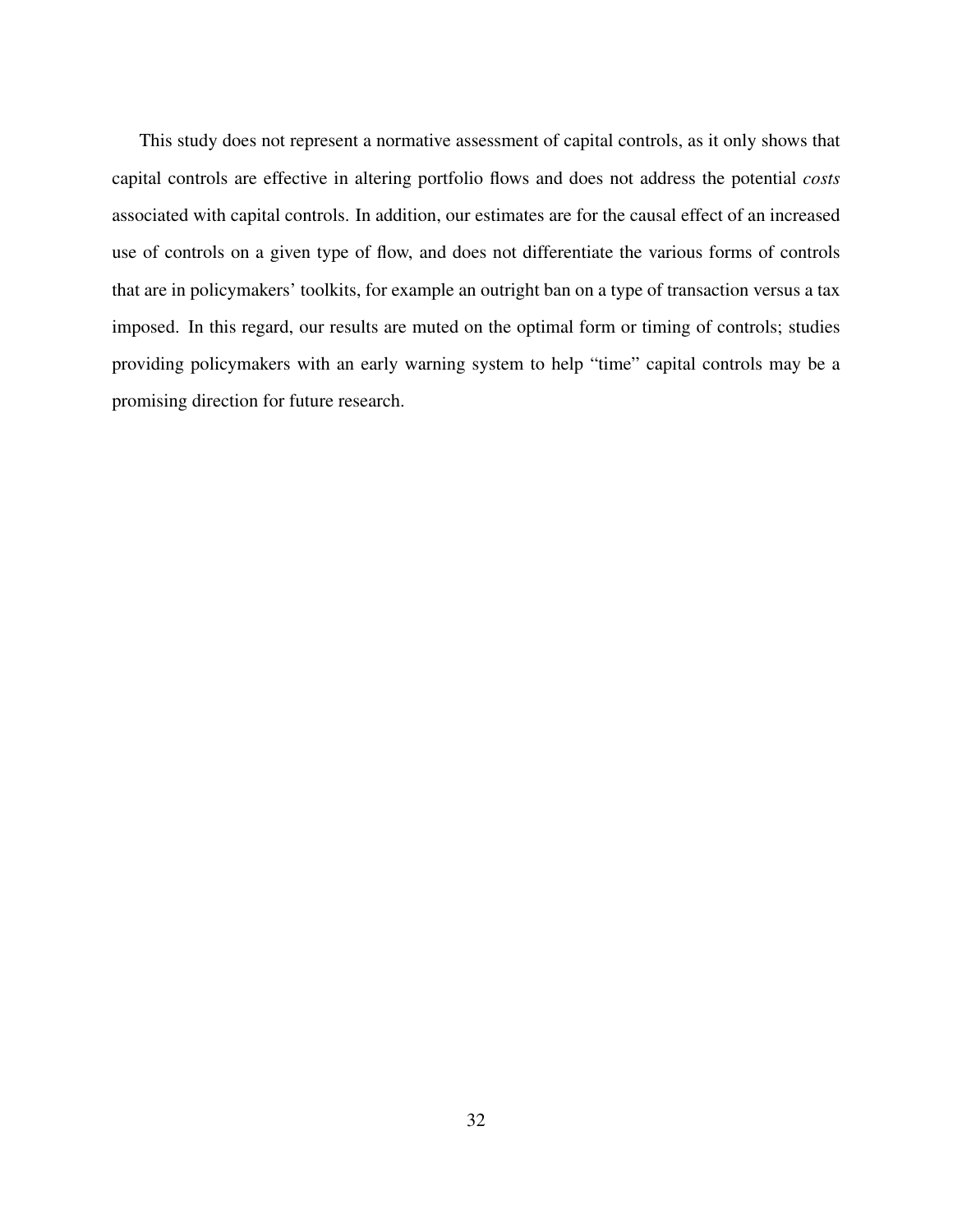This study does not represent a normative assessment of capital controls, as it only shows that capital controls are effective in altering portfolio flows and does not address the potential *costs* associated with capital controls. In addition, our estimates are for the causal effect of an increased use of controls on a given type of flow, and does not differentiate the various forms of controls that are in policymakers' toolkits, for example an outright ban on a type of transaction versus a tax imposed. In this regard, our results are muted on the optimal form or timing of controls; studies providing policymakers with an early warning system to help "time" capital controls may be a promising direction for future research.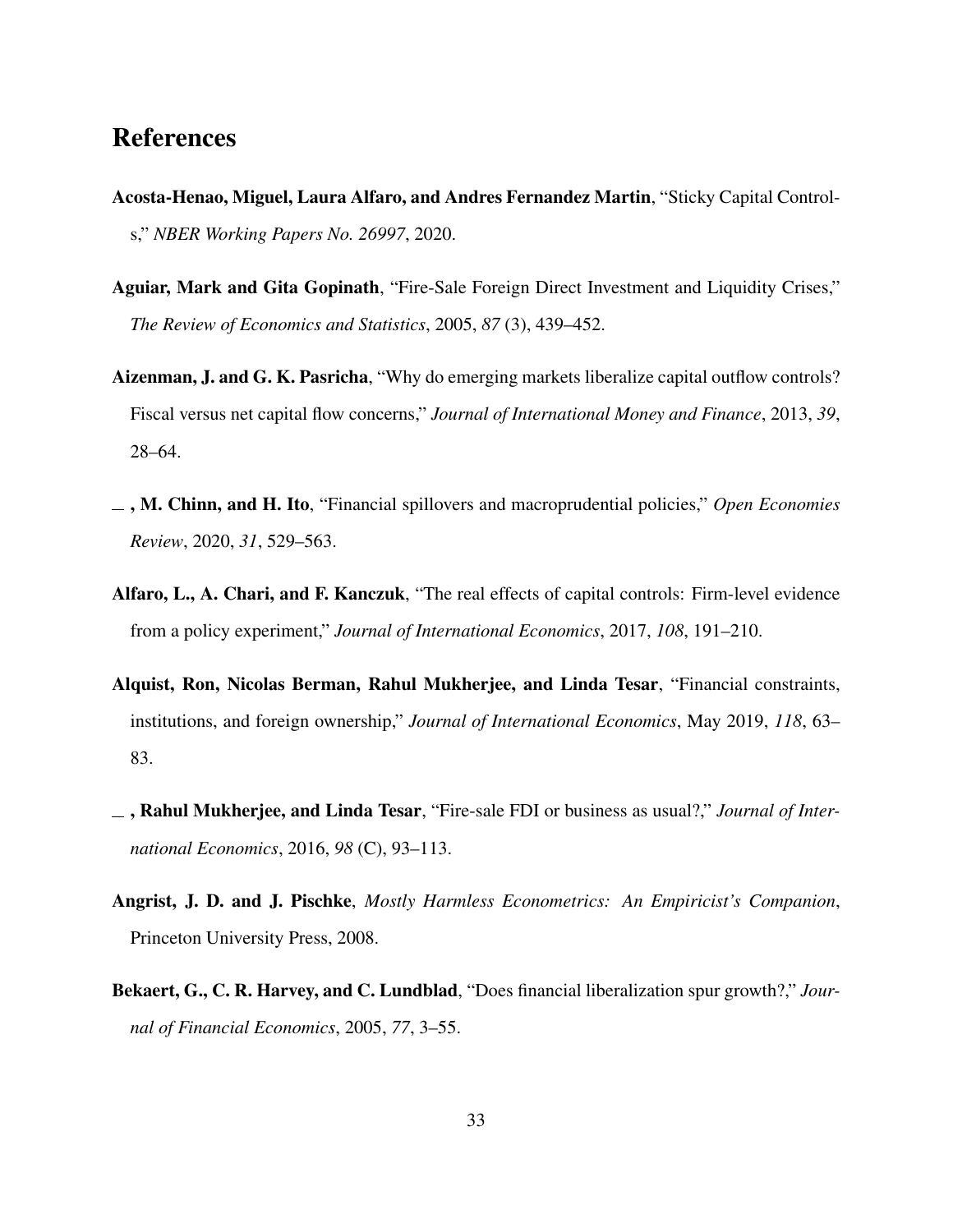## References

- <span id="page-33-3"></span>Acosta-Henao, Miguel, Laura Alfaro, and Andres Fernandez Martin, "Sticky Capital Controls," *NBER Working Papers No. 26997*, 2020.
- <span id="page-33-7"></span>Aguiar, Mark and Gita Gopinath, "Fire-Sale Foreign Direct Investment and Liquidity Crises," *The Review of Economics and Statistics*, 2005, *87* (3), 439–452.
- <span id="page-33-0"></span>Aizenman, J. and G. K. Pasricha, "Why do emerging markets liberalize capital outflow controls? Fiscal versus net capital flow concerns," *Journal of International Money and Finance*, 2013, *39*, 28–64.
- <span id="page-33-1"></span>, M. Chinn, and H. Ito, "Financial spillovers and macroprudential policies," *Open Economies Review*, 2020, *31*, 529–563.
- <span id="page-33-2"></span>Alfaro, L., A. Chari, and F. Kanczuk, "The real effects of capital controls: Firm-level evidence from a policy experiment," *Journal of International Economics*, 2017, *108*, 191–210.
- <span id="page-33-6"></span>Alquist, Ron, Nicolas Berman, Rahul Mukherjee, and Linda Tesar, "Financial constraints, institutions, and foreign ownership," *Journal of International Economics*, May 2019, *118*, 63– 83.
- <span id="page-33-8"></span>, Rahul Mukherjee, and Linda Tesar, "Fire-sale FDI or business as usual?," *Journal of International Economics*, 2016, *98* (C), 93–113.
- <span id="page-33-5"></span>Angrist, J. D. and J. Pischke, *Mostly Harmless Econometrics: An Empiricist's Companion*, Princeton University Press, 2008.
- <span id="page-33-4"></span>Bekaert, G., C. R. Harvey, and C. Lundblad, "Does financial liberalization spur growth?," *Journal of Financial Economics*, 2005, *77*, 3–55.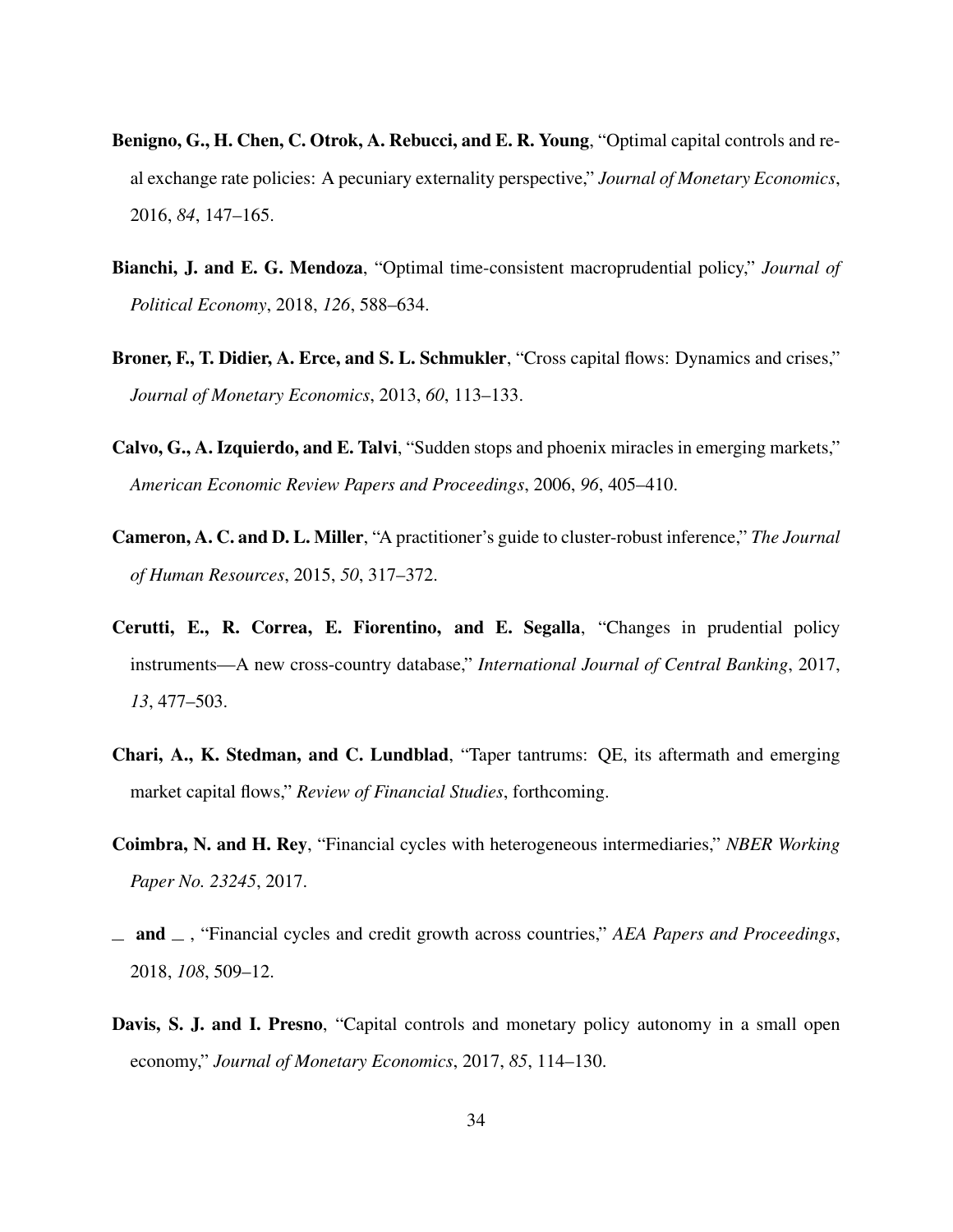- <span id="page-34-1"></span>Benigno, G., H. Chen, C. Otrok, A. Rebucci, and E. R. Young, "Optimal capital controls and real exchange rate policies: A pecuniary externality perspective," *Journal of Monetary Economics*, 2016, *84*, 147–165.
- <span id="page-34-4"></span>Bianchi, J. and E. G. Mendoza, "Optimal time-consistent macroprudential policy," *Journal of Political Economy*, 2018, *126*, 588–634.
- <span id="page-34-6"></span>Broner, F., T. Didier, A. Erce, and S. L. Schmukler, "Cross capital flows: Dynamics and crises," *Journal of Monetary Economics*, 2013, *60*, 113–133.
- <span id="page-34-7"></span>Calvo, G., A. Izquierdo, and E. Talvi, "Sudden stops and phoenix miracles in emerging markets," *American Economic Review Papers and Proceedings*, 2006, *96*, 405–410.
- <span id="page-34-8"></span>Cameron, A. C. and D. L. Miller, "A practitioner's guide to cluster-robust inference," *The Journal of Human Resources*, 2015, *50*, 317–372.
- <span id="page-34-9"></span>Cerutti, E., R. Correa, E. Fiorentino, and E. Segalla, "Changes in prudential policy instruments—A new cross-country database," *International Journal of Central Banking*, 2017, *13*, 477–503.
- <span id="page-34-2"></span>Chari, A., K. Stedman, and C. Lundblad, "Taper tantrums: QE, its aftermath and emerging market capital flows," *Review of Financial Studies*, forthcoming.
- <span id="page-34-3"></span>Coimbra, N. and H. Rey, "Financial cycles with heterogeneous intermediaries," *NBER Working Paper No. 23245*, 2017.
- <span id="page-34-5"></span> $-$  and  $-$ , "Financial cycles and credit growth across countries," *AEA Papers and Proceedings*, 2018, *108*, 509–12.
- <span id="page-34-0"></span>Davis, S. J. and I. Presno, "Capital controls and monetary policy autonomy in a small open economy," *Journal of Monetary Economics*, 2017, *85*, 114–130.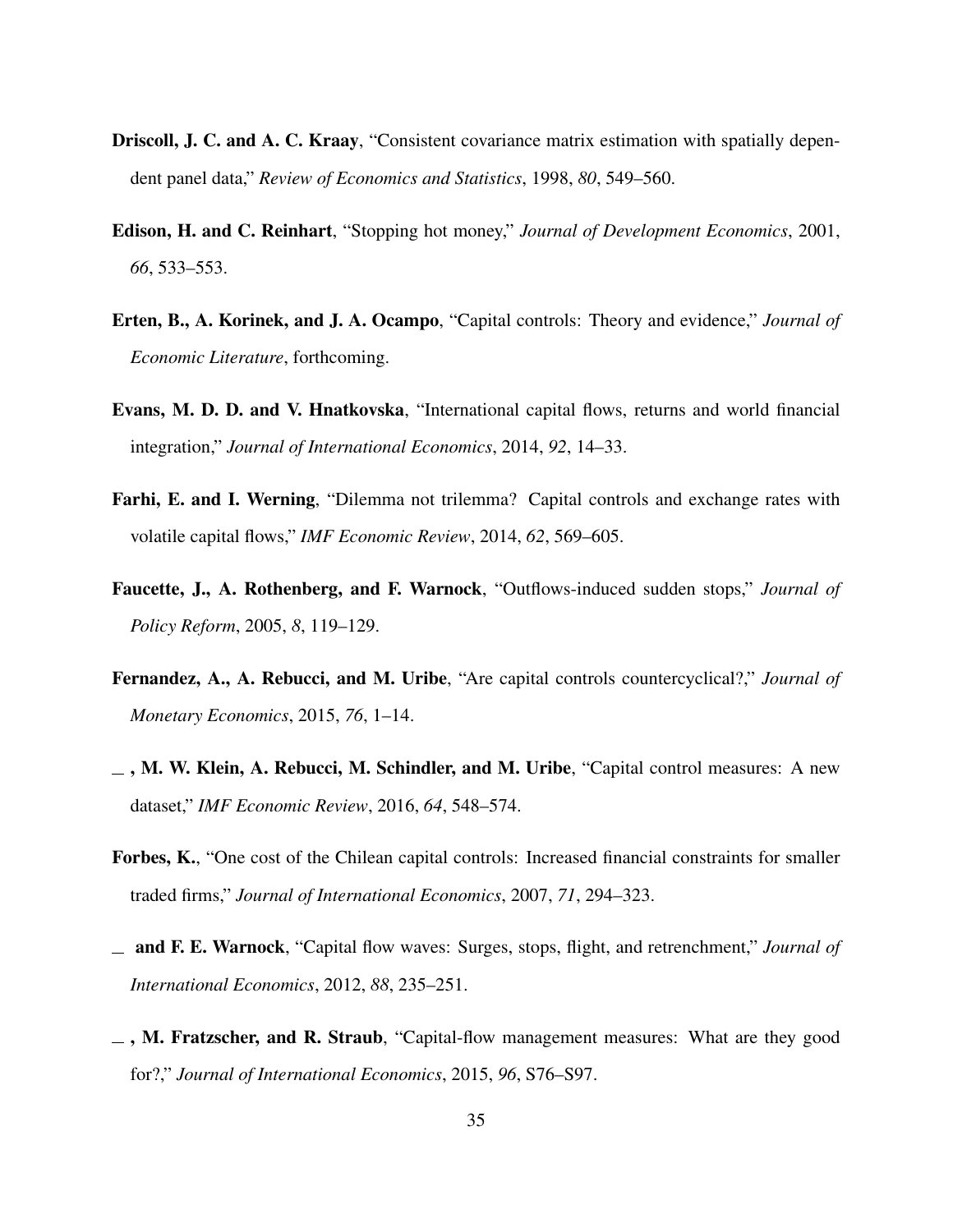- <span id="page-35-10"></span>Driscoll, J. C. and A. C. Kraay, "Consistent covariance matrix estimation with spatially dependent panel data," *Review of Economics and Statistics*, 1998, *80*, 549–560.
- <span id="page-35-2"></span>Edison, H. and C. Reinhart, "Stopping hot money," *Journal of Development Economics*, 2001, *66*, 533–553.
- <span id="page-35-4"></span>Erten, B., A. Korinek, and J. A. Ocampo, "Capital controls: Theory and evidence," *Journal of Economic Literature*, forthcoming.
- <span id="page-35-7"></span>Evans, M. D. D. and V. Hnatkovska, "International capital flows, returns and world financial integration," *Journal of International Economics*, 2014, *92*, 14–33.
- <span id="page-35-0"></span>Farhi, E. and I. Werning, "Dilemma not trilemma? Capital controls and exchange rates with volatile capital flows," *IMF Economic Review*, 2014, *62*, 569–605.
- <span id="page-35-9"></span>Faucette, J., A. Rothenberg, and F. Warnock, "Outflows-induced sudden stops," *Journal of Policy Reform*, 2005, *8*, 119–129.
- <span id="page-35-6"></span>Fernandez, A., A. Rebucci, and M. Uribe, "Are capital controls countercyclical?," *Journal of Monetary Economics*, 2015, *76*, 1–14.
- <span id="page-35-1"></span> $_$ , M. W. Klein, A. Rebucci, M. Schindler, and M. Uribe, "Capital control measures: A new dataset," *IMF Economic Review*, 2016, *64*, 548–574.
- <span id="page-35-5"></span>Forbes, K., "One cost of the Chilean capital controls: Increased financial constraints for smaller traded firms," *Journal of International Economics*, 2007, *71*, 294–323.
- <span id="page-35-8"></span>and F. E. Warnock, "Capital flow waves: Surges, stops, flight, and retrenchment," *Journal of International Economics*, 2012, *88*, 235–251.
- <span id="page-35-3"></span> $\Box$ , M. Fratzscher, and R. Straub, "Capital-flow management measures: What are they good for?," *Journal of International Economics*, 2015, *96*, S76–S97.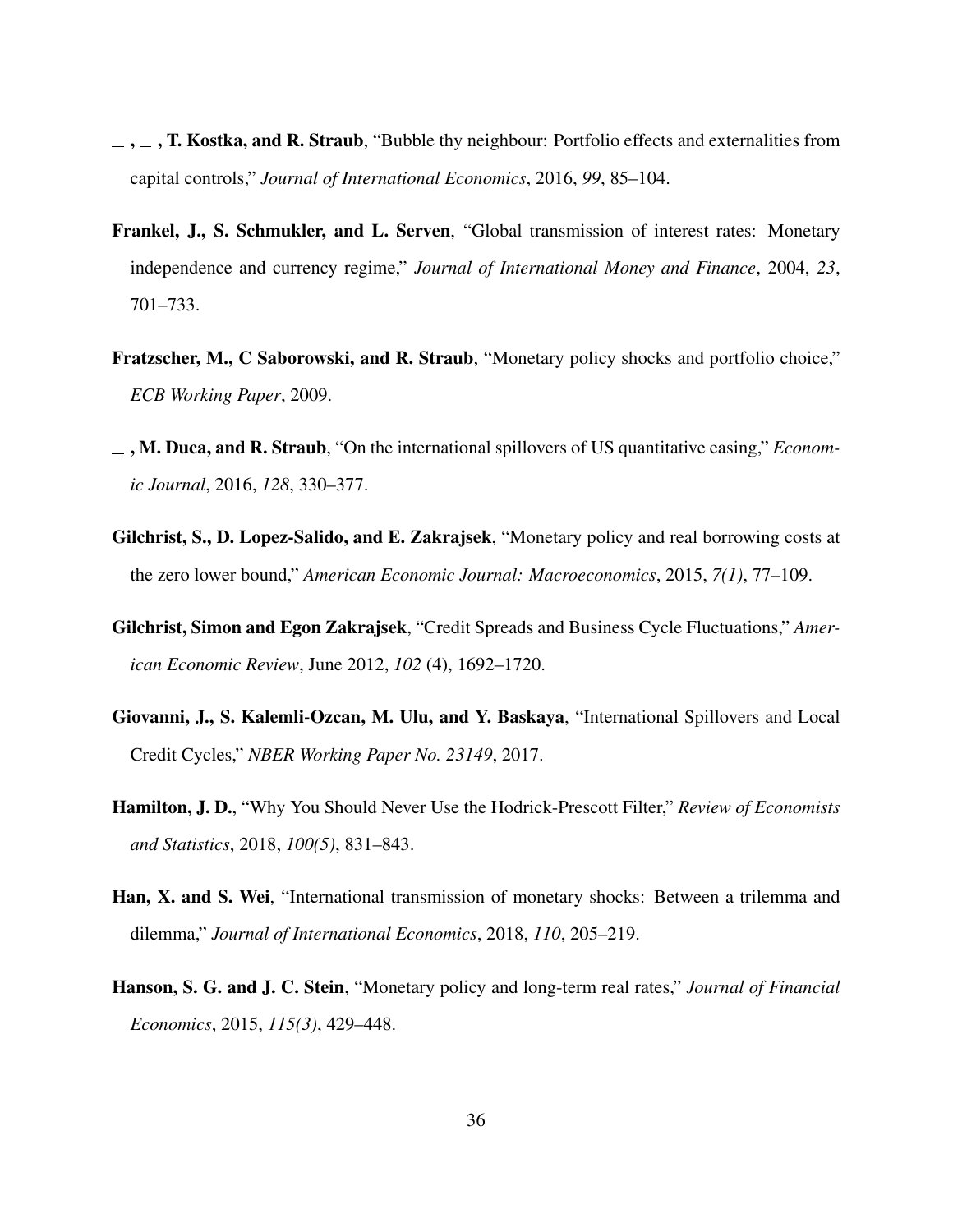- <span id="page-36-2"></span> $\ldots$ , T. Kostka, and R. Straub, "Bubble thy neighbour: Portfolio effects and externalities from capital controls," *Journal of International Economics*, 2016, *99*, 85–104.
- <span id="page-36-1"></span>Frankel, J., S. Schmukler, and L. Serven, "Global transmission of interest rates: Monetary independence and currency regime," *Journal of International Money and Finance*, 2004, *23*, 701–733.
- <span id="page-36-3"></span>Fratzscher, M., C Saborowski, and R. Straub, "Monetary policy shocks and portfolio choice," *ECB Working Paper*, 2009.
- <span id="page-36-4"></span>, M. Duca, and R. Straub, "On the international spillovers of US quantitative easing," *Economic Journal*, 2016, *128*, 330–377.
- <span id="page-36-7"></span>Gilchrist, S., D. Lopez-Salido, and E. Zakrajsek, "Monetary policy and real borrowing costs at the zero lower bound," *American Economic Journal: Macroeconomics*, 2015, *7(1)*, 77–109.
- <span id="page-36-9"></span>Gilchrist, Simon and Egon Zakrajsek, "Credit Spreads and Business Cycle Fluctuations," *American Economic Review*, June 2012, *102* (4), 1692–1720.
- <span id="page-36-0"></span>Giovanni, J., S. Kalemli-Ozcan, M. Ulu, and Y. Baskaya, "International Spillovers and Local Credit Cycles," *NBER Working Paper No. 23149*, 2017.
- <span id="page-36-8"></span>Hamilton, J. D., "Why You Should Never Use the Hodrick-Prescott Filter," *Review of Economists and Statistics*, 2018, *100(5)*, 831–843.
- <span id="page-36-5"></span>Han, X. and S. Wei, "International transmission of monetary shocks: Between a trilemma and dilemma," *Journal of International Economics*, 2018, *110*, 205–219.
- <span id="page-36-6"></span>Hanson, S. G. and J. C. Stein, "Monetary policy and long-term real rates," *Journal of Financial Economics*, 2015, *115(3)*, 429–448.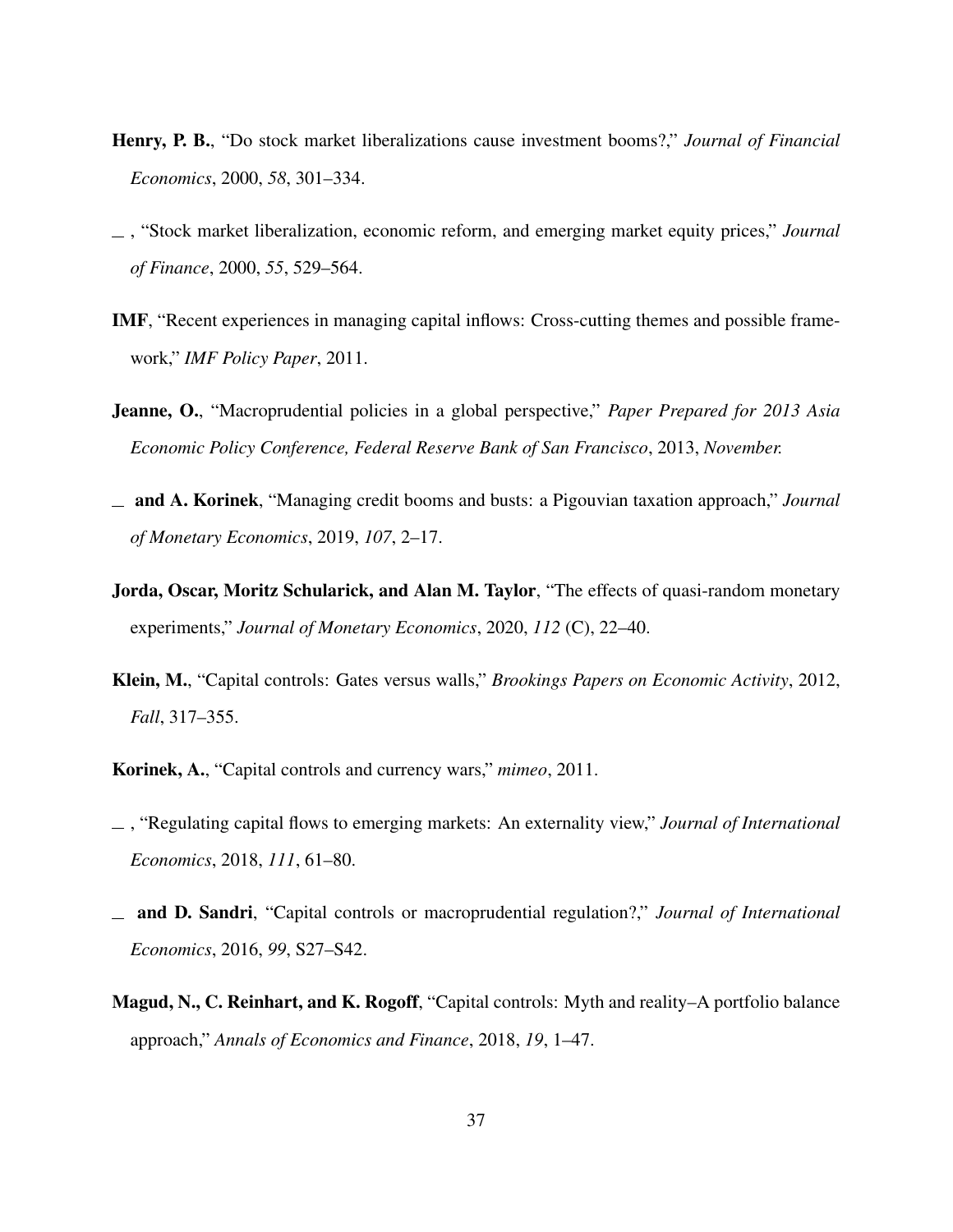- <span id="page-37-7"></span>Henry, P. B., "Do stock market liberalizations cause investment booms?," *Journal of Financial Economics*, 2000, *58*, 301–334.
- <span id="page-37-8"></span>, "Stock market liberalization, economic reform, and emerging market equity prices," *Journal of Finance*, 2000, *55*, 529–564.
- <span id="page-37-0"></span>IMF, "Recent experiences in managing capital inflows: Cross-cutting themes and possible framework," *IMF Policy Paper*, 2011.
- <span id="page-37-2"></span>Jeanne, O., "Macroprudential policies in a global perspective," *Paper Prepared for 2013 Asia Economic Policy Conference, Federal Reserve Bank of San Francisco*, 2013, *November.*
- <span id="page-37-1"></span>and A. Korinek, "Managing credit booms and busts: a Pigouvian taxation approach," *Journal of Monetary Economics*, 2019, *107*, 2–17.
- <span id="page-37-10"></span>Jorda, Oscar, Moritz Schularick, and Alan M. Taylor, "The effects of quasi-random monetary experiments," *Journal of Monetary Economics*, 2020, *112* (C), 22–40.
- <span id="page-37-6"></span>Klein, M., "Capital controls: Gates versus walls," *Brookings Papers on Economic Activity*, 2012, *Fall*, 317–355.
- <span id="page-37-3"></span>Korinek, A., "Capital controls and currency wars," *mimeo*, 2011.
- <span id="page-37-4"></span>, "Regulating capital flows to emerging markets: An externality view," *Journal of International Economics*, 2018, *111*, 61–80.
- <span id="page-37-9"></span>and D. Sandri, "Capital controls or macroprudential regulation?," *Journal of International Economics*, 2016, *99*, S27–S42.
- <span id="page-37-5"></span>Magud, N., C. Reinhart, and K. Rogoff, "Capital controls: Myth and reality–A portfolio balance approach," *Annals of Economics and Finance*, 2018, *19*, 1–47.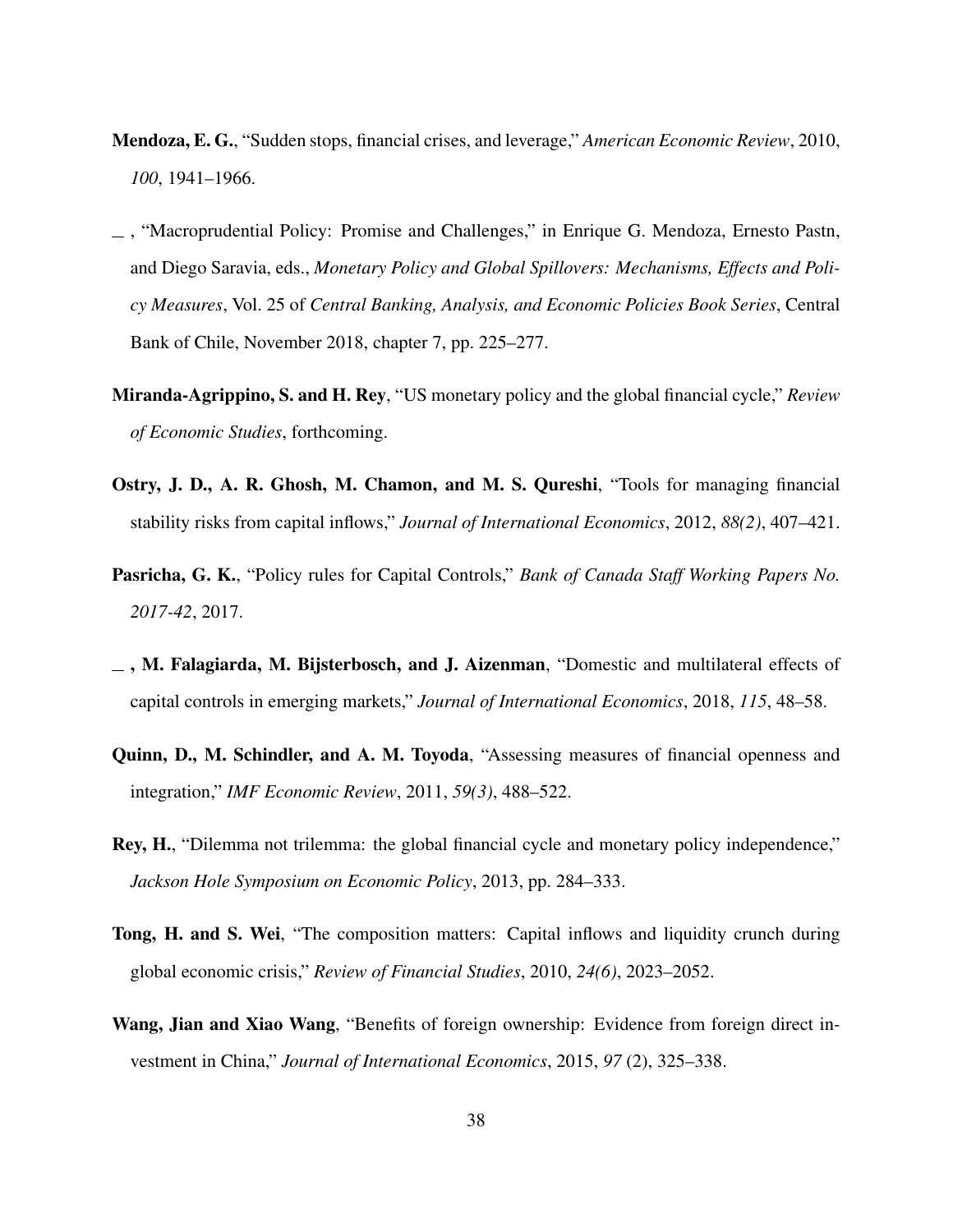- <span id="page-38-8"></span>Mendoza, E. G., "Sudden stops, financial crises, and leverage," *American Economic Review*, 2010, *100*, 1941–1966.
- <span id="page-38-6"></span>, "Macroprudential Policy: Promise and Challenges," in Enrique G. Mendoza, Ernesto Pastn, and Diego Saravia, eds., *Monetary Policy and Global Spillovers: Mechanisms, Effects and Policy Measures*, Vol. 25 of *Central Banking, Analysis, and Economic Policies Book Series*, Central Bank of Chile, November 2018, chapter 7, pp. 225–277.
- <span id="page-38-4"></span>Miranda-Agrippino, S. and H. Rey, "US monetary policy and the global financial cycle," *Review of Economic Studies*, forthcoming.
- <span id="page-38-2"></span>Ostry, J. D., A. R. Ghosh, M. Chamon, and M. S. Qureshi, "Tools for managing financial stability risks from capital inflows," *Journal of International Economics*, 2012, *88(2)*, 407–421.
- <span id="page-38-5"></span>Pasricha, G. K., "Policy rules for Capital Controls," *Bank of Canada Staff Working Papers No. 2017-42*, 2017.
- <span id="page-38-3"></span> $\equiv$ , M. Falagiarda, M. Bijsterbosch, and J. Aizenman, "Domestic and multilateral effects of capital controls in emerging markets," *Journal of International Economics*, 2018, *115*, 48–58.
- <span id="page-38-7"></span>Quinn, D., M. Schindler, and A. M. Toyoda, "Assessing measures of financial openness and integration," *IMF Economic Review*, 2011, *59(3)*, 488–522.
- <span id="page-38-0"></span>Rey, H., "Dilemma not trilemma: the global financial cycle and monetary policy independence," *Jackson Hole Symposium on Economic Policy*, 2013, pp. 284–333.
- <span id="page-38-1"></span>Tong, H. and S. Wei, "The composition matters: Capital inflows and liquidity crunch during global economic crisis," *Review of Financial Studies*, 2010, *24(6)*, 2023–2052.
- <span id="page-38-9"></span>Wang, Jian and Xiao Wang, "Benefits of foreign ownership: Evidence from foreign direct investment in China," *Journal of International Economics*, 2015, *97* (2), 325–338.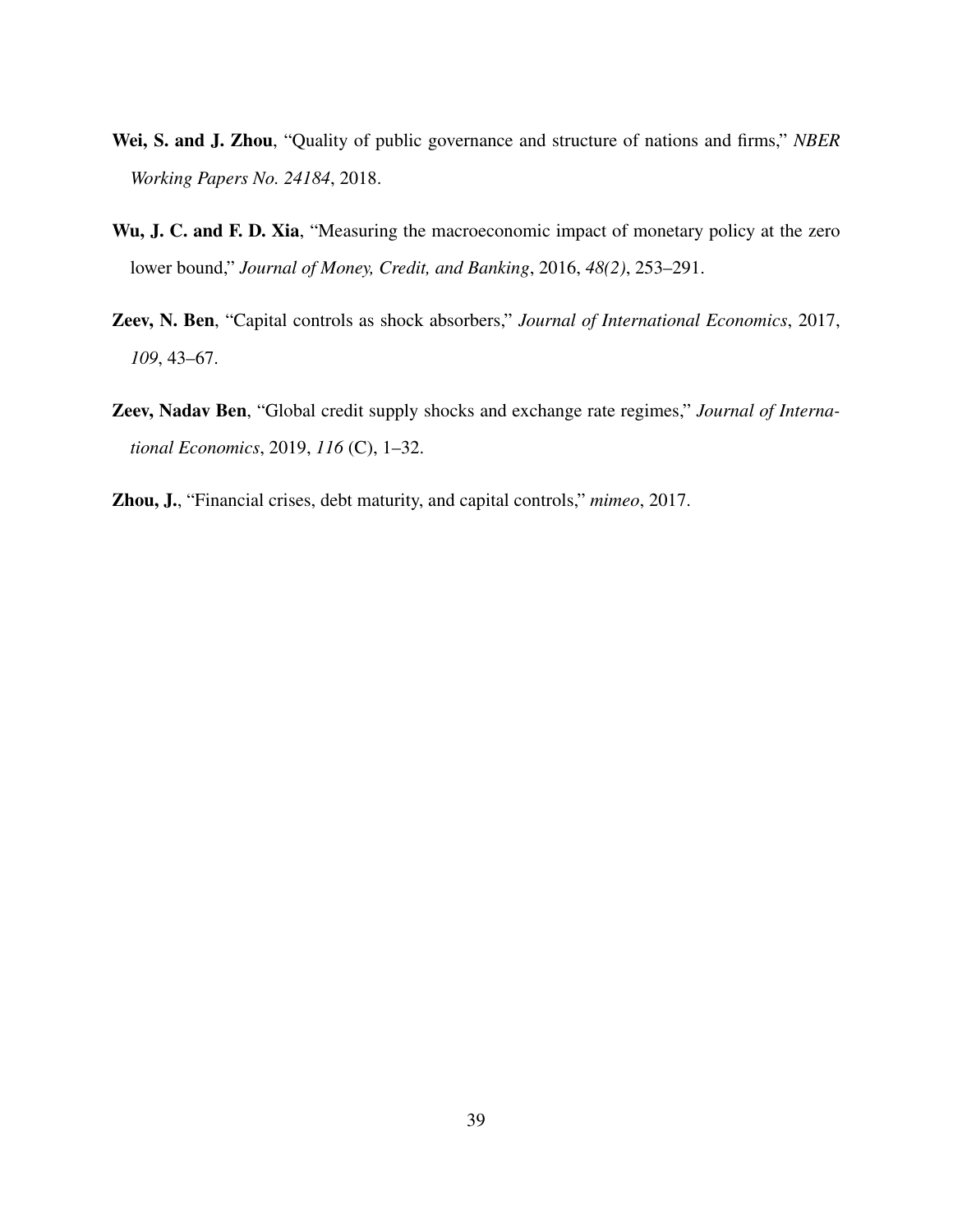- <span id="page-39-1"></span>Wei, S. and J. Zhou, "Quality of public governance and structure of nations and firms," *NBER Working Papers No. 24184*, 2018.
- <span id="page-39-3"></span>Wu, J. C. and F. D. Xia, "Measuring the macroeconomic impact of monetary policy at the zero lower bound," *Journal of Money, Credit, and Banking*, 2016, *48(2)*, 253–291.
- <span id="page-39-0"></span>Zeev, N. Ben, "Capital controls as shock absorbers," *Journal of International Economics*, 2017, *109*, 43–67.
- <span id="page-39-4"></span>Zeev, Nadav Ben, "Global credit supply shocks and exchange rate regimes," *Journal of International Economics*, 2019, *116* (C), 1–32.
- <span id="page-39-2"></span>Zhou, J., "Financial crises, debt maturity, and capital controls," *mimeo*, 2017.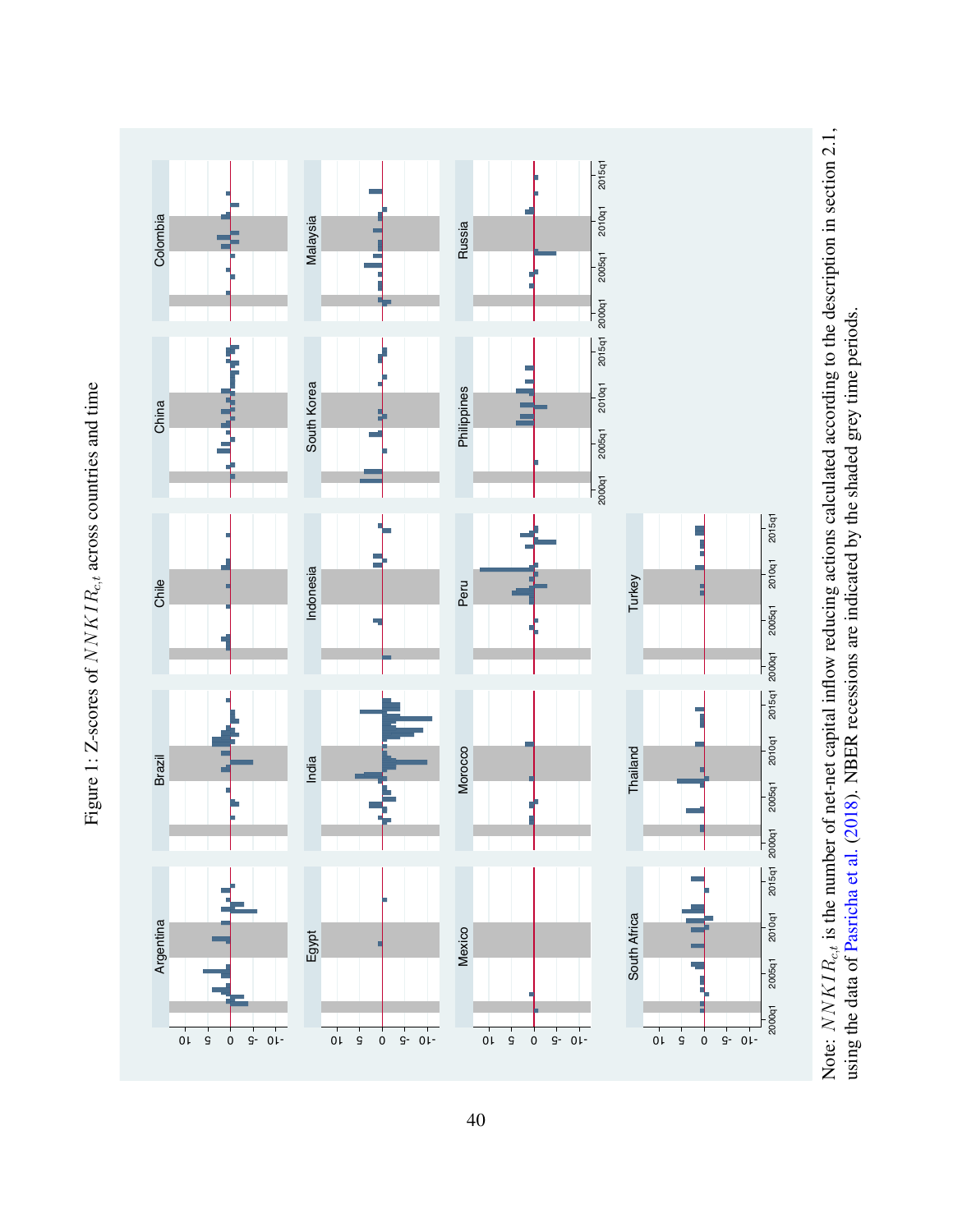

<span id="page-40-0"></span>

Note: NNKIR<sub>c,t</sub> is the number of net-net capital inflow reducing actions calculated according to the description in section 2.1, Note:  $NNKIR_{c,t}$  is the number of net-net capital inflow reducing actions calculated according to the description in section [2.1,](#page-7-2) using the data of Pasricha et al. (2018). NBER recessions are indicated by the shaded grey time periods. using the data of [Pasricha](#page-38-3) et al. [\(2018\)](#page-38-3). NBER recessions are indicated by the shaded grey time periods.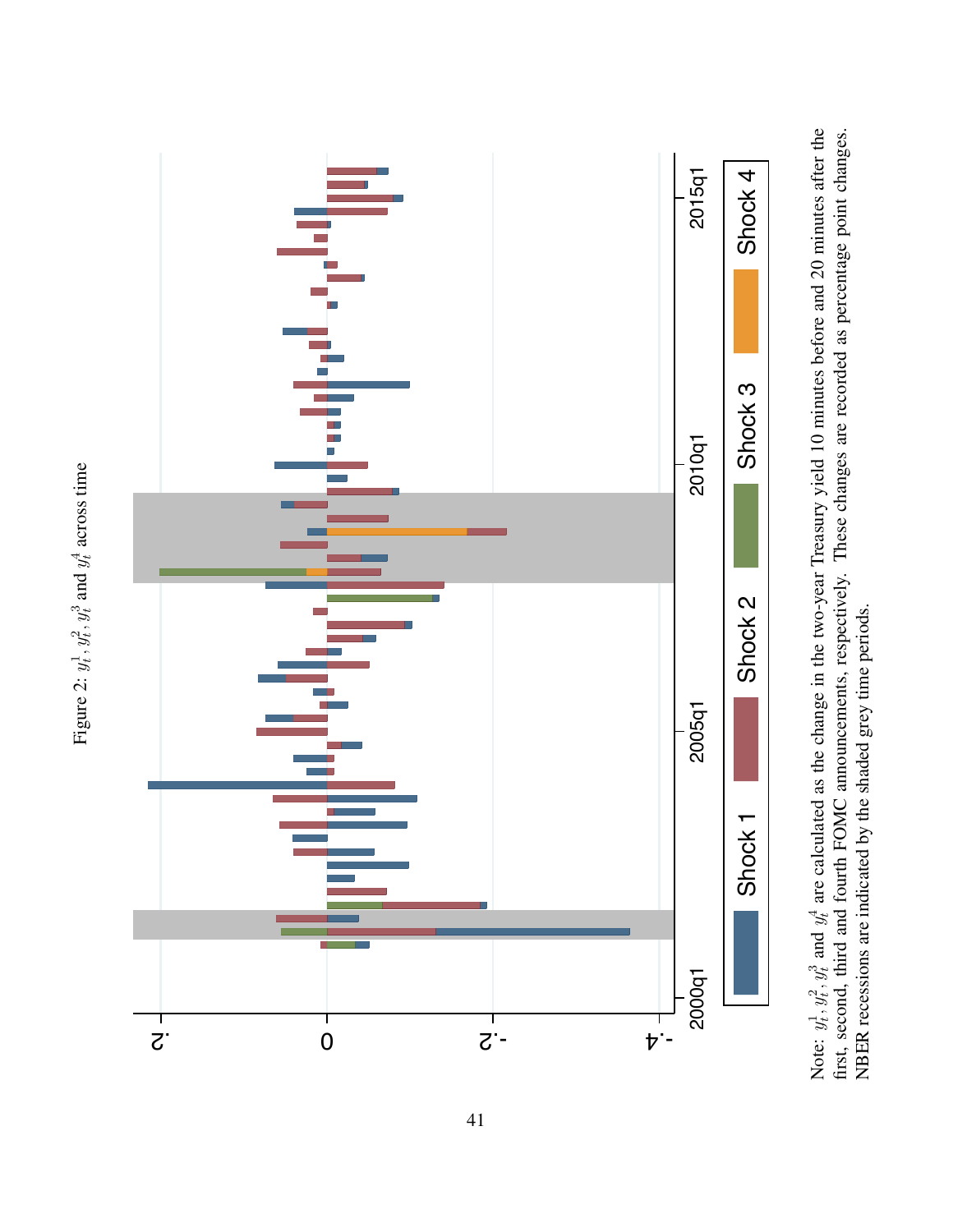<span id="page-41-0"></span>

Note:  $y_t^1, y_t^2, y_t^3$  and  $y_t^4$  are calculated as the change in the two-year Treasury yield 10 minutes before and 20 minutes after the first, second, third and fourth FOMC announcements, respectively. These changes are Note:  $y_t^1, y_t^2, y_t^3$  and  $y_t^4$  are calculated as the change in the two-year Treasury yield 10 minutes before and 20 minutes after the first, second, third and fourth FOMC announcements, respectively. These changes are recorded as percentage point changes. NBER recessions are indicated by the shaded grey time periods. NBER recessions are indicated by the shaded grey time periods.

Figure 2:  $y_t^1$ ,  $y_t^2$ ,  $y_t^3$  and  $y_t^4$  across time Figure 2:  $y_t^1$ ,  $y_t^2$ ,  $y_t^3$  and  $y_t^4$  across time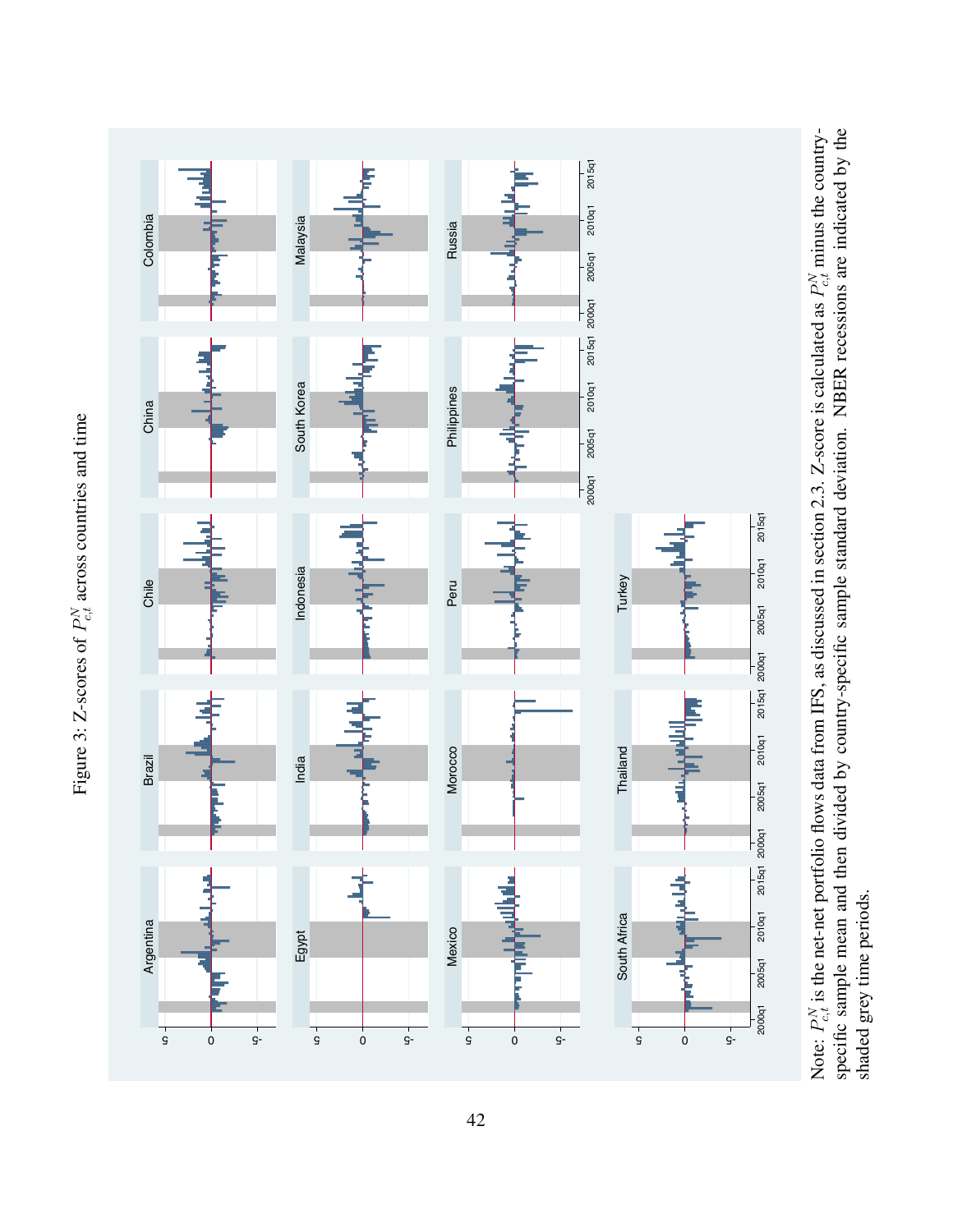<span id="page-42-0"></span>

Figure 3: Z-scores of  $P_{c,t}^N$  across countries and time Figure 3: Z-scores of  $P_{c,t}^N$  across countries and time

shaded grey time periods.

shaded grey time periods.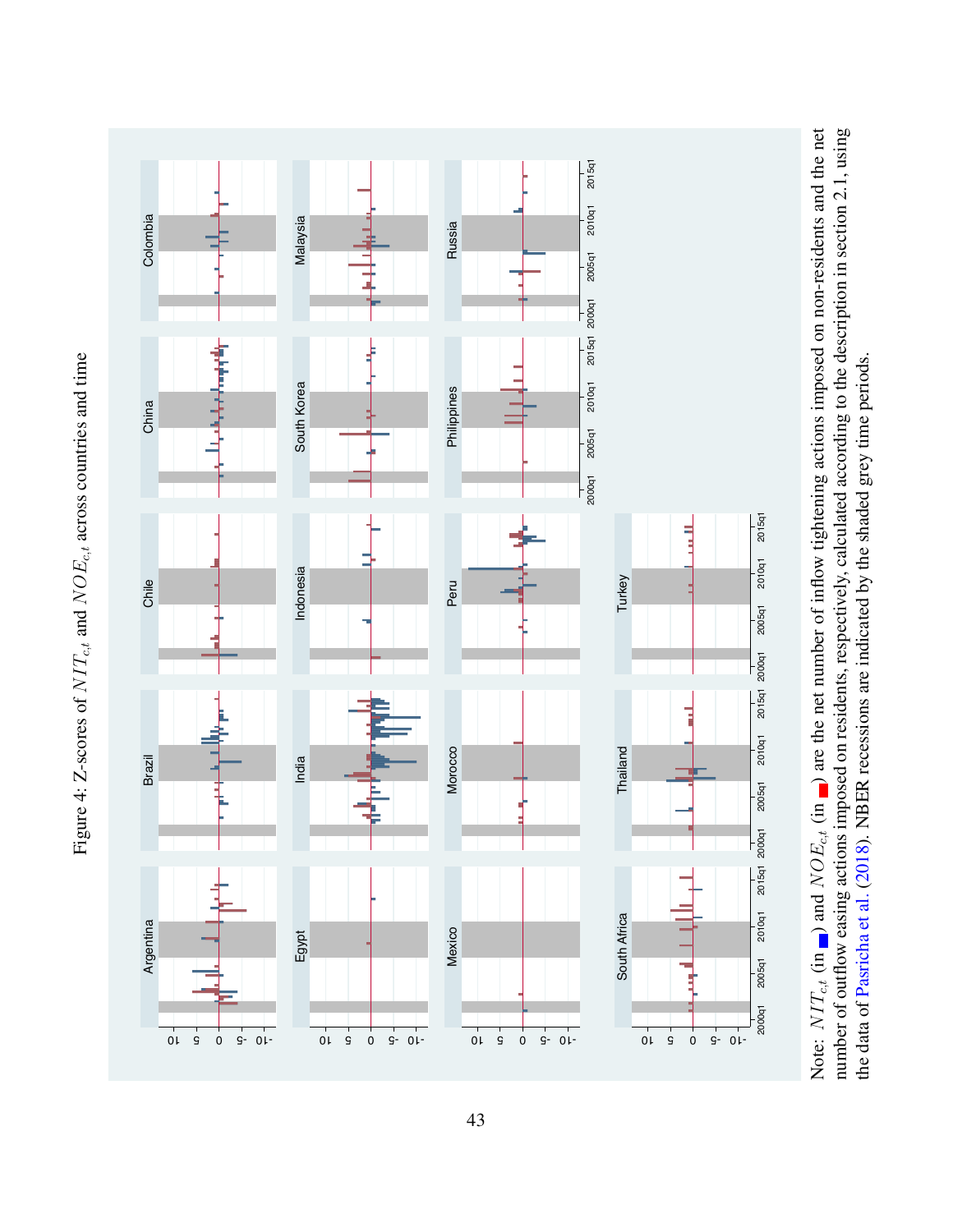

<span id="page-43-0"></span>

Note:  $NT_{c,t}$  (in  $\Box$ ) and  $NOE_{c,t}$  (in  $\Box$ ) are the net number of inflow tightening actions imposed on non-residents and the net number of outflow easing actions imposed on residents, respectively, calculated according to the description in section 2.1, using Note:  $NT_{c,t}$  (in  $\Box$ ) and  $NOE_{c,t}$  (in  $\Box$ ) are the net number of inflow tightening actions imposed on non-residents and the net number of outflow easing actions imposed on residents, respectively, calculated according to the description in section [2.1,](#page-7-2) using the data of Pasricha et al. (2018). NBER recessions are indicated by the shaded grey time periods. the data of [Pasricha](#page-38-3) et al. [\(2018\)](#page-38-3). NBER recessions are indicated by the shaded grey time periods.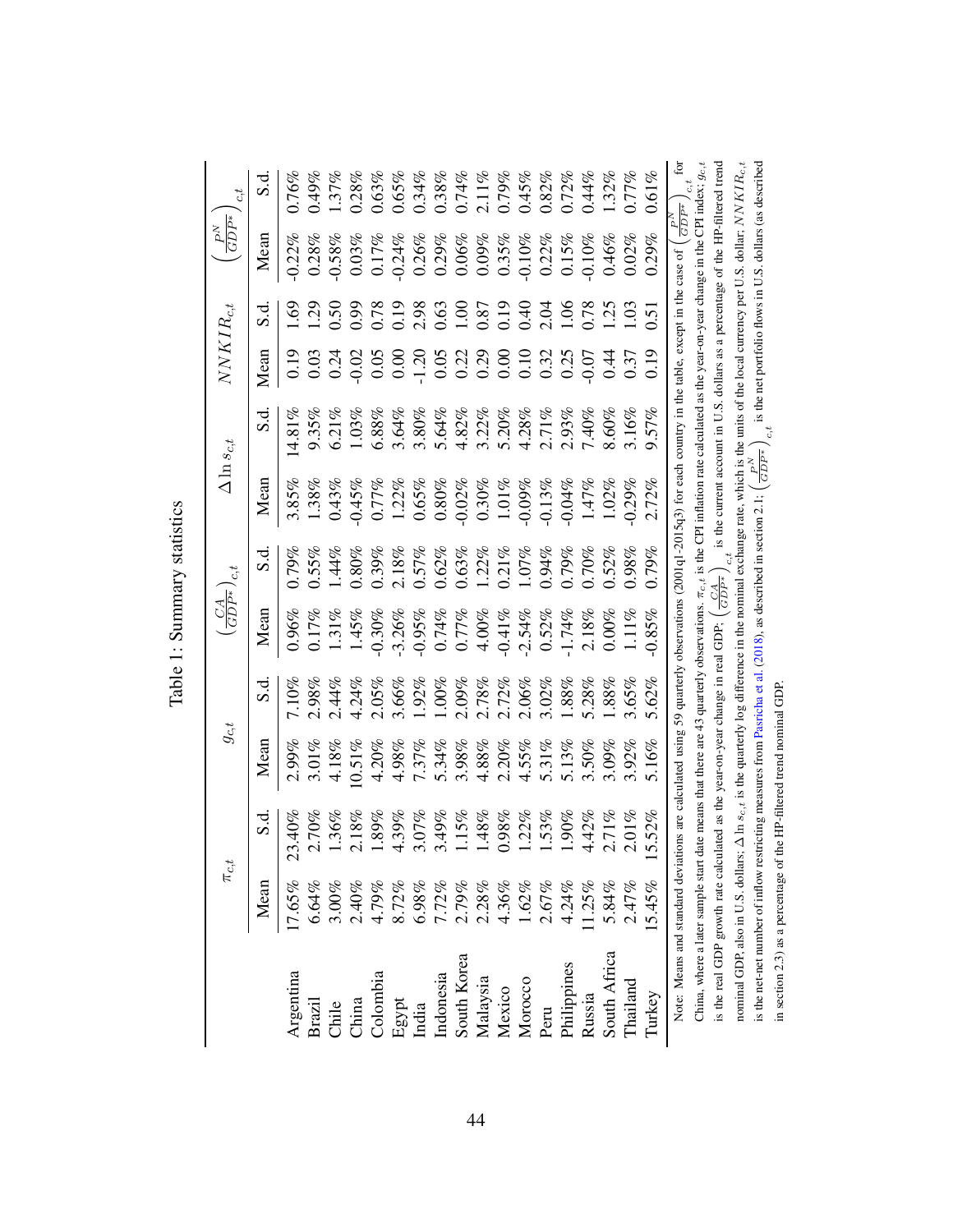|                                                                                                                                                                                                |                                                                                         | $\pi_{c,t}$ | $g_{c,t}$ |          | $\left(\frac{CA}{GDP^*}\right)$ | c, t                            |           | $\Delta\ln s_{c,t}$                                                             | $NNKIR_{c,t}$                                                             |                                                   | $\big(\frac{P^N}{GDP^*}$                                                       |                                         |
|------------------------------------------------------------------------------------------------------------------------------------------------------------------------------------------------|-----------------------------------------------------------------------------------------|-------------|-----------|----------|---------------------------------|---------------------------------|-----------|---------------------------------------------------------------------------------|---------------------------------------------------------------------------|---------------------------------------------------|--------------------------------------------------------------------------------|-----------------------------------------|
|                                                                                                                                                                                                | Mean                                                                                    | ರ.<br>೧     | Mean      | s.d      | Mean                            | S.d.                            | Mean      | S.d.                                                                            | Mean                                                                      | ರ.<br>೧                                           | Mean                                                                           | S.d                                     |
| Argentina                                                                                                                                                                                      | 17.65%                                                                                  | 23.40%      | 2.99%     | 7.10%    | $0.96\%$                        | 0.79%                           | 3.85%     | $4.81\%$                                                                        | 0.19                                                                      | 69                                                | $-0.22%$                                                                       | $0.76\%$                                |
| <b>Brazil</b>                                                                                                                                                                                  | 6.64%                                                                                   | 2.70%       | 3.01%     | 2.98%    | 0.17%                           | 0.55%                           | 1.38%     | 9.35%                                                                           | 0.03                                                                      | $\dot{5}$                                         | 0.28%                                                                          | 0.49%                                   |
| Chile                                                                                                                                                                                          | $3.00\%$                                                                                | $1.36\%$    | 4.18%     | 2.44%    | $1.31\%$                        | $1.44\%$                        | 0.43%     | 6.21%                                                                           | 0.24                                                                      | 0.50                                              | $-0.58\%$                                                                      | 1.37%                                   |
| China                                                                                                                                                                                          | $2.40\%$                                                                                | 2.18%       | $0.51\%$  | 4.24%    | 1.45%                           | 0.80%                           | $-0.45%$  | 1.03%                                                                           |                                                                           | 0.99                                              | $0.03\%$                                                                       | 0.28%                                   |
| <b>Colombia</b>                                                                                                                                                                                | $4.79\%$                                                                                | $1.89\%$    | 4.20%     | 2.05%    | $-0.30%$                        | 0.39%                           | 0.77%     | 6.88%                                                                           | $0.02$<br>0.05                                                            | 0.78                                              | $0.17\%$                                                                       | 0.63%                                   |
|                                                                                                                                                                                                |                                                                                         | 4.39%       | 4.98%     | 3.66%    | $-3.26%$                        | $2.18\%$                        | 1.22%     | 3.64%                                                                           |                                                                           |                                                   | $-0.24%$                                                                       | 0.65%                                   |
|                                                                                                                                                                                                |                                                                                         | 3.07%       | 7.37%     | 1.92%    | $-0.95%$                        | 0.57%                           | 0.65%     | 3.80%                                                                           |                                                                           | $\begin{array}{c} 19 \\ 2.98 \\ 0.63 \end{array}$ |                                                                                | $0.34\%$                                |
|                                                                                                                                                                                                |                                                                                         | 3.49%       | 5.34%     | $1.00\%$ | 0.74%                           | 0.62%                           | $0.80\%$  | 5.64%                                                                           | $\begin{array}{c} 0.000 \\ -1.200 \\ 0.010 \\ 0.000 \\ 0.000 \end{array}$ |                                                   | $0.26\%$<br>0.29%                                                              | $0.38\%$                                |
|                                                                                                                                                                                                |                                                                                         | 1.15%       | 3.98%     | 2.09%    | 0.77%                           | 0.63%                           | $-0.02%$  | 4.82%                                                                           |                                                                           |                                                   | $0.06\%$                                                                       | $0.74\%$                                |
|                                                                                                                                                                                                |                                                                                         | $1.48\%$    | 4.88%     | 2.78%    | $4.00\%$                        | 1.22%                           | $0.30\%$  | 3.22%                                                                           |                                                                           | $\frac{0.00}{0.87}$                               | $0.09\%$                                                                       |                                         |
| Egypt<br>India<br>Indonesia<br>Indonesia<br>South Korea<br>Malaysia<br>Malaysia                                                                                                                | $\begin{array}{l} 8.72\% \\ 6.98\% \\ 7.72\% \\ 2.79\% \\ 2.38\% \\ 4.36\% \end{array}$ | $0.98\%$    | 2.20%     | 2.72%    | $-0.41\%$                       | 0.21%                           | $1.01\%$  | 5.20%                                                                           |                                                                           |                                                   | $0.35\%$                                                                       | $2.11\%$<br>0.79%                       |
| Morocco                                                                                                                                                                                        | 1.62%<br>2.67%                                                                          | 1.22%       | 4.55%     | 2.06%    | $-2.54%$                        | 1.07%                           | $-0.09\%$ | 4.28%                                                                           | $\begin{array}{c} 0.10 \\ 0.32 \\ 0.25 \\ 0.07 \end{array}$               | 0.40                                              | $-0.10\%$<br>0.22%                                                             | 0.45%                                   |
| Peru                                                                                                                                                                                           |                                                                                         | 1.53%       | 5.31%     | 3.02%    | 0.52%                           | 0.94%                           | $-0.13%$  | 2.71%                                                                           |                                                                           | 2.04                                              |                                                                                | $0.82\%$                                |
| Philippines                                                                                                                                                                                    | 4.24%                                                                                   | $1.90\%$    | 5.13%     | 1.88%    | $-1.74%$                        | 0.79%                           | $-0.04%$  | 2.93%                                                                           |                                                                           | 1.06                                              | $0.15\%$                                                                       | 0.72%                                   |
|                                                                                                                                                                                                | 1.25%                                                                                   | 4.42%       | 3.50%     | 0.28%    | 2.18%                           | $0.70\%$                        | 1.47%     | 7.40%                                                                           |                                                                           | 0.78                                              | $-0.10%$                                                                       | 0.44%                                   |
| Russia<br>South Africa                                                                                                                                                                         | 5.84%                                                                                   | 2.71%       | 3.09%     | 1.88%    | $0.00\%$                        | 0.52%                           | 1.02%     | 8.60%                                                                           | 0.37                                                                      | 1.25                                              | 0.46%                                                                          | 1.32%                                   |
| Thailand                                                                                                                                                                                       | 2.47%                                                                                   | $2.01\%$    | 3.92%     | 3.65%    | $1.11\%$                        | 0.98%                           | $-0.29%$  | 3.16%                                                                           |                                                                           | 1.03                                              | 0.02%                                                                          | 0.77%                                   |
| Turkey                                                                                                                                                                                         | 15.45%                                                                                  | 5.52%       | 5.16%     | 5.62%    | $-0.85%$                        | 0.79%                           | 2.72%     | 9.57%                                                                           | 0.19                                                                      | $\overline{0.5}$                                  | 0.29%                                                                          | $0.61\%$                                |
| Note: Means and standard deviations are calculated using 59 quarterly observations (2001q1-2015q3) for each country in the table, except in the case of                                        |                                                                                         |             |           |          |                                 |                                 |           |                                                                                 |                                                                           |                                                   |                                                                                | for<br>$\left(\frac{P^N}{GDP^*}\right)$ |
| China, where a later sample start date means that there are 43 quarterly observations. $\pi_{c,t}$ is the CPI inflation rate calculated as the year-on-year change in the CPI index, $g_{c,t}$ |                                                                                         |             |           |          |                                 |                                 |           |                                                                                 |                                                                           |                                                   |                                                                                | c, t                                    |
| is the real GDP growth rate calculated as the year-on-year change in real GDP;                                                                                                                 |                                                                                         |             |           |          |                                 | $\left(\frac{CA}{GDP^*}\right)$ |           | is the current account in U.S. dollars as a percentage of the HP-filtered trend |                                                                           |                                                   |                                                                                |                                         |
| nominal GDP, also in U.S. dollars; $\Delta \ln s_{c,t}$ is the quarterly log difference in the nominal exchange rate, which is the units of the local currency per U.S. dollar; $NNKIR_{c,t}$  |                                                                                         |             |           |          |                                 |                                 |           |                                                                                 |                                                                           |                                                   |                                                                                |                                         |
| is the net-net number of inflow restricting measures from Pasricha et al. (2018), as described in section 2.1; (                                                                               |                                                                                         |             |           |          |                                 |                                 |           | $\left(\frac{P^N}{GDP^*}\right)$                                                |                                                                           |                                                   | is the net portfolio flows in U.S. dollars (as described $\frac{c_1 t}{c_2 t}$ |                                         |
| in section 2.3) as a percentage of the HP-filtered trend nominal GDP.                                                                                                                          |                                                                                         |             |           |          |                                 |                                 |           |                                                                                 |                                                                           |                                                   |                                                                                |                                         |

<span id="page-44-0"></span>Table 1: Summary statistics Table 1: Summary statistics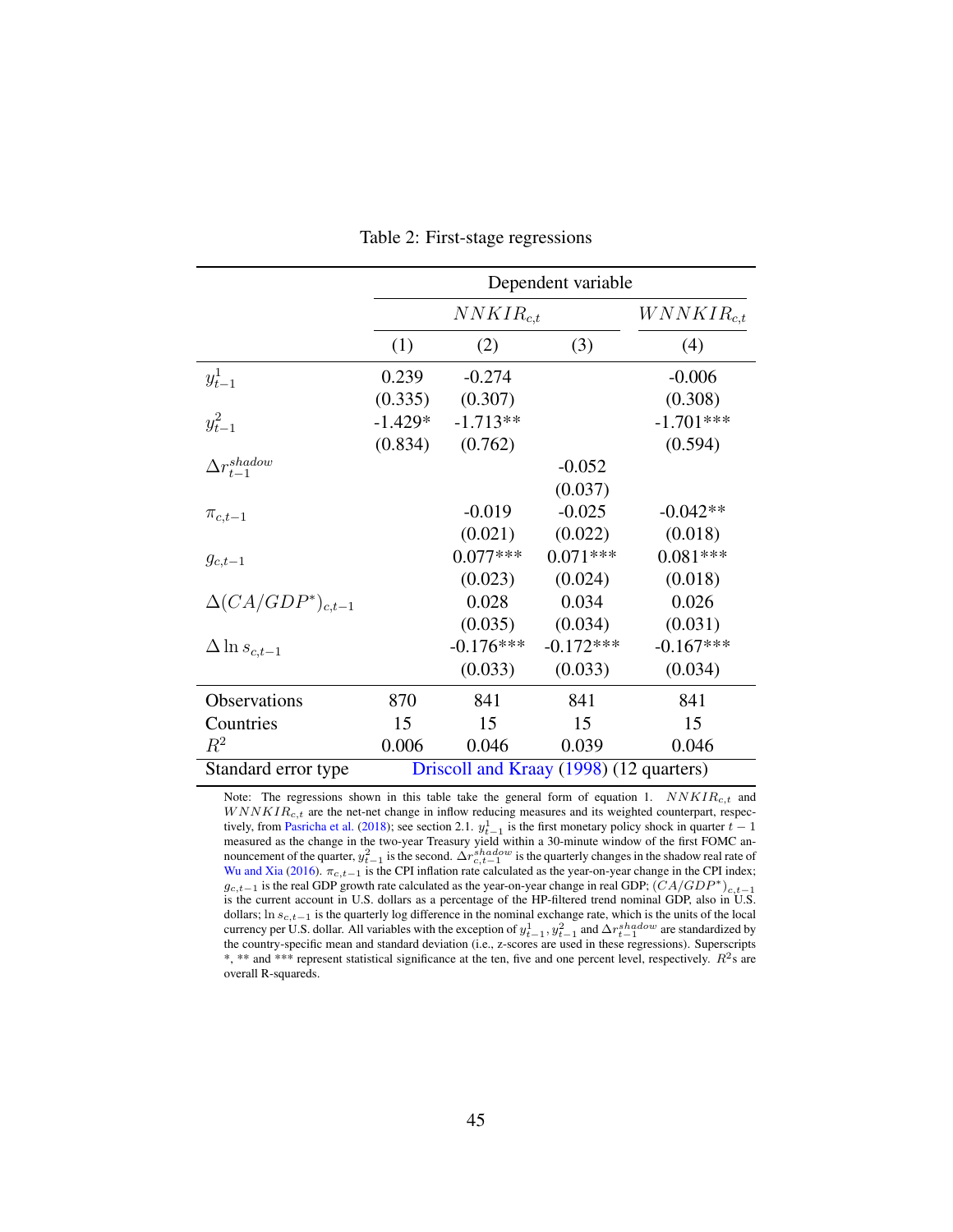<span id="page-45-0"></span>

|                             |           |                                         | Dependent variable |                 |
|-----------------------------|-----------|-----------------------------------------|--------------------|-----------------|
|                             |           | $NNKIR_{c,t}$                           |                    | $WNNKIR_{c.t.}$ |
|                             | (1)       | (2)                                     | (3)                | (4)             |
| $y_{t-1}^1$                 | 0.239     | $-0.274$                                |                    | $-0.006$        |
|                             | (0.335)   | (0.307)                                 |                    | (0.308)         |
| $y_{t-1}^2$                 | $-1.429*$ | $-1.713**$                              |                    | $-1.701***$     |
|                             | (0.834)   | (0.762)                                 |                    | (0.594)         |
| $\Delta r_{t-1}^{shadow}$   |           |                                         | $-0.052$           |                 |
|                             |           |                                         | (0.037)            |                 |
| $\pi_{c,t-1}$               |           | $-0.019$                                | $-0.025$           | $-0.042**$      |
|                             |           | (0.021)                                 | (0.022)            | (0.018)         |
| $g_{c,t-1}$                 |           | $0.077***$                              | $0.071***$         | $0.081***$      |
|                             |           | (0.023)                                 | (0.024)            | (0.018)         |
| $\Delta (CA/GDP^*)_{c.t-1}$ |           | 0.028                                   | 0.034              | 0.026           |
|                             |           | (0.035)                                 | (0.034)            | (0.031)         |
| $\Delta \ln s_{c,t-1}$      |           | $-0.176***$                             | $-0.172***$        | $-0.167***$     |
|                             |           | (0.033)                                 | (0.033)            | (0.034)         |
| Observations                | 870       | 841                                     | 841                | 841             |
| Countries                   | 15        | 15                                      | 15                 | 15              |
| $R^2$                       | 0.006     | 0.046                                   | 0.039              | 0.046           |
| Standard error type         |           | Driscoll and Kraay (1998) (12 quarters) |                    |                 |

Table 2: First-stage regressions

Note: The regressions shown in this table take the general form of equation [1.](#page-16-0)  $NNKIR_{c,t}$  and  $WNNKIR<sub>c,t</sub>$  are the net-net change in inflow reducing measures and its weighted counterpart, respec-tively, from [Pasricha et al.](#page-38-3) [\(2018\)](#page-38-3); see section [2.1.](#page-7-2)  $y_{t-1}^1$  is the first monetary policy shock in quarter  $t-1$ measured as the change in the two-year Treasury yield within a 30-minute window of the first FOMC announcement of the quarter,  $y_{t-1}^2$  is the second.  $\Delta r_{c,t-1}^{shadow}$  is the quarterly changes in the shadow real rate of [Wu and Xia](#page-39-3) [\(2016\)](#page-39-3).  $\pi_{c,t-1}$  is the CPI inflation rate calculated as the year-on-year change in the CPI index;  $g_{c,t-1}$  is the real GDP growth rate calculated as the year-on-year change in real GDP;  $(CA/GDP^*)_{c,t-1}$ is the current account in U.S. dollars as a percentage of the HP-filtered trend nominal GDP, also in U.S. dollars; ln s<sub>c,t−1</sub> is the quarterly log difference in the nominal exchange rate, which is the units of the local currency per U.S. dollar. All variables with the exception of  $y_{t-1}^1, y_{t-1}^2$  and  $\Delta r_{t-1}^{shadow}$  are standardized by the country-specific mean and standard deviation (i.e., z-scores are used in these regressions). Superscripts \*, \*\* and \*\*\* represent statistical significance at the ten, five and one percent level, respectively.  $R^2$ s are overall R-squareds.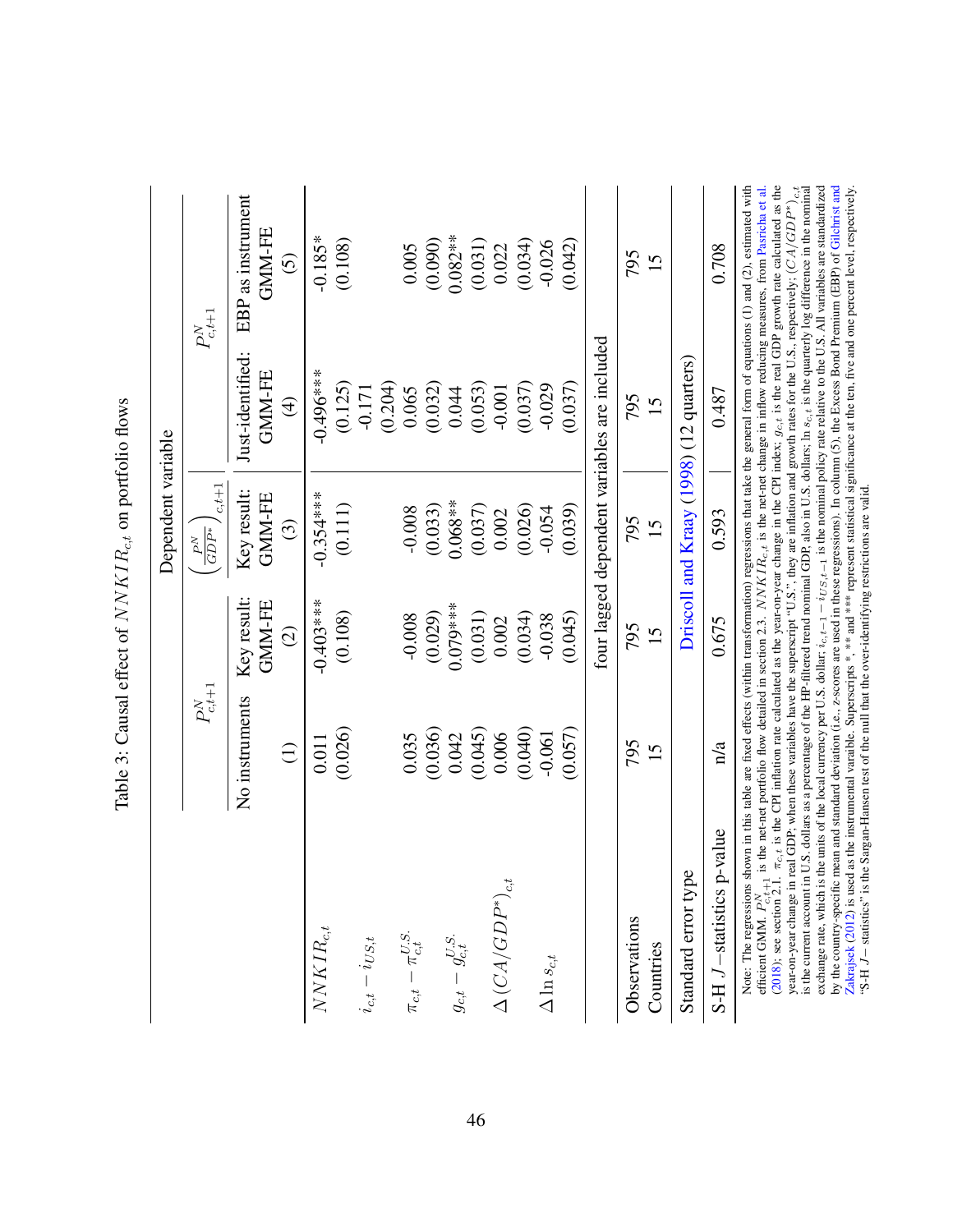|                                                                                                                                                                                                                                                                                                                                                                                                                                                                                                                                                                                                                                                                                                                                                                                                                                                                                                                                                                                                                                                                                                                                                                                                                                                        |                 |                              | Dependent variable                              |                                              |                                                                                                                                                                                                                                                                                                                        |
|--------------------------------------------------------------------------------------------------------------------------------------------------------------------------------------------------------------------------------------------------------------------------------------------------------------------------------------------------------------------------------------------------------------------------------------------------------------------------------------------------------------------------------------------------------------------------------------------------------------------------------------------------------------------------------------------------------------------------------------------------------------------------------------------------------------------------------------------------------------------------------------------------------------------------------------------------------------------------------------------------------------------------------------------------------------------------------------------------------------------------------------------------------------------------------------------------------------------------------------------------------|-----------------|------------------------------|-------------------------------------------------|----------------------------------------------|------------------------------------------------------------------------------------------------------------------------------------------------------------------------------------------------------------------------------------------------------------------------------------------------------------------------|
|                                                                                                                                                                                                                                                                                                                                                                                                                                                                                                                                                                                                                                                                                                                                                                                                                                                                                                                                                                                                                                                                                                                                                                                                                                                        | $P^N_{c,t+1}$   |                              | $c.t + 1$<br>$\overline{GDP^*}$<br>${\cal P}^N$ |                                              | $P^N_{c,t+1}$                                                                                                                                                                                                                                                                                                          |
|                                                                                                                                                                                                                                                                                                                                                                                                                                                                                                                                                                                                                                                                                                                                                                                                                                                                                                                                                                                                                                                                                                                                                                                                                                                        | No instruments  | Key result:<br><b>GMM-FE</b> | Key result:<br>GMM-FE                           | Just-identified:<br><b>GMM-FE</b>            | EBP as instrument<br>GMM-FE                                                                                                                                                                                                                                                                                            |
|                                                                                                                                                                                                                                                                                                                                                                                                                                                                                                                                                                                                                                                                                                                                                                                                                                                                                                                                                                                                                                                                                                                                                                                                                                                        | $\widehat{\Xi}$ | $\widehat{c}$                | $\widehat{\mathcal{C}}$                         | $\left( 4\right)$                            | $\widehat{\odot}$                                                                                                                                                                                                                                                                                                      |
| $NNKIR_{c,t}$                                                                                                                                                                                                                                                                                                                                                                                                                                                                                                                                                                                                                                                                                                                                                                                                                                                                                                                                                                                                                                                                                                                                                                                                                                          | 0.011           | $-0.403***$                  | $-0.354***$                                     | $-0.496***$                                  | $-0.185*$                                                                                                                                                                                                                                                                                                              |
|                                                                                                                                                                                                                                                                                                                                                                                                                                                                                                                                                                                                                                                                                                                                                                                                                                                                                                                                                                                                                                                                                                                                                                                                                                                        | (0.026)         | (0.108)                      | (0.111)                                         | (0.125)                                      | (0.108)                                                                                                                                                                                                                                                                                                                |
| $i_{c,t}-i_{US,t}$                                                                                                                                                                                                                                                                                                                                                                                                                                                                                                                                                                                                                                                                                                                                                                                                                                                                                                                                                                                                                                                                                                                                                                                                                                     |                 |                              |                                                 | (0.204)<br>$-0.171$                          |                                                                                                                                                                                                                                                                                                                        |
| $\pi_{c,t} - \pi_{c,t}^{U.S.}$                                                                                                                                                                                                                                                                                                                                                                                                                                                                                                                                                                                                                                                                                                                                                                                                                                                                                                                                                                                                                                                                                                                                                                                                                         | 0.035           | $-0.008$                     | $-0.008$                                        | 0.065                                        | 0.005                                                                                                                                                                                                                                                                                                                  |
|                                                                                                                                                                                                                                                                                                                                                                                                                                                                                                                                                                                                                                                                                                                                                                                                                                                                                                                                                                                                                                                                                                                                                                                                                                                        | (0.036)         | (0.029)                      | (0.033)                                         | (0.032)                                      | (0.090)                                                                                                                                                                                                                                                                                                                |
| $g_{c,t}-g_{c,t}^{U.S.} \label{eq:ge}$                                                                                                                                                                                                                                                                                                                                                                                                                                                                                                                                                                                                                                                                                                                                                                                                                                                                                                                                                                                                                                                                                                                                                                                                                 | 0.042           | $0.079***$                   | $0.068**$                                       | 0.044                                        | $0.082**$                                                                                                                                                                                                                                                                                                              |
|                                                                                                                                                                                                                                                                                                                                                                                                                                                                                                                                                                                                                                                                                                                                                                                                                                                                                                                                                                                                                                                                                                                                                                                                                                                        | (0.045)         | (0.031)                      | (0.037)                                         | (0.053)                                      | (0.031)                                                                                                                                                                                                                                                                                                                |
| $\Delta\left(CA/GDP^{*}\right)_{c,t}$                                                                                                                                                                                                                                                                                                                                                                                                                                                                                                                                                                                                                                                                                                                                                                                                                                                                                                                                                                                                                                                                                                                                                                                                                  | 0.006           | 0.002                        | 0.002                                           | $-0.001$                                     | 0.022                                                                                                                                                                                                                                                                                                                  |
|                                                                                                                                                                                                                                                                                                                                                                                                                                                                                                                                                                                                                                                                                                                                                                                                                                                                                                                                                                                                                                                                                                                                                                                                                                                        | (0.040)         | (0.034)                      | (0.026)                                         | (0.037)                                      | (0.034)                                                                                                                                                                                                                                                                                                                |
| $\Delta \ln s_{c,t}$                                                                                                                                                                                                                                                                                                                                                                                                                                                                                                                                                                                                                                                                                                                                                                                                                                                                                                                                                                                                                                                                                                                                                                                                                                   | $-0.061$        | $-0.038$                     | $-0.054$                                        | $-0.029$                                     | $-0.026$                                                                                                                                                                                                                                                                                                               |
|                                                                                                                                                                                                                                                                                                                                                                                                                                                                                                                                                                                                                                                                                                                                                                                                                                                                                                                                                                                                                                                                                                                                                                                                                                                        | (0.057)         | (0.045)                      | (0.039)                                         | (0.037)                                      | (0.042)                                                                                                                                                                                                                                                                                                                |
|                                                                                                                                                                                                                                                                                                                                                                                                                                                                                                                                                                                                                                                                                                                                                                                                                                                                                                                                                                                                                                                                                                                                                                                                                                                        |                 |                              |                                                 | four lagged dependent variables are included |                                                                                                                                                                                                                                                                                                                        |
| Observations                                                                                                                                                                                                                                                                                                                                                                                                                                                                                                                                                                                                                                                                                                                                                                                                                                                                                                                                                                                                                                                                                                                                                                                                                                           | 795             | 795                          | 795                                             | 795                                          | 795                                                                                                                                                                                                                                                                                                                    |
| Countries                                                                                                                                                                                                                                                                                                                                                                                                                                                                                                                                                                                                                                                                                                                                                                                                                                                                                                                                                                                                                                                                                                                                                                                                                                              | 15              | 15                           | 15                                              | 15                                           | 15                                                                                                                                                                                                                                                                                                                     |
| Standard error type                                                                                                                                                                                                                                                                                                                                                                                                                                                                                                                                                                                                                                                                                                                                                                                                                                                                                                                                                                                                                                                                                                                                                                                                                                    |                 |                              |                                                 | Driscoll and Kraay (1998) (12 quarters)      |                                                                                                                                                                                                                                                                                                                        |
| -value<br>$S-H$ $J$ –statistics p                                                                                                                                                                                                                                                                                                                                                                                                                                                                                                                                                                                                                                                                                                                                                                                                                                                                                                                                                                                                                                                                                                                                                                                                                      | n/a             | 0.675                        | 0.593                                           | 0.487                                        | 0.708                                                                                                                                                                                                                                                                                                                  |
| Note: The regressions shown in this table are fixed effects (within transformation) regressions that take the general form of equations $(1)$ and $(2)$ , estimated with<br>by the country-specific mean and standard deviation (i.e., z-scores are used in these regressions). In column (5), the Excess Bond Premium (EBP) of Gilchrist and<br>exchange rate, which is the units of the local currency per U.S. dollar; $i_{c,t-1} - i_{US,t-1}$ is the nominal policy rate relative to the U.S. All variables are standardized<br>Zakrajsek (2012) is used as the instrumental varaible. Superscripts *, *** and *** represent statistical significance at the ten, five and one percent level, respectively.<br>is the current account in U.S. dollars as a percentage of the HP-filtered trend nominal GDP, also in U.S. dollars, $\ln s_{c,t}$ is the quarterly log difference in the nominal<br>year-on-year change in real GDP; when these variables have the superscript "U.S.", they are inflation and growth rates for the U.S., respectively; $(CA/CDP^*)$<br>"S-H $J$ – statistics" is the Sargan-Hansen test of the null that the over-identifying restrictions are valid.<br>efficient GMM. $P_{c,t+1}^{N}$<br>(2018); see section 2.1. |                 |                              |                                                 |                                              | $\pi_{c,t}$ is the CPI inflation rate calculated as the year-on-year change in the CPI index; $g_{c,t}$ is the real GDP growth rate calculated as the<br>is the net-net portfolio flow detailed in section 2.3. $NNKIR_{c,t}$ is the net-net change in inflow reducing measures, from Pasricha et al.<br>$\frac{1}{c}$ |

"S-H J− statistics" is the Sargan-Hansen test of the null that the over-identifying restrictions are valid.

<span id="page-46-0"></span>Table 3: Causal effect of  $N N KIR_{c,t}$  on portfolio flows Table 3: Causal effect of  $NNKIR_{c,t}$  on portfolio flows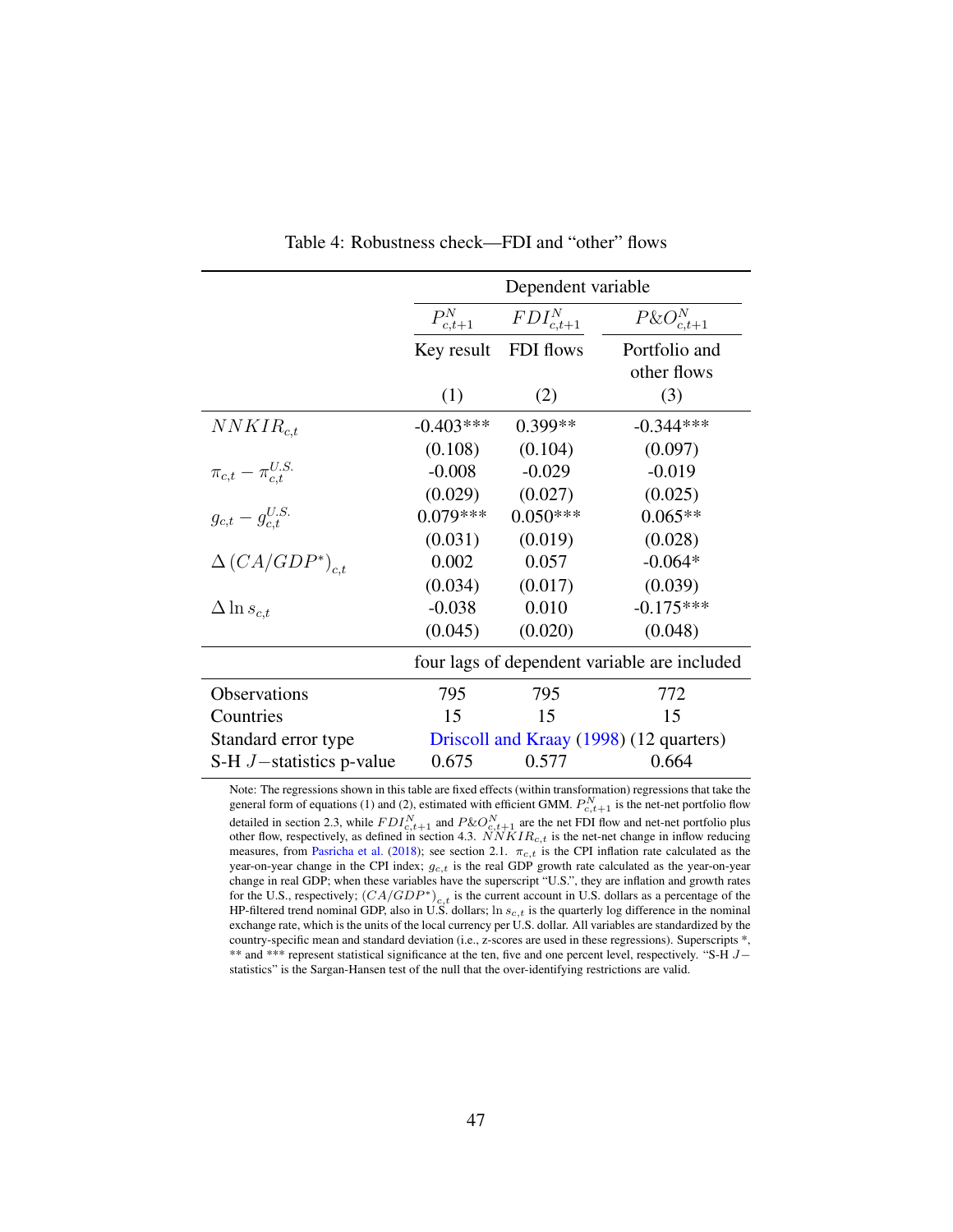<span id="page-47-0"></span>

|                                |                      | Dependent variable |                                              |
|--------------------------------|----------------------|--------------------|----------------------------------------------|
|                                | ${\cal P}_{c,t+1}^N$ | $FDI_{c,t+1}^N$    | $P\&O_{c,t+1}^N$                             |
|                                | Key result           | FDI flows          | Portfolio and                                |
|                                |                      |                    | other flows                                  |
|                                | (1)                  | (2)                | (3)                                          |
| $NNKIR_{c.t.}$                 | $-0.403***$          | 0.399**            | $-0.344***$                                  |
|                                | (0.108)              | (0.104)            | (0.097)                                      |
| $\pi_{c,t} - \pi_{c.t}^{U.S.}$ | $-0.008$             | $-0.029$           | $-0.019$                                     |
|                                | (0.029)              | (0.027)            | (0.025)                                      |
| $g_{c,t} - g_{c,t}^{U.S.}$     | $0.079***$           | $0.050***$         | $0.065**$                                    |
|                                | (0.031)              | (0.019)            | (0.028)                                      |
| $\Delta (CA/GDP^*)_{c.t.}$     | 0.002                | 0.057              | $-0.064*$                                    |
|                                | (0.034)              | (0.017)            | (0.039)                                      |
| $\Delta \ln s_{c,t}$           | $-0.038$             | 0.010              | $-0.175***$                                  |
|                                | (0.045)              | (0.020)            | (0.048)                                      |
|                                |                      |                    | four lags of dependent variable are included |
| Observations                   | 795                  | 795                | 772                                          |
| Countries                      | 15                   | 15                 | 15                                           |
| Standard error type            |                      |                    | Driscoll and Kraay (1998) (12 quarters)      |
| S-H $J$ -statistics p-value    | 0.675                | 0.577              | 0.664                                        |

Table 4: Robustness check—FDI and "other" flows

Note: The regressions shown in this table are fixed effects (within transformation) regressions that take the general form of equations [\(1\)](#page-16-0) and [\(2\)](#page-18-0), estimated with efficient GMM.  $P_{c,t+1}^N$  is the net-net portfolio flow detailed in section [2.3,](#page-12-1) while  $FDI_{c,t+1}^N$  and  $P\&O_{c,t+1}^N$  are the net FDI flow and net-net portfolio plus other flow, respectively, as defined in section [4.3.](#page-23-1)  $NNKIR_{c,t}$  is the net-net change in inflow reducing measures, from [Pasricha et al.](#page-38-3) [\(2018\)](#page-38-3); see section [2.1.](#page-7-2)  $\pi_{c,t}$  is the CPI inflation rate calculated as the year-on-year change in the CPI index;  $g_{c,t}$  is the real GDP growth rate calculated as the year-on-year change in real GDP; when these variables have the superscript "U.S.", they are inflation and growth rates for the U.S., respectively;  $(CA/GDP^*)_{c,t}$  is the current account in U.S. dollars as a percentage of the HP-filtered trend nominal GDP, also in U.S. dollars; ln  $s_{c,t}$  is the quarterly log difference in the nominal exchange rate, which is the units of the local currency per U.S. dollar. All variables are standardized by the country-specific mean and standard deviation (i.e., z-scores are used in these regressions). Superscripts \*, \*\* and \*\*\* represent statistical significance at the ten, five and one percent level, respectively. "S-H J− statistics" is the Sargan-Hansen test of the null that the over-identifying restrictions are valid.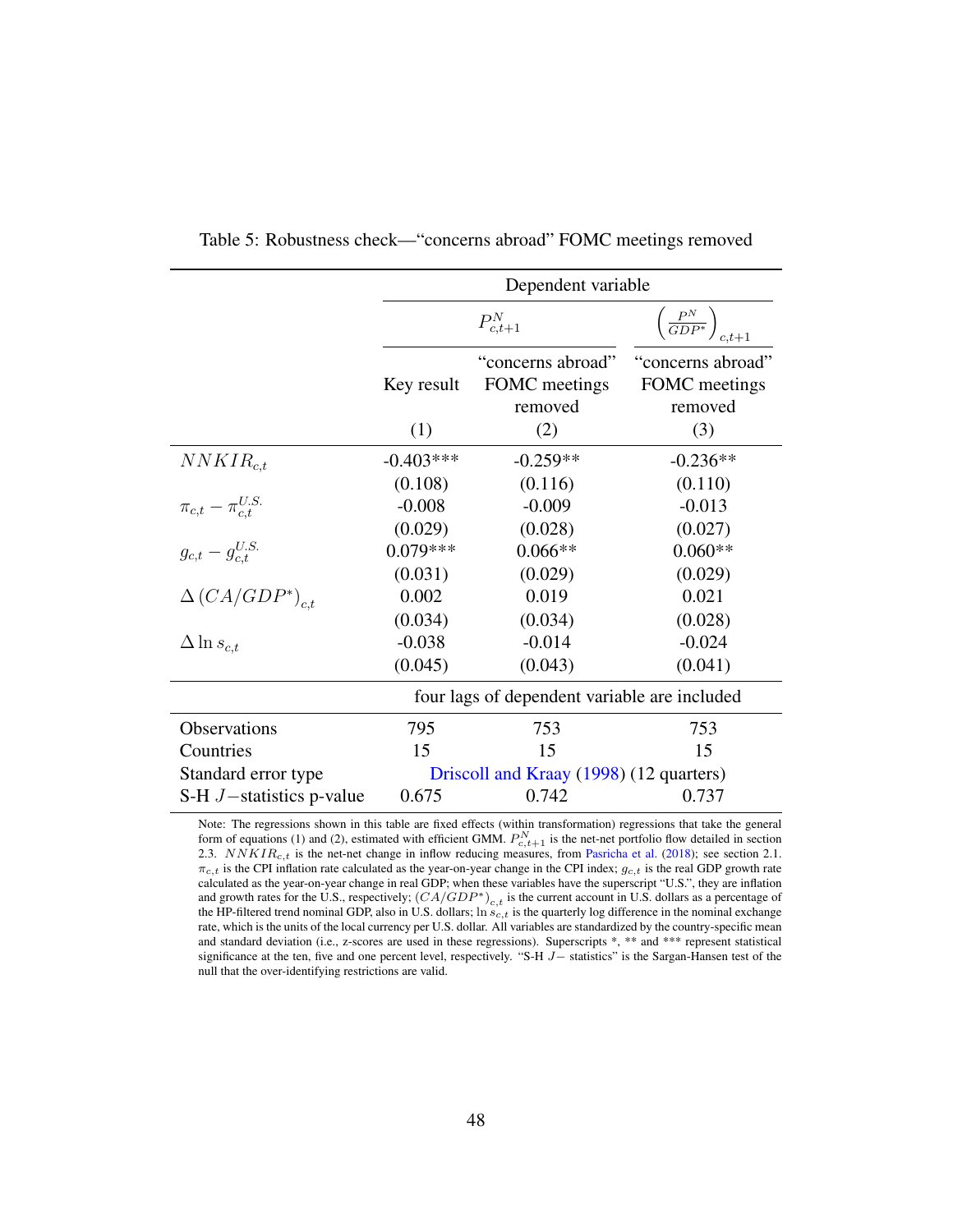<span id="page-48-0"></span>

|                                |             | Dependent variable                            |                                               |
|--------------------------------|-------------|-----------------------------------------------|-----------------------------------------------|
|                                |             | $P_{c,t+1}^N$                                 | $\left(\frac{P^N}{GDP^*}\right)_{c,t+1}$      |
|                                | Key result  | "concerns abroad"<br>FOMC meetings<br>removed | "concerns abroad"<br>FOMC meetings<br>removed |
|                                | (1)         | (2)                                           | (3)                                           |
| $NNKIR_{c,t}$                  | $-0.403***$ | $-0.259**$                                    | $-0.236**$                                    |
|                                | (0.108)     | (0.116)                                       | (0.110)                                       |
| $\pi_{c,t} - \pi_{c,t}^{U.S.}$ | $-0.008$    | $-0.009$                                      | $-0.013$                                      |
|                                | (0.029)     | (0.028)                                       | (0.027)                                       |
| $g_{c,t} - g_{c,t}^{U.S.}$     | $0.079***$  | $0.066**$                                     | $0.060**$                                     |
|                                | (0.031)     | (0.029)                                       | (0.029)                                       |
| $\Delta (CA/GDP^*)_{c.t.}$     | 0.002       | 0.019                                         | 0.021                                         |
|                                | (0.034)     | (0.034)                                       | (0.028)                                       |
| $\Delta \ln s_{c.t}$           | $-0.038$    | $-0.014$                                      | $-0.024$                                      |
|                                | (0.045)     | (0.043)                                       | (0.041)                                       |
|                                |             | four lags of dependent variable are included  |                                               |
| Observations                   | 795         | 753                                           | 753                                           |
| Countries                      | 15          | 15                                            | 15                                            |
| Standard error type            |             | Driscoll and Kraay (1998) (12 quarters)       |                                               |
| S-H $J$ -statistics p-value    | 0.675       | 0.742                                         | 0.737                                         |

Table 5: Robustness check—"concerns abroad" FOMC meetings removed

Note: The regressions shown in this table are fixed effects (within transformation) regressions that take the general form of equations [\(1\)](#page-16-0) and [\(2\)](#page-18-0), estimated with efficient GMM.  $P_{c,t+1}^{N}$  is the net-net portfolio flow detailed in section [2.3.](#page-12-1)  $NNKIR_{c,t}$  is the net-net change in inflow reducing measures, from [Pasricha et al.](#page-38-3) [\(2018\)](#page-38-3); see section [2.1.](#page-7-2)  $\pi_{c,t}$  is the CPI inflation rate calculated as the year-on-year change in the CPI index;  $g_{c,t}$  is the real GDP growth rate calculated as the year-on-year change in real GDP; when these variables have the superscript "U.S.", they are inflation and growth rates for the U.S., respectively;  $(CA/GDP^*)_{c,t}$  is the current account in U.S. dollars as a percentage of the HP-filtered trend nominal GDP, also in U.S. dollars;  $\ln \vec{s}_{c,t}$  is the quarterly log difference in the nominal exchange rate, which is the units of the local currency per U.S. dollar. All variables are standardized by the country-specific mean and standard deviation (i.e., z-scores are used in these regressions). Superscripts \*, \*\* and \*\*\* represent statistical significance at the ten, five and one percent level, respectively. "S-H J– statistics" is the Sargan-Hansen test of the null that the over-identifying restrictions are valid.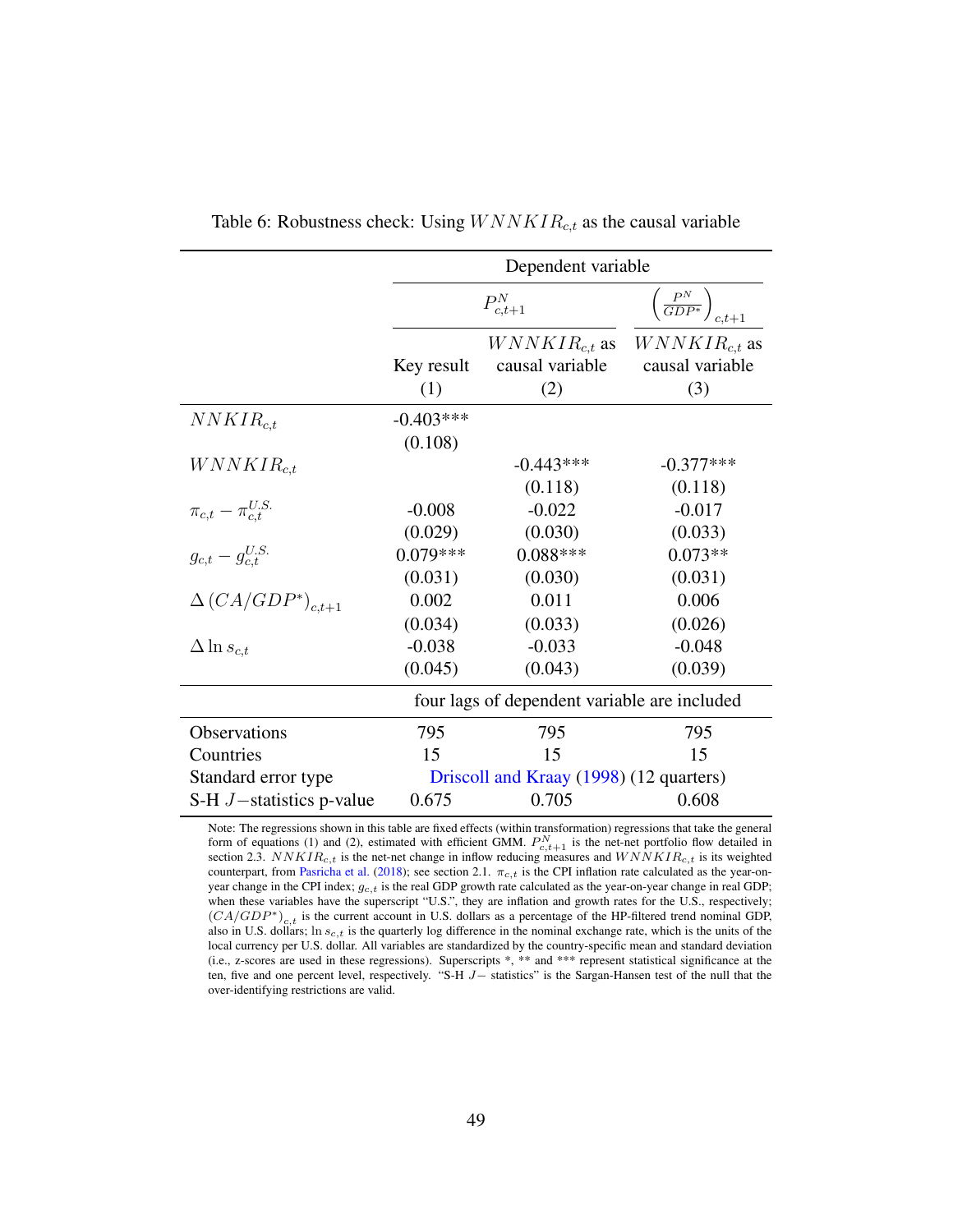<span id="page-49-0"></span>

|                              |                        | Dependent variable                           |                                             |
|------------------------------|------------------------|----------------------------------------------|---------------------------------------------|
|                              |                        | $P_{c,t+1}^N$                                | $\left(\frac{P^N}{GDP^*}\right)_{c.t+1}$    |
|                              | Key result<br>(1)      | $WNNKIR_{c,t}$ as<br>causal variable<br>(2)  | $WNNKIR_{c,t}$ as<br>causal variable<br>(3) |
| $NNKIR_{c.t}$                | $-0.403***$<br>(0.108) |                                              |                                             |
| $WNNKIR_{c.t}$               |                        | $-0.443***$                                  | $-0.377***$                                 |
|                              |                        | (0.118)                                      | (0.118)                                     |
| $\pi_{c,t}-\pi_{c.t}^{U.S.}$ | $-0.008$               | $-0.022$                                     | $-0.017$                                    |
|                              | (0.029)                | (0.030)                                      | (0.033)                                     |
| $g_{c,t} - g_{c,t}^{U.S.}$   | $0.079***$             | $0.088***$                                   | $0.073**$                                   |
|                              | (0.031)                | (0.030)                                      | (0.031)                                     |
| $\Delta (CA/GDP^*)_{c.t+1}$  | 0.002                  | 0.011                                        | 0.006                                       |
|                              | (0.034)                | (0.033)                                      | (0.026)                                     |
| $\Delta \ln s_{c,t}$         | $-0.038$               | $-0.033$                                     | $-0.048$                                    |
|                              | (0.045)                | (0.043)                                      | (0.039)                                     |
|                              |                        | four lags of dependent variable are included |                                             |
| Observations                 | 795                    | 795                                          | 795                                         |
| Countries                    | 15                     | 15                                           | 15                                          |
| Standard error type          |                        | Driscoll and Kraay (1998) (12 quarters)      |                                             |
| S-H $J$ -statistics p-value  | 0.675                  | 0.705                                        | 0.608                                       |

Table 6: Robustness check: Using  $WNNKIR_{c,t}$  as the causal variable

Note: The regressions shown in this table are fixed effects (within transformation) regressions that take the general form of equations [\(1\)](#page-16-0) and [\(2\)](#page-18-0), estimated with efficient GMM.  $P_{c,t+1}^{N}$  is the net-net portfolio flow detailed in section [2.3.](#page-12-1)  $NNKIR_{c,t}$  is the net-net change in inflow reducing measures and  $WNNKIR_{c,t}$  is its weighted counterpart, from [Pasricha et al.](#page-38-3) [\(2018\)](#page-38-3); see section [2.1.](#page-7-2)  $\pi_{c,t}$  is the CPI inflation rate calculated as the year-onyear change in the CPI index;  $g_{c,t}$  is the real GDP growth rate calculated as the year-on-year change in real GDP; when these variables have the superscript "U.S.", they are inflation and growth rates for the U.S., respectively;  $(CA/GDP^*)_{c,t}$  is the current account in U.S. dollars as a percentage of the HP-filtered trend nominal GDP, also in U.S. dollars; ln  $s_{c,t}$  is the quarterly log difference in the nominal exchange rate, which is the units of the local currency per U.S. dollar. All variables are standardized by the country-specific mean and standard deviation (i.e., z-scores are used in these regressions). Superscripts \*, \*\* and \*\*\* represent statistical significance at the ten, five and one percent level, respectively. "S-H J− statistics" is the Sargan-Hansen test of the null that the over-identifying restrictions are valid.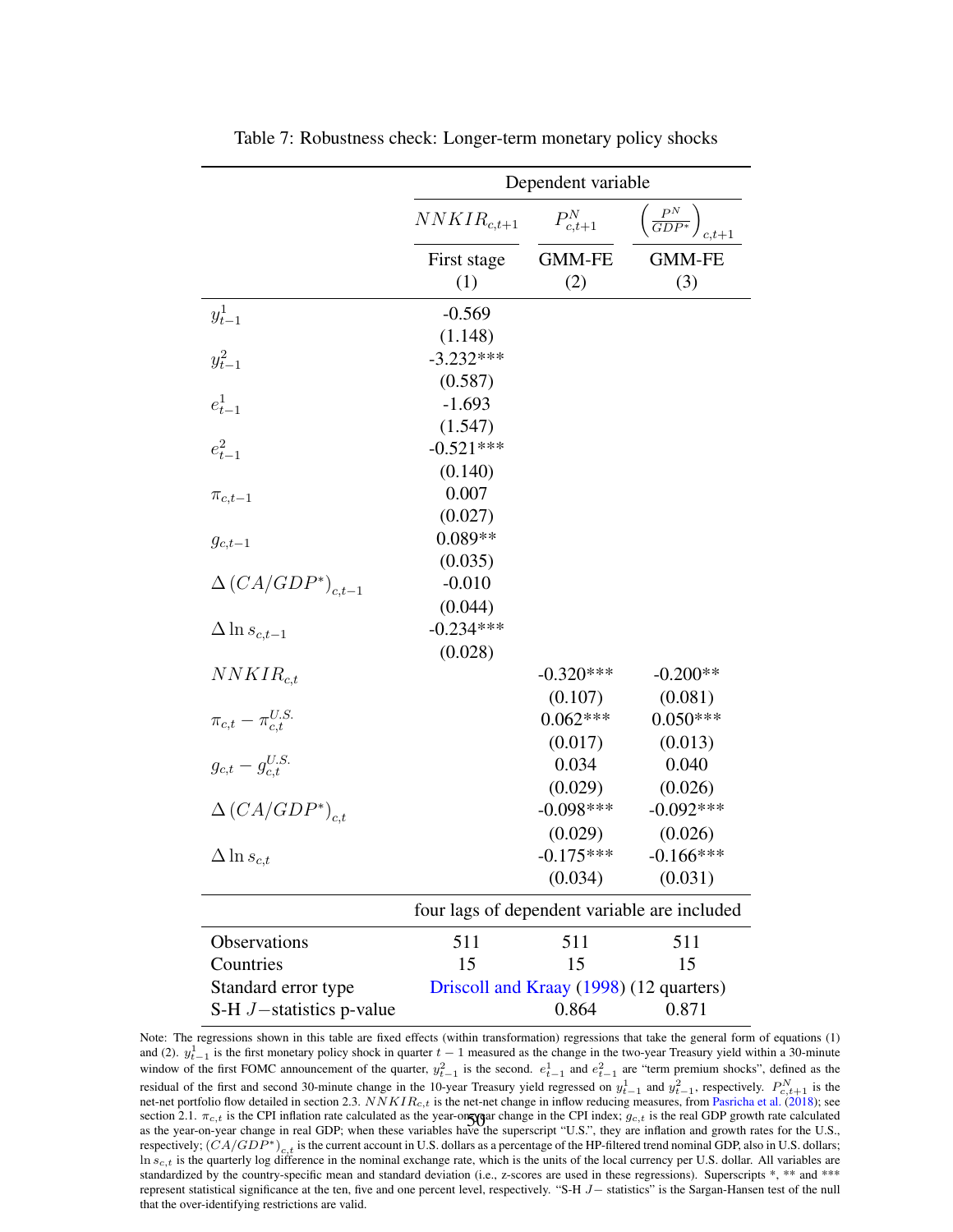<span id="page-50-0"></span>

|                                |                 | Dependent variable |                                              |
|--------------------------------|-----------------|--------------------|----------------------------------------------|
|                                | $NNKIR_{c,t+1}$ | $P_{c,t+1}^N$      | $\left(\frac{P^N}{GDP^*}\right)_{c,t+1}$     |
|                                | First stage     | <b>GMM-FE</b>      | <b>GMM-FE</b>                                |
|                                | (1)             | (2)                | (3)                                          |
| $y_{t-1}^1$                    | $-0.569$        |                    |                                              |
|                                | (1.148)         |                    |                                              |
| $y_{t-1}^2$                    | $-3.232***$     |                    |                                              |
|                                | (0.587)         |                    |                                              |
| $e_{t-1}^1$                    | $-1.693$        |                    |                                              |
|                                | (1.547)         |                    |                                              |
| $e_{t-1}^2$                    | $-0.521***$     |                    |                                              |
|                                | (0.140)         |                    |                                              |
| $\pi_{c,t-1}$                  | 0.007           |                    |                                              |
|                                | (0.027)         |                    |                                              |
| $g_{c,t-1}$                    | $0.089**$       |                    |                                              |
|                                | (0.035)         |                    |                                              |
| $\Delta (CA/GDP^*)_{c,t-1}$    | $-0.010$        |                    |                                              |
|                                | (0.044)         |                    |                                              |
| $\Delta \ln s_{c,t-1}$         | $-0.234***$     |                    |                                              |
|                                | (0.028)         |                    |                                              |
| $NNKIR_{c.t.}$                 |                 | $-0.320***$        | $-0.200**$                                   |
|                                |                 | (0.107)            | (0.081)                                      |
| $\pi_{c,t} - \pi_{c,t}^{U.S.}$ |                 | $0.062***$         | $0.050***$                                   |
|                                |                 | (0.017)            | (0.013)                                      |
| $g_{c,t}-g_{c,t}^{U.S.}$       |                 | 0.034              | 0.040                                        |
|                                |                 | (0.029)            | (0.026)                                      |
| $\Delta (CA/GDP^*)_{c.t.}$     |                 | $-0.098***$        | $-0.092***$                                  |
|                                |                 | (0.029)            | (0.026)                                      |
| $\Delta \ln s_{c,t}$           |                 | $-0.175***$        | $-0.166$ ***                                 |
|                                |                 | (0.034)            | (0.031)                                      |
|                                |                 |                    | four lags of dependent variable are included |
| Observations                   | 511             | 511                | 511                                          |
| Countries                      | 15              | 15                 | 15                                           |
| Standard error type            |                 |                    | Driscoll and Kraay (1998) (12 quarters)      |
| S-H $J$ -statistics p-value    |                 | 0.864              | 0.871                                        |

Table 7: Robustness check: Longer-term monetary policy shocks

Note: The regressions shown in this table are fixed effects (within transformation) regressions that take the general form of equations [\(1\)](#page-16-0) and [\(2\)](#page-18-0).  $y_{t-1}^1$  is the first monetary policy shock in quarter  $t-1$  measured as the change in the two-year Treasury yield within a 30-minute window of the first FOMC announcement of the quarter,  $y_{t-1}^2$  is the second.  $e_{t-1}^1$  and  $e_{t-1}^2$  are "term premium shocks", defined as the residual of the first and second 30-minute change in the 10-year Treasury yield regressed on  $y_{t-1}^1$  and  $y_{t-1}^2$ , respectively.  $P_{c,t+1}^N$  is the net-net portfolio flow detailed in section [2.3.](#page-12-1)  $NNKIR_{c,t}$  is the net-net change in inflow reducing measures, from [Pasricha et al.](#page-38-3) [\(2018\)](#page-38-3); see section [2.1.](#page-7-2)  $\pi_{c,t}$  is the CPI inflation rate calculated as the year-on-year change in the CPI index;  $g_{c,t}$  is the real GDP growth rate calculated<br>se the year on year change in real GDP: when these yerishles have the as the year-on-year change in real GDP; when these variables have the superscript "U.S.", they are inflation and growth rates for the U.S., respectively;  $(CA/GDP^*)_{c,t}$  is the current account in U.S. dollars as a percentage of the HP-filtered trend nominal GDP, also in U.S. dollars;  $\ln s_{c,t}$  is the quarterly log difference in the nominal exchange rate, which is the units of the local currency per U.S. dollar. All variables are standardized by the country-specific mean and standard deviation (i.e., z-scores are used in these regressions). Superscripts \*, \*\* and \*\*\* represent statistical significance at the ten, five and one percent level, respectively. "S-H J− statistics" is the Sargan-Hansen test of the null that the over-identifying restrictions are valid.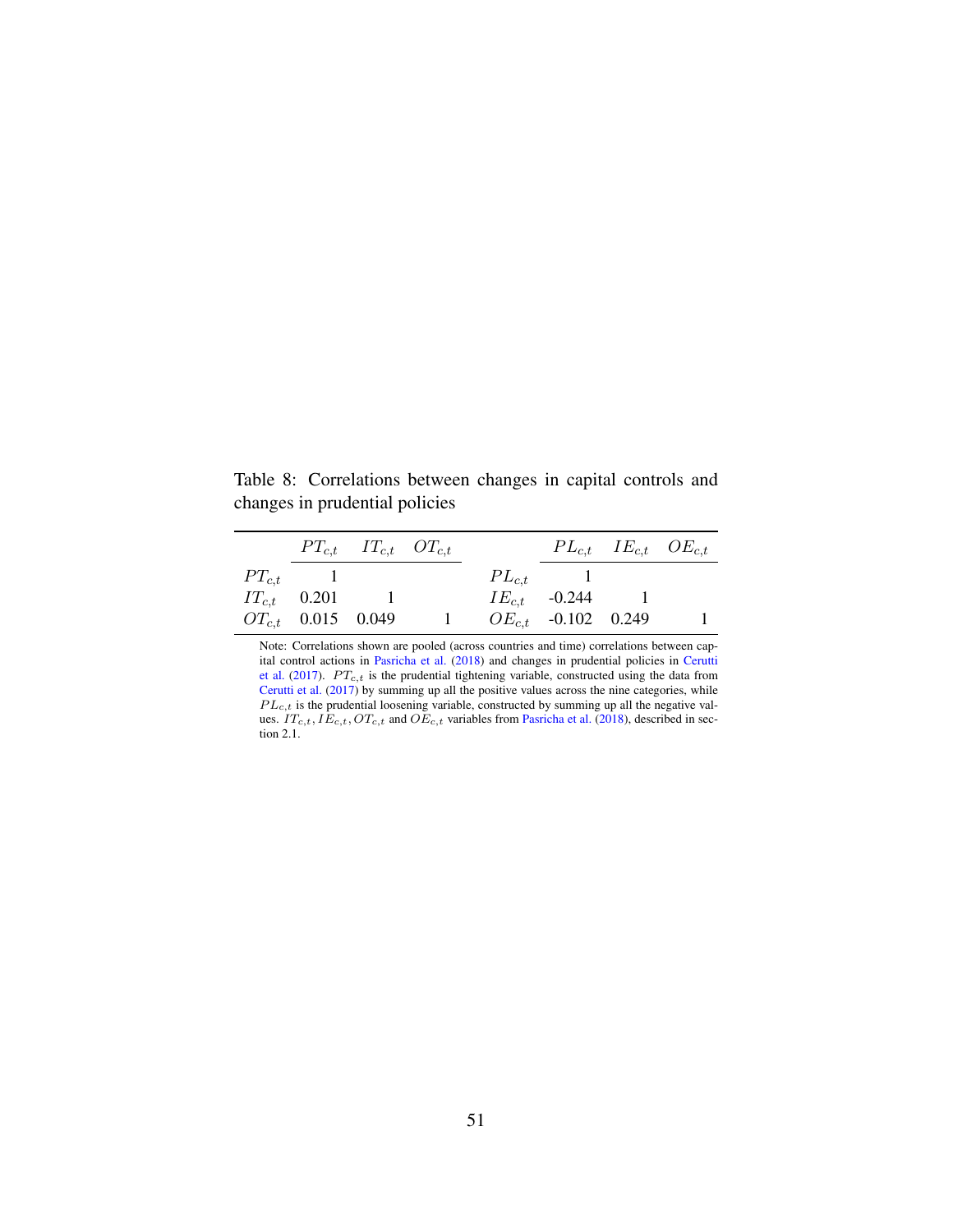<span id="page-51-0"></span>Table 8: Correlations between changes in capital controls and changes in prudential policies

|                  |                        | $PT_{c,t}$ $IT_{c,t}$ $OT_{c,t}$ |              |                         | $PL_{c,t}$ $IE_{c,t}$ $OE_{c,t}$ |  |
|------------------|------------------------|----------------------------------|--------------|-------------------------|----------------------------------|--|
| $PT_{c,t}$ 1     |                        |                                  | $PL_{c,t}$ 1 |                         |                                  |  |
| $IT_{c,t}$ 0.201 |                        |                                  |              | $IE_{c.t}$ -0.244 1     |                                  |  |
|                  | $OT_{c,t}$ 0.015 0.049 |                                  |              | $OE_{c,t}$ -0.102 0.249 |                                  |  |

Note: Correlations shown are pooled (across countries and time) correlations between capital control actions in [Pasricha et al.](#page-38-3) [\(2018\)](#page-38-3) and changes in prudential policies in [Cerutti](#page-34-9) [et al.](#page-34-9) [\(2017\)](#page-34-9).  $PT_{c,t}$  is the prudential tightening variable, constructed using the data from [Cerutti et al.](#page-34-9) [\(2017\)](#page-34-9) by summing up all the positive values across the nine categories, while  $PL_{c,t}$  is the prudential loosening variable, constructed by summing up all the negative values.  $IT_{c,t}$ ,  $IE_{c,t}$ ,  $OT_{c,t}$  and  $OE_{c,t}$  variables from [Pasricha et al.](#page-38-3) [\(2018\)](#page-38-3), described in section [2.1.](#page-7-2)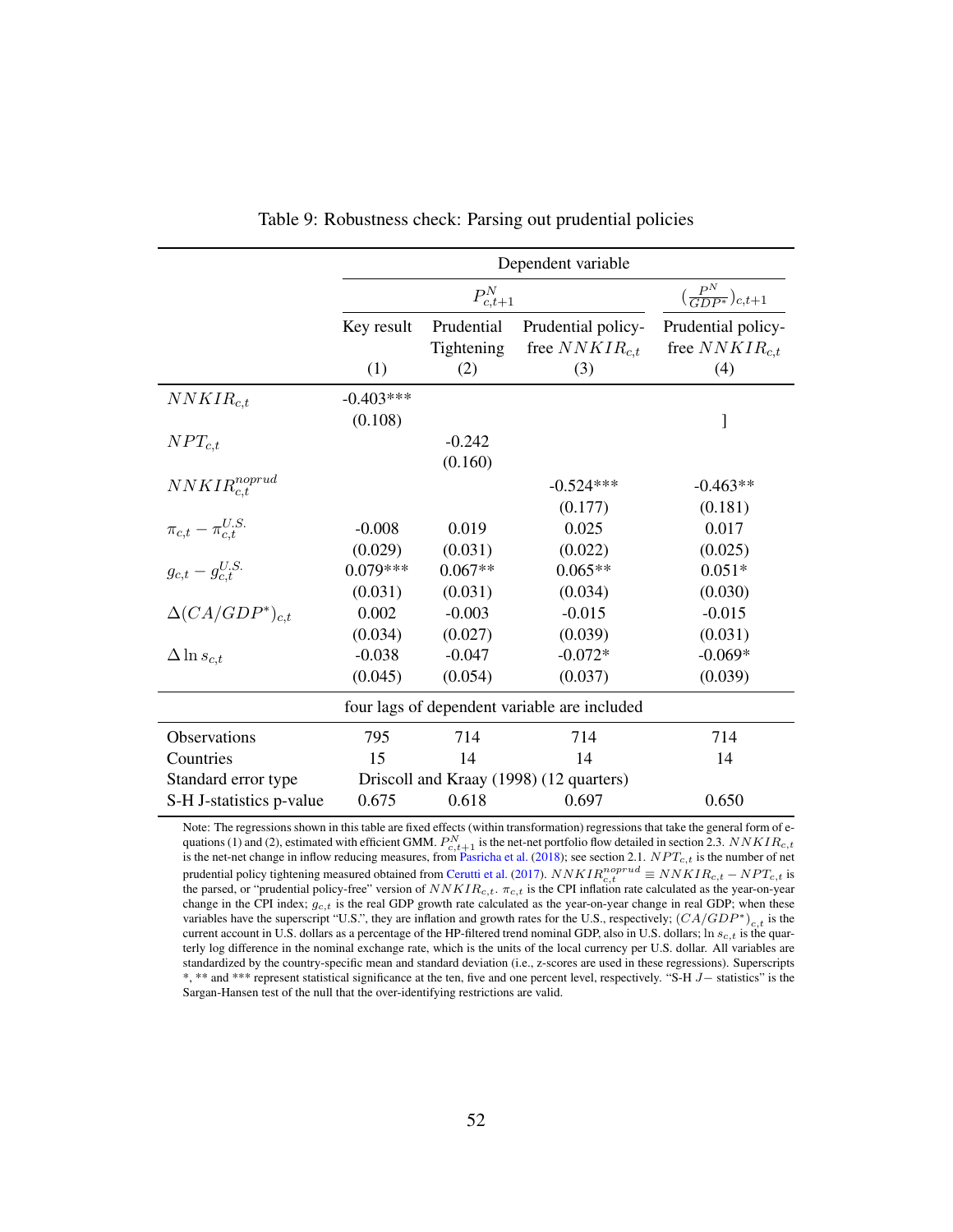<span id="page-52-0"></span>

|                                |             |               | Dependent variable                           |                                          |
|--------------------------------|-------------|---------------|----------------------------------------------|------------------------------------------|
|                                |             | $P_{c,t+1}^N$ |                                              | $\left(\frac{P^N}{GDP^*}\right)_{c,t+1}$ |
|                                | Key result  | Prudential    | Prudential policy-                           | Prudential policy-                       |
|                                |             | Tightening    | free $NNKIR_{c,t}$                           | free $NNKIR_{c,t}$                       |
|                                | (1)         | (2)           | (3)                                          | (4)                                      |
| $NNKIR_{c.t}$                  | $-0.403***$ |               |                                              |                                          |
|                                | (0.108)     |               |                                              | J                                        |
| $NPT_{c,t}$                    |             | $-0.242$      |                                              |                                          |
|                                |             | (0.160)       |                                              |                                          |
| $NNKIR_{c.t}^{noprud}$         |             |               | $-0.524***$                                  | $-0.463**$                               |
|                                |             |               | (0.177)                                      | (0.181)                                  |
| $\pi_{c,t} - \pi_{c.t}^{U.S.}$ | $-0.008$    | 0.019         | 0.025                                        | 0.017                                    |
|                                | (0.029)     | (0.031)       | (0.022)                                      | (0.025)                                  |
| $g_{c,t} - g_{c,t}^{U.S.}$     | $0.079***$  | $0.067**$     | $0.065**$                                    | $0.051*$                                 |
|                                | (0.031)     | (0.031)       | (0.034)                                      | (0.030)                                  |
| $\Delta (CA/GDP^*)_{c,t}$      | 0.002       | $-0.003$      | $-0.015$                                     | $-0.015$                                 |
|                                | (0.034)     | (0.027)       | (0.039)                                      | (0.031)                                  |
| $\Delta \ln s_{c,t}$           | $-0.038$    | $-0.047$      | $-0.072*$                                    | $-0.069*$                                |
|                                | (0.045)     | (0.054)       | (0.037)                                      | (0.039)                                  |
|                                |             |               | four lags of dependent variable are included |                                          |
| Observations                   | 795         | 714           | 714                                          | 714                                      |
| Countries                      | 15          | 14            | 14                                           | 14                                       |
| Standard error type            |             |               | Driscoll and Kraay (1998) (12 quarters)      |                                          |
| S-H J-statistics p-value       | 0.675       | 0.618         | 0.697                                        | 0.650                                    |

| Table 9: Robustness check: Parsing out prudential policies |  |  |  |
|------------------------------------------------------------|--|--|--|
|------------------------------------------------------------|--|--|--|

Note: The regressions shown in this table are fixed effects (within transformation) regressions that take the general form of e-quations [\(1\)](#page-16-0) and [\(2\)](#page-18-0), estimated with efficient GMM.  $P_{c,t+1}^{N}$  is the net-net portfolio flow detailed in section [2.3.](#page-12-1)  $NNKIR_{c,t}$ <br>is the net-net change in inflow reducing measures, from [Pasricha et al.](#page-38-3) [\(2018\)](#page-38-3); see section prudential policy tightening measured obtained from [Cerutti et al.](#page-34-9) [\(2017\)](#page-34-9).  $NNKIR_{c,t}^{nonprud} \equiv NNKIR_{c,t} - NPT_{c,t}$  is the parsed, or "prudential policy-free" version of  $NNKIR_{c,t}$ .  $\pi_{c,t}$  is the CPI inflation rate calculated as the year-on-year change in the CPI index;  $g_{c,t}$  is the real GDP growth rate calculated as the year-on-year change in real GDP; when these variables have the superscript "U.S.", they are inflation and growth rates for the U.S., respectively;  $(CA/GDP^*)_{c,t}$  is the current account in U.S. dollars as a percentage of the HP-filtered trend nominal GDP, also in U.S. dollars;  $\ln s_{c,t}$  is the quarterly log difference in the nominal exchange rate, which is the units of the local currency per U.S. dollar. All variables are standardized by the country-specific mean and standard deviation (i.e., z-scores are used in these regressions). Superscripts \*, \*\* and \*\*\* represent statistical significance at the ten, five and one percent level, respectively. "S-H J− statistics" is the Sargan-Hansen test of the null that the over-identifying restrictions are valid.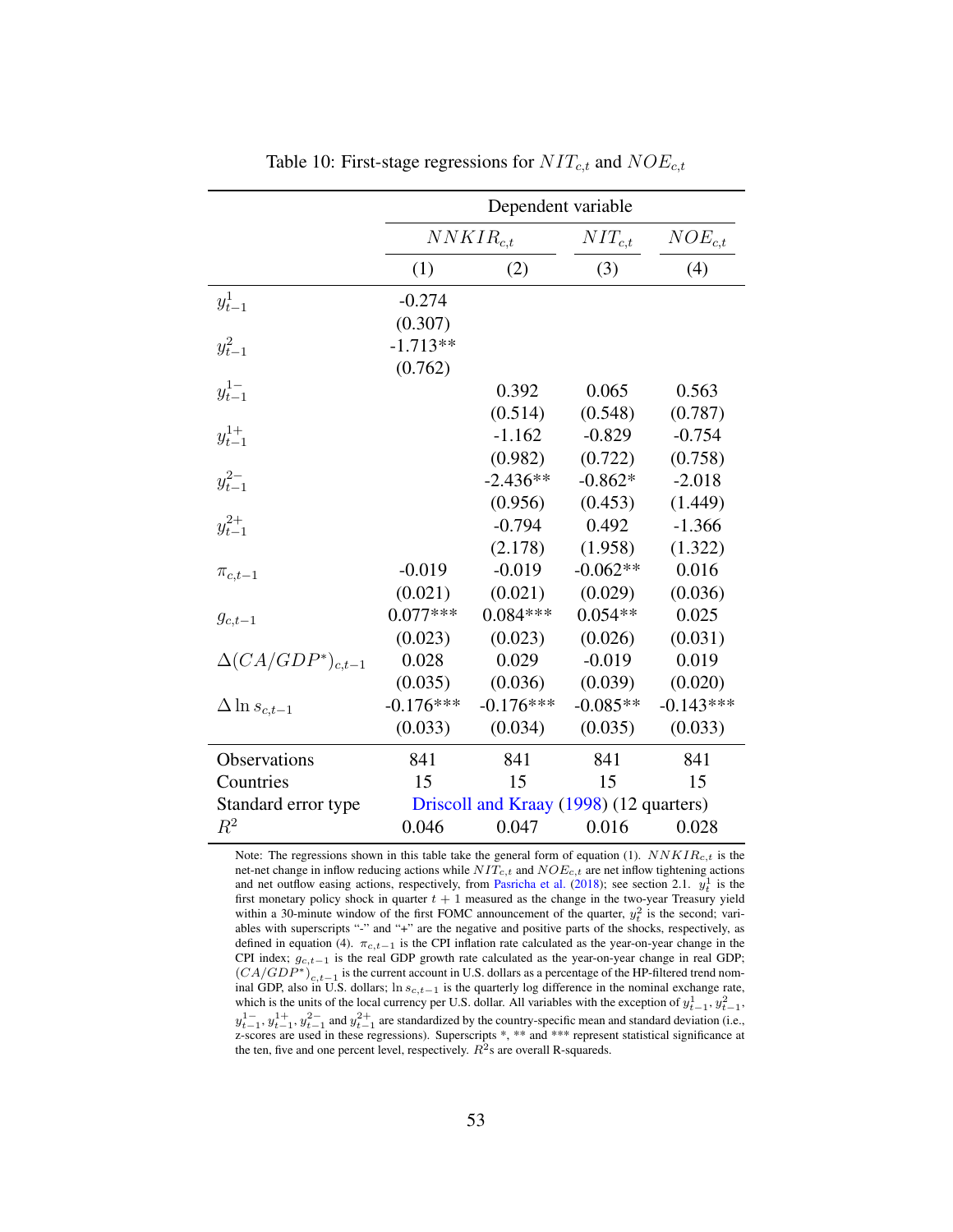<span id="page-53-0"></span>

|                             |             | Dependent variable                      |             |             |
|-----------------------------|-------------|-----------------------------------------|-------------|-------------|
|                             |             | $NNKIR_{c.t.}$                          | $NIT_{c,t}$ | $NOE_{c,t}$ |
|                             | (1)         | (2)                                     | (3)         | (4)         |
| $y_{t-1}^1$                 | $-0.274$    |                                         |             |             |
|                             | (0.307)     |                                         |             |             |
| $y_{t-1}^2$                 | $-1.713**$  |                                         |             |             |
|                             | (0.762)     |                                         |             |             |
| $y_{t-1}^{1-}$              |             | 0.392                                   | 0.065       | 0.563       |
|                             |             | (0.514)                                 | (0.548)     | (0.787)     |
| $y_{t-1}^{1+}$              |             | $-1.162$                                | $-0.829$    | $-0.754$    |
|                             |             | (0.982)                                 | (0.722)     | (0.758)     |
| $y_{t-1}^{2-}$              |             | $-2.436**$                              | $-0.862*$   | $-2.018$    |
|                             |             | (0.956)                                 | (0.453)     | (1.449)     |
| $y_{t-1}^{2+}$              |             | $-0.794$                                | 0.492       | $-1.366$    |
|                             |             | (2.178)                                 | (1.958)     | (1.322)     |
| $\pi_{c,t-1}$               | $-0.019$    | $-0.019$                                | $-0.062**$  | 0.016       |
|                             | (0.021)     | (0.021)                                 | (0.029)     | (0.036)     |
| $g_{c,t-1}$                 | $0.077***$  | $0.084***$                              | $0.054**$   | 0.025       |
|                             | (0.023)     | (0.023)                                 | (0.026)     | (0.031)     |
| $\Delta (CA/GDP^*)_{c,t-1}$ | 0.028       | 0.029                                   | $-0.019$    | 0.019       |
|                             | (0.035)     | (0.036)                                 | (0.039)     | (0.020)     |
| $\Delta \ln s_{c,t-1}$      | $-0.176***$ | $-0.176***$                             | $-0.085**$  | $-0.143***$ |
|                             | (0.033)     | (0.034)                                 | (0.035)     | (0.033)     |
| Observations                | 841         | 841                                     | 841         | 841         |
| Countries                   | 15          | 15                                      | 15          | 15          |
| Standard error type         |             | Driscoll and Kraay (1998) (12 quarters) |             |             |
| $\mathbb{R}^2$              | 0.046       | 0.047                                   | 0.016       | 0.028       |

Table 10: First-stage regressions for  $NIT_{c,t}$  and  $NOE_{c,t}$ 

Note: The regressions shown in this table take the general form of equation [\(1\)](#page-16-0).  $NNKIR_{c,t}$  is the net-net change in inflow reducing actions while  $NIT_{c,t}$  and  $NOE_{c,t}$  are net inflow tightening actions and net outflow easing actions, respectively, from [Pasricha et al.](#page-38-3) [\(2018\)](#page-38-3); see section [2.1.](#page-7-2)  $y_t^1$  is the first monetary policy shock in quarter  $t + 1$  measured as the change in the two-year Treasury yield within a 30-minute window of the first FOMC announcement of the quarter,  $y_t^2$  is the second; variables with superscripts "-" and "+" are the negative and positive parts of the shocks, respectively, as defined in equation [\(4\)](#page-29-0).  $\pi_{c,t-1}$  is the CPI inflation rate calculated as the year-on-year change in the CPI index;  $g_{c,t-1}$  is the real GDP growth rate calculated as the year-on-year change in real GDP;  $(CA/GDP^*)_{c,t-1}$  is the current account in U.S. dollars as a percentage of the HP-filtered trend nominal GDP, also in U.S. dollars; ln  $s_{c,t-1}$  is the quarterly log difference in the nominal exchange rate, which is the units of the local currency per U.S. dollar. All variables with the exception of  $y_{t-1}^1, y_{t-1}^2$ ,  $y_{t-1}^{1-}, y_{t-1}^{1+}, y_{t-1}^{2-}$  and  $y_{t-1}^{2+}$  are standardized by the country-specific mean and standard deviation (i.e., z-scores are used in these regressions). Superscripts \*, \*\* and \*\*\* represent statistical significance at the ten, five and one percent level, respectively.  $R^2$ s are overall R-squareds.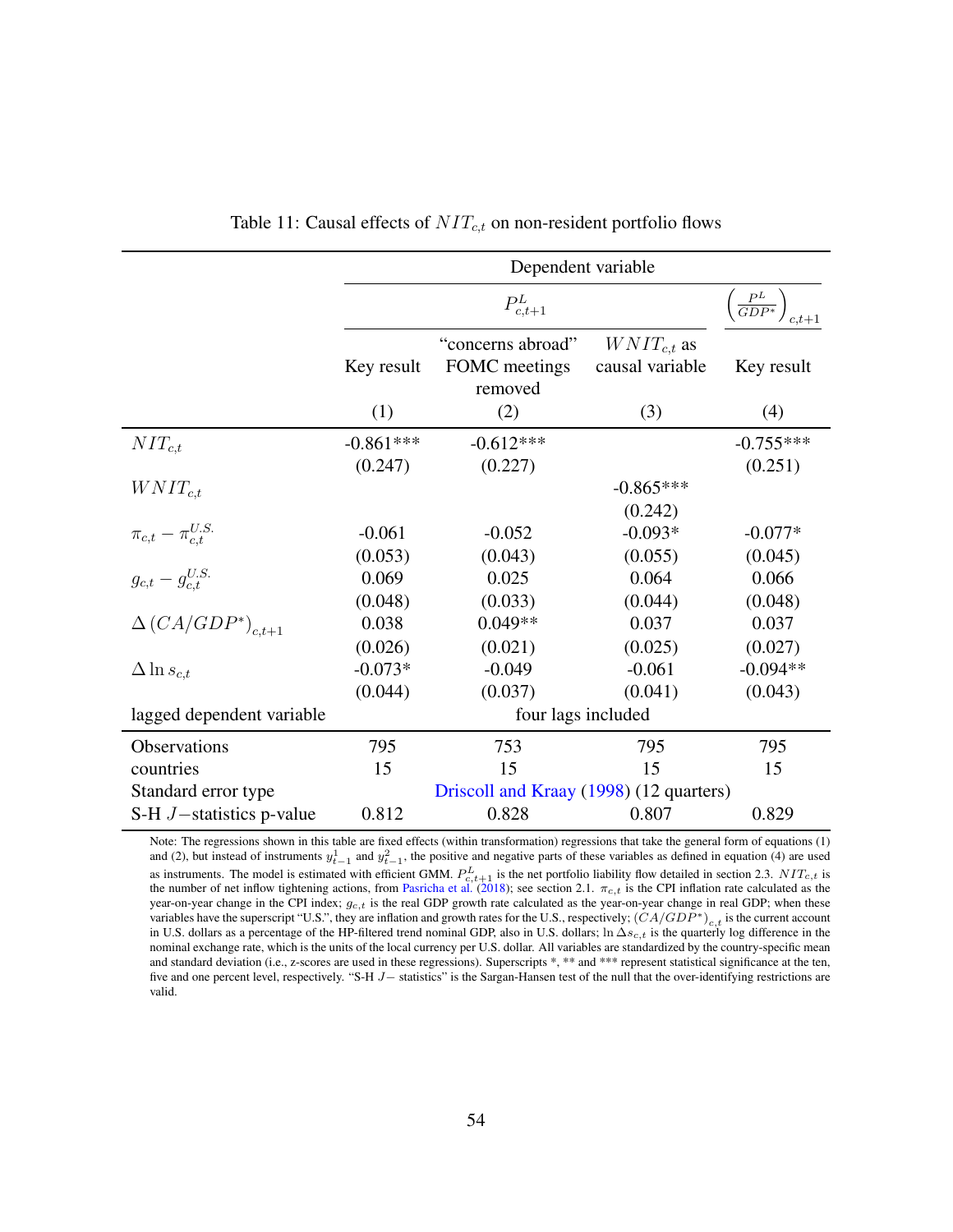<span id="page-54-0"></span>

|                                |             | Dependent variable                            |                                    |                                          |
|--------------------------------|-------------|-----------------------------------------------|------------------------------------|------------------------------------------|
|                                |             | $P_{c,t+1}^L$                                 |                                    | $\left(\frac{P^L}{GDP^*}\right)_{c,t+1}$ |
|                                | Key result  | "concerns abroad"<br>FOMC meetings<br>removed | $WNIT_{c,t}$ as<br>causal variable | Key result                               |
|                                | (1)         | (2)                                           | (3)                                | (4)                                      |
| $NIT_{c,t}$                    | $-0.861***$ | $-0.612***$                                   |                                    | $-0.755***$                              |
| $WNIT_{c,t}$                   | (0.247)     | (0.227)                                       | $-0.865***$<br>(0.242)             | (0.251)                                  |
| $\pi_{c,t} - \pi_{c,t}^{U.S.}$ | $-0.061$    | $-0.052$                                      | $-0.093*$                          | $-0.077*$                                |
|                                | (0.053)     | (0.043)                                       | (0.055)                            | (0.045)                                  |
| $g_{c,t} - g_{c,t}^{U.S.}$     | 0.069       | 0.025                                         | 0.064                              | 0.066                                    |
|                                | (0.048)     | (0.033)                                       | (0.044)                            | (0.048)                                  |
| $\Delta (CA/GDP^*)_{c,t+1}$    | 0.038       | $0.049**$                                     | 0.037                              | 0.037                                    |
|                                | (0.026)     | (0.021)                                       | (0.025)                            | (0.027)                                  |
| $\Delta \ln s_{c,t}$           | $-0.073*$   | $-0.049$                                      | $-0.061$                           | $-0.094**$                               |
|                                | (0.044)     | (0.037)                                       | (0.041)                            | (0.043)                                  |
| lagged dependent variable      |             | four lags included                            |                                    |                                          |
| Observations                   | 795         | 753                                           | 795                                | 795                                      |
| countries                      | 15          | 15                                            | 15                                 | 15                                       |
| Standard error type            |             | Driscoll and Kraay (1998) (12 quarters)       |                                    |                                          |
| S-H $J$ -statistics p-value    | 0.812       | 0.828                                         | 0.807                              | 0.829                                    |

Table 11: Causal effects of  $NIT_{c,t}$  on non-resident portfolio flows

Note: The regressions shown in this table are fixed effects (within transformation) regressions that take the general form of equations [\(1\)](#page-16-0) and [\(2\)](#page-18-0), but instead of instruments  $y_{t-1}^1$  and  $y_{t-1}^2$ , the positive and negative parts of these variables as defined in equation [\(4\)](#page-29-0) are used as instruments. The model is estimated with efficient GMM.  $P_{c,t+1}^{L}$  is the net portfolio liability flow detailed in section [2.3.](#page-12-1)  $NIT_{c,t}$  is<br>the number of net inflow tightening actions, from [Pasricha et al.](#page-38-3) [\(2018\)](#page-38-3); se year-on-year change in the CPI index;  $g_{c,t}$  is the real GDP growth rate calculated as the year-on-year change in real GDP; when these variables have the superscript "U.S.", they are inflation and growth rates for the U.S., respectively;  $(\overrightarrow{C A/GDP^*})_{c,t}$  is the current account in U.S. dollars as a percentage of the HP-filtered trend nominal GDP, also in U.S. dollars; ln  $\Delta s_{c,t}$  is the quarterly log difference in the nominal exchange rate, which is the units of the local currency per U.S. dollar. All variables are standardized by the country-specific mean and standard deviation (i.e., z-scores are used in these regressions). Superscripts \*, \*\* and \*\*\* represent statistical significance at the ten, five and one percent level, respectively. "S-H J− statistics" is the Sargan-Hansen test of the null that the over-identifying restrictions are valid.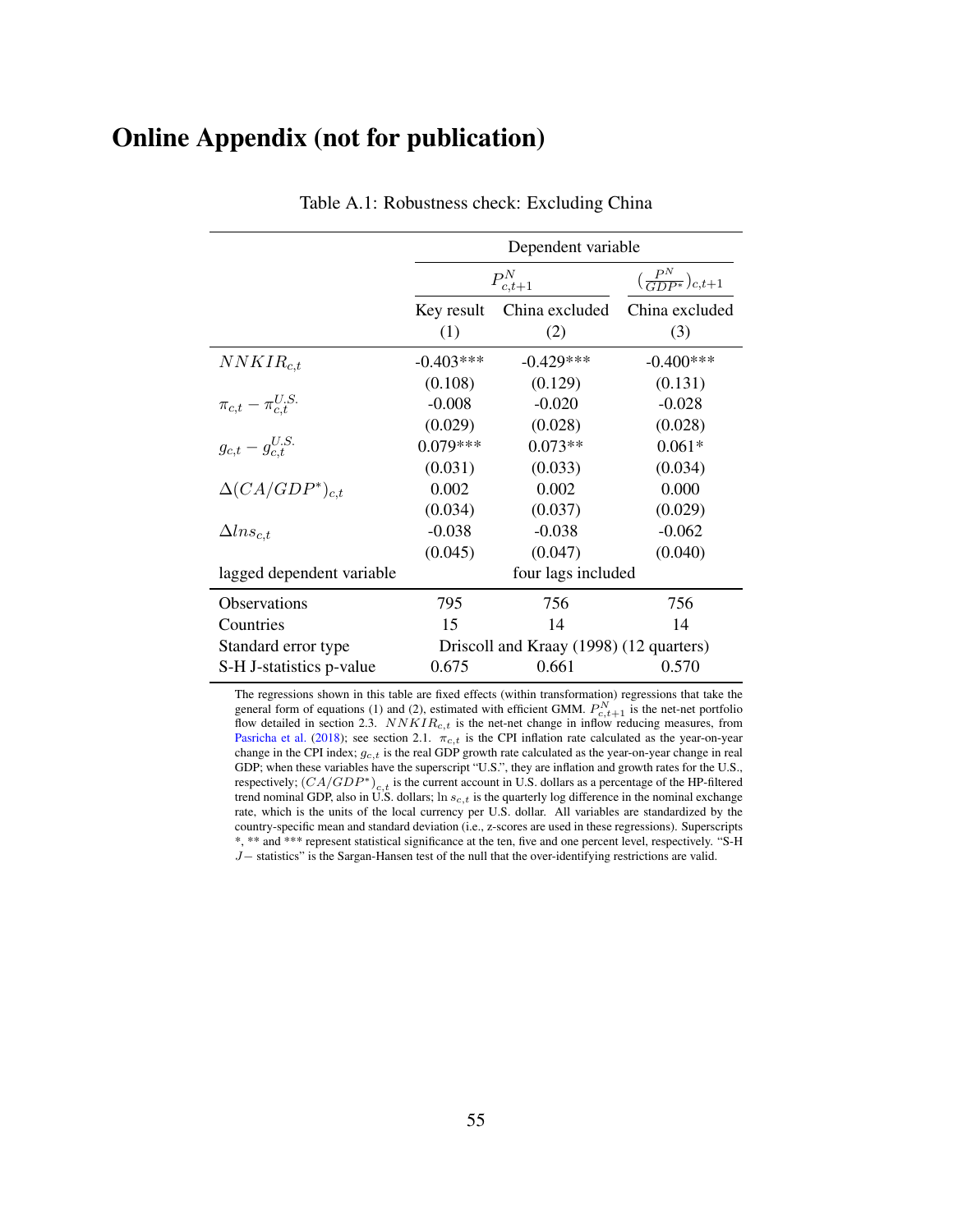## <span id="page-55-0"></span>Online Appendix (not for publication)

|                                | Dependent variable                      |               |                                          |  |
|--------------------------------|-----------------------------------------|---------------|------------------------------------------|--|
|                                |                                         | $P_{c,t+1}^N$ | $\left(\frac{P^N}{GDP^*}\right)_{c,t+1}$ |  |
|                                | China excluded<br>Key result            |               | China excluded                           |  |
|                                | (1)                                     | (2)           | (3)                                      |  |
| $NNKIR_{c,t}$                  | $-0.403***$                             | $-0.429***$   | $-0.400***$                              |  |
|                                | (0.108)                                 | (0.129)       | (0.131)                                  |  |
| $\pi_{c,t} - \pi_{c.t}^{U.S.}$ | $-0.008$                                | $-0.020$      | $-0.028$                                 |  |
|                                | (0.029)                                 | (0.028)       | (0.028)                                  |  |
| $g_{c,t} - g_{c.t}^{U.S.}$     | $0.079***$                              | $0.073**$     | $0.061*$                                 |  |
|                                | (0.031)                                 | (0.033)       | (0.034)                                  |  |
| $\Delta (CA/GDP^*)_{c,t}$      | 0.002                                   | 0.002         | 0.000                                    |  |
|                                | (0.034)                                 | (0.037)       | (0.029)                                  |  |
| $\Delta l n s_{c.t}$           | $-0.038$                                | $-0.038$      | $-0.062$                                 |  |
|                                | (0.045)                                 | (0.047)       | (0.040)                                  |  |
| lagged dependent variable      | four lags included                      |               |                                          |  |
| <b>Observations</b>            | 795                                     | 756           | 756                                      |  |
| Countries                      | 15                                      | 14            | 14                                       |  |
| Standard error type            | Driscoll and Kraay (1998) (12 quarters) |               |                                          |  |
| S-H J-statistics p-value       | 0.675                                   | 0.661         | 0.570                                    |  |

Table A.1: Robustness check: Excluding China

The regressions shown in this table are fixed effects (within transformation) regressions that take the general form of equations [\(1\)](#page-16-0) and [\(2\)](#page-18-0), estimated with efficient GMM.  $P_{c,t+1}^{N}$  is the net-net portfolio flow detailed in section [2.3.](#page-12-1)  $NNKIR_{c,t}$  is the net-net change in inflow reducing measures, from [Pasricha et al.](#page-38-3) [\(2018\)](#page-38-3); see section [2.1.](#page-7-2)  $\pi_{c,t}$  is the CPI inflation rate calculated as the year-on-year change in the CPI index;  $g_{c,t}$  is the real GDP growth rate calculated as the year-on-year change in real GDP; when these variables have the superscript "U.S.", they are inflation and growth rates for the U.S., respectively;  $(CA/GDP^*)_{c,t}$  is the current account in U.S. dollars as a percentage of the HP-filtered trend nominal GDP, also in U.S. dollars; ln  $s_{c,t}$  is the quarterly log difference in the nominal exchange rate, which is the units of the local currency per U.S. dollar. All variables are standardized by the country-specific mean and standard deviation (i.e., z-scores are used in these regressions). Superscripts \*, \*\* and \*\*\* represent statistical significance at the ten, five and one percent level, respectively. "S-H J− statistics" is the Sargan-Hansen test of the null that the over-identifying restrictions are valid.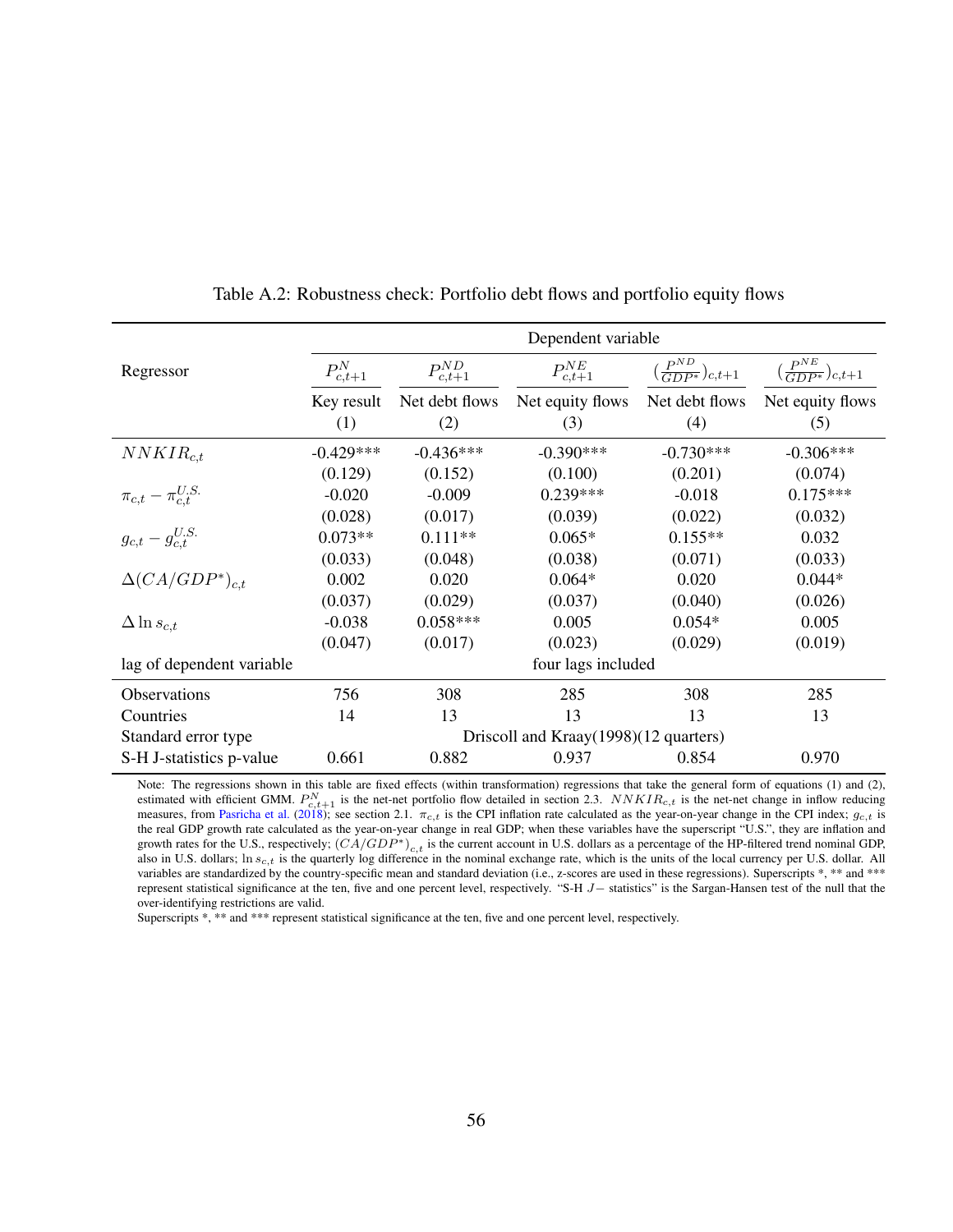<span id="page-56-0"></span>

|                                | Dependent variable |                                       |                  |                                             |                                             |
|--------------------------------|--------------------|---------------------------------------|------------------|---------------------------------------------|---------------------------------------------|
| Regressor                      | $P_{c,t+1}^N$      | $P_{c,t+1}^{ND}$                      | $P_{c,t+1}^{NE}$ | $\left(\frac{P^{ND}}{GDP^*}\right)_{c,t+1}$ | $\left(\frac{P^{NE}}{GDP^*}\right)_{c,t+1}$ |
|                                | Key result         | Net debt flows                        | Net equity flows | Net debt flows                              | Net equity flows                            |
|                                | (1)                | (2)                                   | (3)              | (4)                                         | (5)                                         |
| $NNKIR_{c,t}$                  | $-0.429***$        | $-0.436***$                           | $-0.390***$      | $-0.730***$                                 | $-0.306***$                                 |
|                                | (0.129)            | (0.152)                               | (0.100)          | (0.201)                                     | (0.074)                                     |
| $\pi_{c,t} - \pi_{c.t}^{U.S.}$ | $-0.020$           | $-0.009$                              | $0.239***$       | $-0.018$                                    | $0.175***$                                  |
|                                | (0.028)            | (0.017)                               | (0.039)          | (0.022)                                     | (0.032)                                     |
| $g_{c,t}-g^{U.S.}_{c,t}$       | $0.073**$          | $0.111**$                             | $0.065*$         | $0.155**$                                   | 0.032                                       |
|                                | (0.033)            | (0.048)                               | (0.038)          | (0.071)                                     | (0.033)                                     |
| $\Delta (CA/GDP^*)_{c,t}$      | 0.002              | 0.020                                 | $0.064*$         | 0.020                                       | $0.044*$                                    |
|                                | (0.037)            | (0.029)                               | (0.037)          | (0.040)                                     | (0.026)                                     |
| $\Delta \ln s_{c,t}$           | $-0.038$           | $0.058***$                            | 0.005            | $0.054*$                                    | 0.005                                       |
|                                | (0.047)            | (0.017)                               | (0.023)          | (0.029)                                     | (0.019)                                     |
| lag of dependent variable      |                    | four lags included                    |                  |                                             |                                             |
| Observations                   | 756                | 308                                   | 285              | 308                                         | 285                                         |
| Countries                      | 14                 | 13                                    | 13               | 13                                          | 13                                          |
| Standard error type            |                    | Driscoll and Kraay(1998)(12 quarters) |                  |                                             |                                             |
| S-H J-statistics p-value       | 0.661              | 0.882                                 | 0.937            | 0.854                                       | 0.970                                       |

Table A.2: Robustness check: Portfolio debt flows and portfolio equity flows

Note: The regressions shown in this table are fixed effects (within transformation) regressions that take the general form of equations [\(1\)](#page-16-0) and [\(2\)](#page-18-0), estimated with efficient GMM.  $P_{c,t+1}^{N}$  is the net-net portfolio flow detailed in section [2.3.](#page-12-1)  $NNKIR_{c,t}$  is the net-net change in inflow reducing measures, from [Pasricha et al.](#page-38-3) [\(2018\)](#page-38-3); see section [2.1.](#page-7-2)  $\pi_{c,t}$  is the CPI inflation rate calculated as the year-on-year change in the CPI index;  $g_{c,t}$  is the real GDP growth rate calculated as the year-on-year change in real GDP; when these variables have the superscript "U.S.", they are inflation and growth rates for the U.S., respectively;  $(CA/GDP*)_{c,t}$  is the current account in U.S. dollars as a percentage of the HP-filtered trend nominal GDP, also in U.S. dollars; ln  $s_{c,t}$  is the quarterly log difference in the nominal exchange rate, which is the units of the local currency per U.S. dollar. All variables are standardized by the country-specific mean and standard deviation (i.e., z-scores are used in these regressions). Superscripts \*, \*\* and \*\*\* represent statistical significance at the ten, five and one percent level, respectively. "S-H J− statistics" is the Sargan-Hansen test of the null that the over-identifying restrictions are valid.

Superscripts  $\ast$ ,  $\ast\ast$  and  $\ast\ast\ast$  represent statistical significance at the ten, five and one percent level, respectively.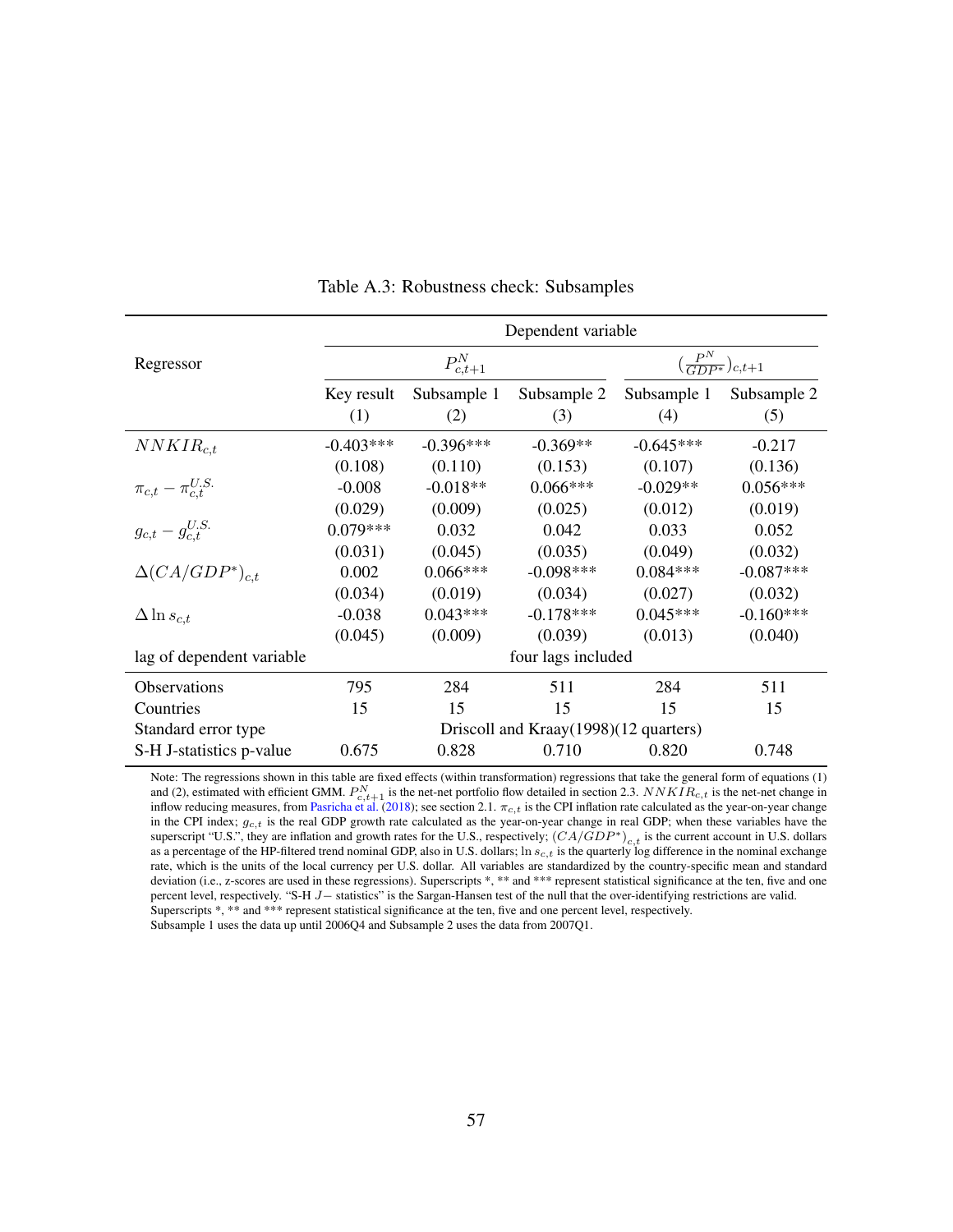<span id="page-57-0"></span>

|                                | Dependent variable                    |             |             |                                          |             |
|--------------------------------|---------------------------------------|-------------|-------------|------------------------------------------|-------------|
| Regressor                      | $P_{c,t+1}^N$                         |             |             | $\left(\frac{P^N}{GDP^*}\right)_{c,t+1}$ |             |
|                                | Key result                            | Subsample 1 | Subsample 2 | Subsample 1                              | Subsample 2 |
|                                | (1)                                   | (2)         | (3)         | (4)                                      | (5)         |
| $NNKIR_{c.t.}$                 | $-0.403***$                           | $-0.396***$ | $-0.369**$  | $-0.645***$                              | $-0.217$    |
|                                | (0.108)                               | (0.110)     | (0.153)     | (0.107)                                  | (0.136)     |
| $\pi_{c,t} - \pi_{c.t}^{U.S.}$ | $-0.008$                              | $-0.018**$  | $0.066***$  | $-0.029**$                               | $0.056***$  |
|                                | (0.029)                               | (0.009)     | (0.025)     | (0.012)                                  | (0.019)     |
| $g_{c,t}-g_{c.t}^{U.S.}$       | $0.079***$                            | 0.032       | 0.042       | 0.033                                    | 0.052       |
|                                | (0.031)                               | (0.045)     | (0.035)     | (0.049)                                  | (0.032)     |
| $\Delta (CA/GDP^*)_{c,t}$      | 0.002                                 | $0.066***$  | $-0.098***$ | $0.084***$                               | $-0.087***$ |
|                                | (0.034)                               | (0.019)     | (0.034)     | (0.027)                                  | (0.032)     |
| $\Delta \ln s_{c,t}$           | $-0.038$                              | $0.043***$  | $-0.178***$ | $0.045***$                               | $-0.160***$ |
|                                | (0.045)                               | (0.009)     | (0.039)     | (0.013)                                  | (0.040)     |
| lag of dependent variable      | four lags included                    |             |             |                                          |             |
| <b>Observations</b>            | 795                                   | 284         | 511         | 284                                      | 511         |
| Countries                      | 15                                    | 15          | 15          | 15                                       | 15          |
| Standard error type            | Driscoll and Kraay(1998)(12 quarters) |             |             |                                          |             |
| S-H J-statistics p-value       | 0.675                                 | 0.828       | 0.710       | 0.820                                    | 0.748       |

Table A.3: Robustness check: Subsamples

Note: The regressions shown in this table are fixed effects (within transformation) regressions that take the general form of equations [\(1\)](#page-16-0) and [\(2\)](#page-18-0), estimated with efficient GMM.  $P_{c,t+1}^N$  is the net-net portfolio flow detailed in section [2.3.](#page-12-1)  $NNKIR_{c,t}$  is the net-net change in inflow reducing measures, from [Pasricha et al.](#page-38-3) [\(2018\)](#page-38-3); see section [2.1.](#page-7-2)  $\pi_{c,t}$  is the CPI inflation rate calculated as the year-on-year change in the CPI index;  $g_{c,t}$  is the real GDP growth rate calculated as the year-on-year change in real GDP; when these variables have the superscript "U.S.", they are inflation and growth rates for the U.S., respectively;  $(CA/GDP^*)_{c,t}$  is the current account in U.S. dollars as a percentage of the HP-filtered trend nominal GDP, also in U.S. dollars;  $\ln s_{c,t}$  is the quarterly log difference in the nominal exchange rate, which is the units of the local currency per U.S. dollar. All variables are standardized by the country-specific mean and standard deviation (i.e., z-scores are used in these regressions). Superscripts \*, \*\* and \*\*\* represent statistical significance at the ten, five and one percent level, respectively. "S-H J− statistics" is the Sargan-Hansen test of the null that the over-identifying restrictions are valid. Superscripts  $*, **$  and  $***$  represent statistical significance at the ten, five and one percent level, respectively. Subsample 1 uses the data up until 2006Q4 and Subsample 2 uses the data from 2007Q1.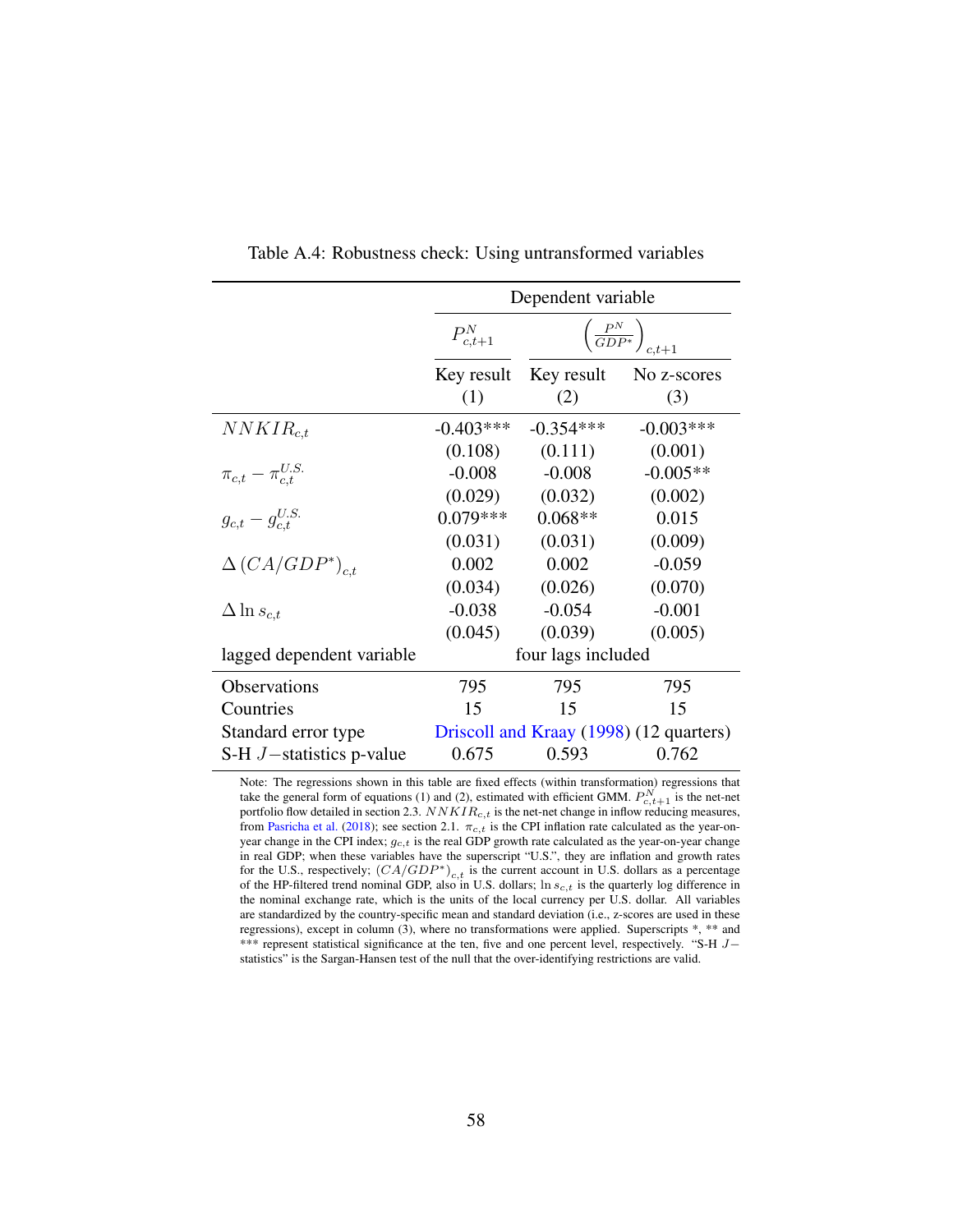<span id="page-58-0"></span>

|                                | Dependent variable |                                          |                                         |  |
|--------------------------------|--------------------|------------------------------------------|-----------------------------------------|--|
|                                | $P_{c,t+1}^N$      | $\left(\frac{P^N}{GDP^*}\right)_{c,t+1}$ |                                         |  |
|                                | Key result         | Key result                               | No z-scores                             |  |
|                                | (1)                | (2)                                      | (3)                                     |  |
| $NNKIR_{c,t}$                  | $-0.403***$        | $-0.354***$                              | $-0.003***$                             |  |
|                                | (0.108)            | (0.111)                                  | (0.001)                                 |  |
| $\pi_{c,t} - \pi_{c.t}^{U.S.}$ | $-0.008$           | $-0.008$                                 | $-0.005**$                              |  |
|                                | (0.029)            | (0.032)                                  | (0.002)                                 |  |
| $g_{c,t} - g_{c,t}^{U.S.}$     | $0.079***$         | $0.068**$                                | 0.015                                   |  |
|                                | (0.031)            | (0.031)                                  | (0.009)                                 |  |
| $\Delta (CA/GDP^*)_{c.t.}$     | 0.002              | 0.002                                    | $-0.059$                                |  |
|                                | (0.034)            | (0.026)                                  | (0.070)                                 |  |
| $\Delta \ln s_{c,t}$           | $-0.038$           | $-0.054$                                 | $-0.001$                                |  |
|                                | (0.045)            | (0.039)                                  | (0.005)                                 |  |
| lagged dependent variable      | four lags included |                                          |                                         |  |
| Observations                   | 795                | 795                                      | 795                                     |  |
| Countries                      | 15                 | 15                                       | 15                                      |  |
| Standard error type            |                    |                                          | Driscoll and Kraay (1998) (12 quarters) |  |
| S-H $J$ -statistics p-value    | 0.675              | 0.593                                    | 0.762                                   |  |

Table A.4: Robustness check: Using untransformed variables

Note: The regressions shown in this table are fixed effects (within transformation) regressions that take the general form of equations [\(1\)](#page-16-0) and [\(2\)](#page-18-0), estimated with efficient GMM.  $P_{c,t+1}^{N}$  is the net-net portfolio flow detailed in section [2.3.](#page-12-1)  $NNKIR_{c,t}$  is the net-net change in inflow reducing measures, from [Pasricha et al.](#page-38-3) [\(2018\)](#page-38-3); see section [2.1.](#page-7-2)  $\pi_{c,t}$  is the CPI inflation rate calculated as the year-onyear change in the CPI index;  $g_{c,t}$  is the real GDP growth rate calculated as the year-on-year change in real GDP; when these variables have the superscript "U.S.", they are inflation and growth rates for the U.S., respectively;  $(CA/GDP^*)_{c,t}$  is the current account in U.S. dollars as a percentage of the HP-filtered trend nominal GDP, also in U.S. dollars;  $\ln s_{c,t}$  is the quarterly log difference in the nominal exchange rate, which is the units of the local currency per U.S. dollar. All variables are standardized by the country-specific mean and standard deviation (i.e., z-scores are used in these regressions), except in column (3), where no transformations were applied. Superscripts \*, \*\* and \*\*\* represent statistical significance at the ten, five and one percent level, respectively. "S-H J− statistics" is the Sargan-Hansen test of the null that the over-identifying restrictions are valid.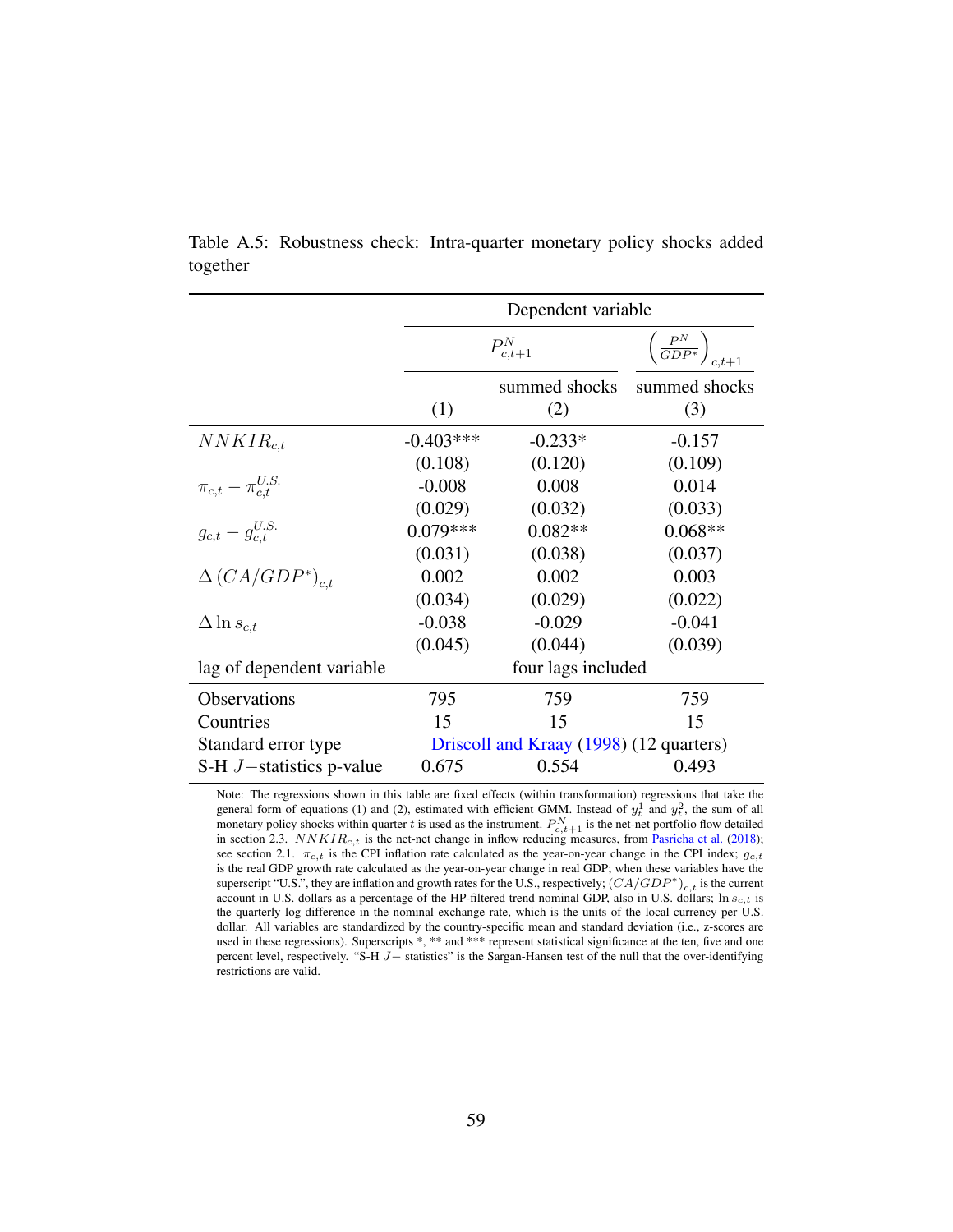|                                | Dependent variable                      |               |                                          |  |
|--------------------------------|-----------------------------------------|---------------|------------------------------------------|--|
|                                |                                         | $P^N_{c,t+1}$ | $\left(\frac{P^N}{GDP^*}\right)_{c.t+1}$ |  |
|                                |                                         | summed shocks | summed shocks                            |  |
|                                | (1)                                     | (2)           | (3)                                      |  |
| $NNKIR_{c,t}$                  | $-0.403***$                             | $-0.233*$     | $-0.157$                                 |  |
|                                | (0.108)                                 | (0.120)       | (0.109)                                  |  |
| $\pi_{c,t} - \pi_{c,t}^{U.S.}$ | $-0.008$                                | 0.008         | 0.014                                    |  |
|                                | (0.029)                                 | (0.032)       | (0.033)                                  |  |
| $g_{c,t} - g_{c.t}^{U.S.}$     | $0.079***$                              | $0.082**$     | $0.068**$                                |  |
|                                | (0.031)                                 | (0.038)       | (0.037)                                  |  |
| $\Delta (CA/GDP^*)_{c.t.}$     | 0.002                                   | 0.002         | 0.003                                    |  |
|                                | (0.034)                                 | (0.029)       | (0.022)                                  |  |
| $\Delta \ln s_{c,t}$           | $-0.038$                                | $-0.029$      | $-0.041$                                 |  |
|                                | (0.045)                                 | (0.044)       | (0.039)                                  |  |
| lag of dependent variable      | four lags included                      |               |                                          |  |
| Observations                   | 795                                     | 759           | 759                                      |  |
| Countries                      | 15                                      | 15            | 15                                       |  |
| Standard error type            | Driscoll and Kraay (1998) (12 quarters) |               |                                          |  |
| S-H $J$ -statistics p-value    | 0.675                                   | 0.554         | 0.493                                    |  |

<span id="page-59-0"></span>Table A.5: Robustness check: Intra-quarter monetary policy shocks added together

Note: The regressions shown in this table are fixed effects (within transformation) regressions that take the general form of equations [\(1\)](#page-16-0) and [\(2\)](#page-18-0), estimated with efficient GMM. Instead of  $y_t^1$  and  $y_t^2$ , the sum of all monetary policy shocks within quarter t is used as the instrument.  $P_{c,t+1}^N$  is the net-net portfolio flow detailed in section [2.3.](#page-12-1)  $NNKIR_{c,t}$  is the net-net change in inflow reducing measures, from [Pasricha et al.](#page-38-3) [\(2018\)](#page-38-3); see section [2.1.](#page-7-2)  $\pi_{c,t}$  is the CPI inflation rate calculated as the year-on-year change in the CPI index;  $g_{c,t}$ is the real GDP growth rate calculated as the year-on-year change in real GDP; when these variables have the superscript "U.S.", they are inflation and growth rates for the U.S., respectively;  $(CA/GDP^*)_{c,t}$  is the current account in U.S. dollars as a percentage of the HP-filtered trend nominal GDP, also in U.S. dollars;  $\ln s_{c,t}$  is the quarterly log difference in the nominal exchange rate, which is the units of the local currency per U.S. dollar. All variables are standardized by the country-specific mean and standard deviation (i.e., z-scores are used in these regressions). Superscripts \*, \*\* and \*\*\* represent statistical significance at the ten, five and one percent level, respectively. "S-H J− statistics" is the Sargan-Hansen test of the null that the over-identifying restrictions are valid.